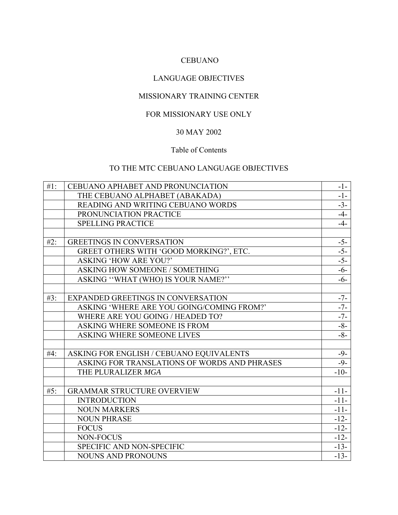# CEBUANO

# LANGUAGE OBJECTIVES

# MISSIONARY TRAINING CENTER

## FOR MISSIONARY USE ONLY

# 30 MAY 2002

#### Table of Contents

# TO THE MTC CEBUANO LANGUAGE OBJECTIVES

| $#1$ : | CEBUANO APHABET AND PRONUNCIATION            | $-1-$           |
|--------|----------------------------------------------|-----------------|
|        | THE CEBUANO ALPHABET (ABAKADA)               | $-1-$           |
|        | READING AND WRITING CEBUANO WORDS            | $-3-$           |
|        | PRONUNCIATION PRACTICE                       | $-4-$           |
|        | <b>SPELLING PRACTICE</b>                     | $-4-$           |
|        |                                              |                 |
| #2:    | <b>GREETINGS IN CONVERSATION</b>             | $-5-$           |
|        | GREET OTHERS WITH 'GOOD MORKING?', ETC.      | $\frac{-5}{-5}$ |
|        | <b>ASKING 'HOW ARE YOU?'</b>                 |                 |
|        | ASKING HOW SOMEONE / SOMETHING               | $-6-$           |
|        | ASKING "WHAT (WHO) IS YOUR NAME?"            | $-6-$           |
|        |                                              |                 |
| $#3$ : | <b>EXPANDED GREETINGS IN CONVERSATION</b>    | $-7-$           |
|        | ASKING 'WHERE ARE YOU GOING/COMING FROM?'    | $-7-$           |
|        | WHERE ARE YOU GOING / HEADED TO?             | $-7-$           |
|        | ASKING WHERE SOMEONE IS FROM                 | $-8-$           |
|        | ASKING WHERE SOMEONE LIVES                   | $-8-$           |
|        |                                              |                 |
| #4:    | ASKING FOR ENGLISH / CEBUANO EQUIVALENTS     | $-9-$           |
|        | ASKING FOR TRANSLATIONS OF WORDS AND PHRASES | $-9-$           |
|        | THE PLURALIZER MGA                           | $-10-$          |
|        |                                              |                 |
| #5:    | <b>GRAMMAR STRUCTURE OVERVIEW</b>            | $-11-$          |
|        | <b>INTRODUCTION</b>                          | $-11-$          |
|        | <b>NOUN MARKERS</b>                          | $-11-$          |
|        | <b>NOUN PHRASE</b>                           | $-12-$          |
|        | <b>FOCUS</b>                                 | $-12-$          |
|        | NON-FOCUS                                    | $-12-$          |
|        | SPECIFIC AND NON-SPECIFIC                    | $-13-$          |
|        | <b>NOUNS AND PRONOUNS</b>                    | $-13-$          |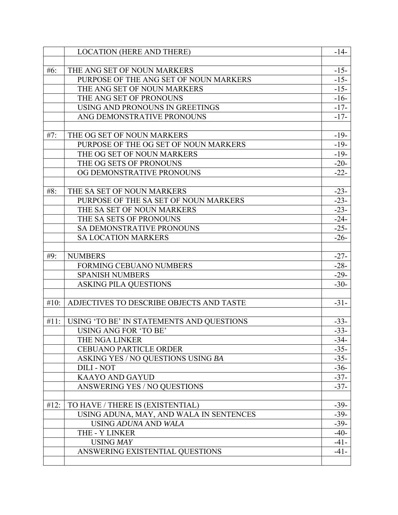|      | <b>LOCATION (HERE AND THERE)</b>          | $-14-$ |
|------|-------------------------------------------|--------|
|      |                                           |        |
| #6:  | THE ANG SET OF NOUN MARKERS               | $-15-$ |
|      | PURPOSE OF THE ANG SET OF NOUN MARKERS    | $-15-$ |
|      | THE ANG SET OF NOUN MARKERS               | $-15-$ |
|      | THE ANG SET OF PRONOUNS                   | $-16-$ |
|      | USING AND PRONOUNS IN GREETINGS           | $-17-$ |
|      | ANG DEMONSTRATIVE PRONOUNS                | $-17-$ |
|      |                                           |        |
| #7:  | THE OG SET OF NOUN MARKERS                | $-19-$ |
|      | PURPOSE OF THE OG SET OF NOUN MARKERS     | $-19-$ |
|      | THE OG SET OF NOUN MARKERS                | $-19-$ |
|      | THE OG SETS OF PRONOUNS                   | $-20-$ |
|      | OG DEMONSTRATIVE PRONOUNS                 | $-22-$ |
|      |                                           |        |
| #8:  | THE SA SET OF NOUN MARKERS                | $-23-$ |
|      | PURPOSE OF THE SA SET OF NOUN MARKERS     | $-23-$ |
|      | THE SA SET OF NOUN MARKERS                | $-23-$ |
|      | THE SA SETS OF PRONOUNS                   | $-24-$ |
|      | SA DEMONSTRATIVE PRONOUNS                 | $-25-$ |
|      | <b>SA LOCATION MARKERS</b>                | $-26-$ |
|      |                                           |        |
| #9:  | <b>NUMBERS</b>                            | $-27-$ |
|      | <b>FORMING CEBUANO NUMBERS</b>            | $-28-$ |
|      | <b>SPANISH NUMBERS</b>                    | $-29-$ |
|      | <b>ASKING PILA QUESTIONS</b>              | $-30-$ |
|      |                                           |        |
| #10: | ADJECTIVES TO DESCRIBE OBJECTS AND TASTE  | $-31-$ |
|      |                                           |        |
| #11: | USING 'TO BE' IN STATEMENTS AND QUESTIONS | $-33-$ |
|      | <b>USING ANG FOR 'TO BE'</b>              | $-33-$ |
|      | THE NGA LINKER                            | $-34-$ |
|      | <b>CEBUANO PARTICLE ORDER</b>             | $-35-$ |
|      | ASKING YES / NO QUESTIONS USING BA        | $-35-$ |
|      | <b>DILI - NOT</b>                         | $-36-$ |
|      | <b>KAAYO AND GAYUD</b>                    | $-37-$ |
|      | <b>ANSWERING YES / NO OUESTIONS</b>       | $-37-$ |
|      |                                           |        |
| #12: | TO HAVE / THERE IS (EXISTENTIAL)          | $-39-$ |
|      | USING ADUNA, MAY, AND WALA IN SENTENCES   | $-39-$ |
|      | <b>USING ADUNA AND WALA</b>               | $-39-$ |
|      | THE - Y LINKER                            | $-40-$ |
|      | <b>USING MAY</b>                          | $-41-$ |
|      | ANSWERING EXISTENTIAL QUESTIONS           | $-41-$ |
|      |                                           |        |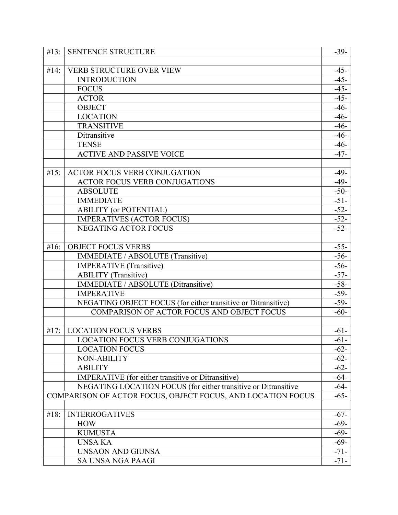|      | #13: SENTENCE STRUCTURE                                        | $-39-$ |
|------|----------------------------------------------------------------|--------|
|      |                                                                |        |
| #14: | VERB STRUCTURE OVER VIEW                                       | $-45-$ |
|      | <b>INTRODUCTION</b>                                            | $-45-$ |
|      | <b>FOCUS</b>                                                   | $-45-$ |
|      | <b>ACTOR</b>                                                   | $-45-$ |
|      | <b>OBJECT</b>                                                  | $-46-$ |
|      | <b>LOCATION</b>                                                | $-46-$ |
|      | <b>TRANSITIVE</b>                                              | $-46-$ |
|      | Ditransitive                                                   | $-46-$ |
|      | <b>TENSE</b>                                                   | $-46-$ |
|      | <b>ACTIVE AND PASSIVE VOICE</b>                                | $-47-$ |
|      |                                                                |        |
| #15: | ACTOR FOCUS VERB CONJUGATION                                   | $-49-$ |
|      | <b>ACTOR FOCUS VERB CONJUGATIONS</b>                           | $-49-$ |
|      | <b>ABSOLUTE</b>                                                | $-50-$ |
|      | <b>IMMEDIATE</b>                                               | $-51-$ |
|      | <b>ABILITY</b> (or POTENTIAL)                                  | $-52-$ |
|      | <b>IMPERATIVES (ACTOR FOCUS)</b>                               | $-52-$ |
|      | <b>NEGATING ACTOR FOCUS</b>                                    | $-52-$ |
|      |                                                                |        |
| #16: | <b>OBJECT FOCUS VERBS</b>                                      | $-55-$ |
|      | IMMEDIATE / ABSOLUTE (Transitive)                              | $-56-$ |
|      | <b>IMPERATIVE</b> (Transitive)                                 | $-56-$ |
|      | <b>ABILITY</b> (Transitive)                                    | $-57-$ |
|      | <b>IMMEDIATE / ABSOLUTE (Ditransitive)</b>                     | $-58-$ |
|      | <b>IMPERATIVE</b>                                              | $-59-$ |
|      | NEGATING OBJECT FOCUS (for either transitive or Ditransitive)  | $-59-$ |
|      | COMPARISON OF ACTOR FOCUS AND OBJECT FOCUS                     | $-60-$ |
|      |                                                                |        |
| #17: | <b>LOCATION FOCUS VERBS</b>                                    | $-61-$ |
|      | LOCATION FOCUS VERB CONJUGATIONS                               | $-61-$ |
|      | <b>LOCATION FOCUS</b>                                          | $-62-$ |
|      | <b>NON-ABILITY</b>                                             | $-62-$ |
|      | <b>ABILITY</b>                                                 | $-62-$ |
|      | <b>IMPERATIVE</b> (for either transitive or Ditransitive)      | $-64-$ |
|      | NEGATING LOCATION FOCUS (for either transitive or Ditransitive | $-64-$ |
|      | COMPARISON OF ACTOR FOCUS, OBJECT FOCUS, AND LOCATION FOCUS    | $-65-$ |
|      |                                                                |        |
| #18: | <b>INTERROGATIVES</b>                                          | $-67-$ |
|      | <b>HOW</b>                                                     | $-69-$ |
|      | <b>KUMUSTA</b>                                                 | $-69-$ |
|      | <b>UNSA KA</b>                                                 | $-69-$ |
|      | UNSAON AND GIUNSA                                              | $-71-$ |
|      | SA UNSA NGA PAAGI                                              | $-71-$ |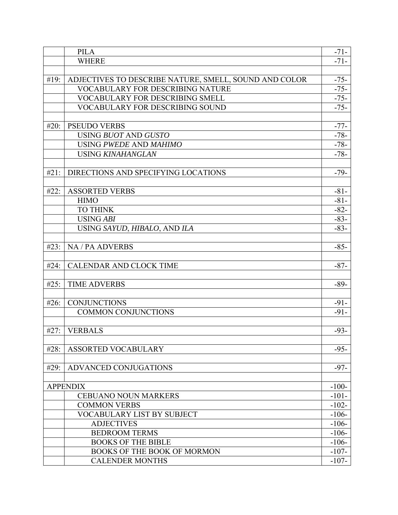|      | <b>PILA</b>                                           | $-71-$  |
|------|-------------------------------------------------------|---------|
|      | <b>WHERE</b>                                          | $-71-$  |
|      |                                                       |         |
| #19: | ADJECTIVES TO DESCRIBE NATURE, SMELL, SOUND AND COLOR | $-75-$  |
|      | <b>VOCABULARY FOR DESCRIBING NATURE</b>               | $-75-$  |
|      | <b>VOCABULARY FOR DESCRIBING SMELL</b>                | $-75-$  |
|      | <b>VOCABULARY FOR DESCRIBING SOUND</b>                | $-75-$  |
|      |                                                       |         |
| #20: | <b>PSEUDO VERBS</b>                                   | $-77-$  |
|      | USING BUOT AND GUSTO                                  | $-78-$  |
|      | USING PWEDE AND MAHIMO                                | $-78-$  |
|      | <b>USING KINAHANGLAN</b>                              | $-78-$  |
|      |                                                       |         |
| #21: | DIRECTIONS AND SPECIFYING LOCATIONS                   | $-79-$  |
|      |                                                       |         |
| #22: | <b>ASSORTED VERBS</b>                                 | $-81-$  |
|      | <b>HIMO</b>                                           | $-81-$  |
|      | <b>TO THINK</b>                                       | $-82-$  |
|      | <b>USING ABI</b>                                      | $-83-$  |
|      | USING SAYUD, HIBALO, AND ILA                          | $-83-$  |
|      |                                                       |         |
| #23: | NA / PA ADVERBS                                       | $-85-$  |
|      |                                                       |         |
| #24: | <b>CALENDAR AND CLOCK TIME</b>                        | $-87-$  |
|      |                                                       |         |
| #25: | <b>TIME ADVERBS</b>                                   | $-89-$  |
|      |                                                       |         |
| #26: | <b>CONJUNCTIONS</b>                                   | $-91-$  |
|      | <b>COMMON CONJUNCTIONS</b>                            | $-91-$  |
|      |                                                       |         |
| #27: | <b>VERBALS</b>                                        | $-93-$  |
|      |                                                       |         |
| #28: | <b>ASSORTED VOCABULARY</b>                            | $-95-$  |
|      |                                                       |         |
| #29: | <b>ADVANCED CONJUGATIONS</b>                          | $-97-$  |
|      |                                                       |         |
|      | <b>APPENDIX</b>                                       | $-100-$ |
|      | <b>CEBUANO NOUN MARKERS</b>                           | $-101-$ |
|      | <b>COMMON VERBS</b>                                   | $-102-$ |
|      | VOCABULARY LIST BY SUBJECT                            | $-106-$ |
|      | <b>ADJECTIVES</b>                                     | $-106-$ |
|      | <b>BEDROOM TERMS</b>                                  | $-106-$ |
|      | <b>BOOKS OF THE BIBLE</b>                             | $-106-$ |
|      | <b>BOOKS OF THE BOOK OF MORMON</b>                    | $-107-$ |
|      | <b>CALENDER MONTHS</b>                                | $-107-$ |
|      |                                                       |         |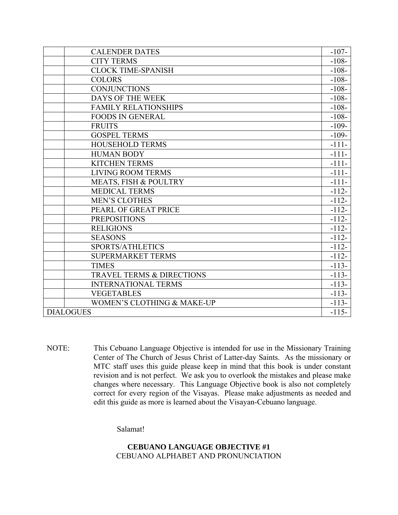| <b>CALENDER DATES</b>                 | $-107-$ |
|---------------------------------------|---------|
| <b>CITY TERMS</b>                     | $-108-$ |
| <b>CLOCK TIME-SPANISH</b>             | $-108-$ |
| <b>COLORS</b>                         | $-108-$ |
| <b>CONJUNCTIONS</b>                   | $-108-$ |
| <b>DAYS OF THE WEEK</b>               | $-108-$ |
| <b>FAMILY RELATIONSHIPS</b>           | $-108-$ |
| <b>FOODS IN GENERAL</b>               | $-108-$ |
| <b>FRUITS</b>                         | $-109-$ |
| <b>GOSPEL TERMS</b>                   | $-109-$ |
| <b>HOUSEHOLD TERMS</b>                | $-111-$ |
| <b>HUMAN BODY</b>                     | $-111-$ |
| <b>KITCHEN TERMS</b>                  | $-111-$ |
| <b>LIVING ROOM TERMS</b>              | $-111-$ |
| MEATS, FISH & POULTRY                 | $-111-$ |
| <b>MEDICAL TERMS</b>                  | $-112-$ |
| <b>MEN'S CLOTHES</b>                  | $-112-$ |
| PEARL OF GREAT PRICE                  | $-112-$ |
| <b>PREPOSITIONS</b>                   | $-112-$ |
| <b>RELIGIONS</b>                      | $-112-$ |
| <b>SEASONS</b>                        | $-112-$ |
| SPORTS/ATHLETICS                      | $-112-$ |
| <b>SUPERMARKET TERMS</b>              | $-112-$ |
| <b>TIMES</b>                          | $-113-$ |
| TRAVEL TERMS & DIRECTIONS             | $-113-$ |
| <b>INTERNATIONAL TERMS</b>            | $-113-$ |
| <b>VEGETABLES</b>                     | $-113-$ |
| <b>WOMEN'S CLOTHING &amp; MAKE-UP</b> | $-113-$ |
| <b>DIALOGUES</b>                      | $-115-$ |

NOTE: This Cebuano Language Objective is intended for use in the Missionary Training Center of The Church of Jesus Christ of Latter-day Saints. As the missionary or MTC staff uses this guide please keep in mind that this book is under constant revision and is not perfect. We ask you to overlook the mistakes and please make changes where necessary. This Language Objective book is also not completely correct for every region of the Visayas. Please make adjustments as needed and edit this guide as more is learned about the Visayan-Cebuano language.

Salamat!

# **CEBUANO LANGUAGE OBJECTIVE #1**  CEBUANO ALPHABET AND PRONUNCIATION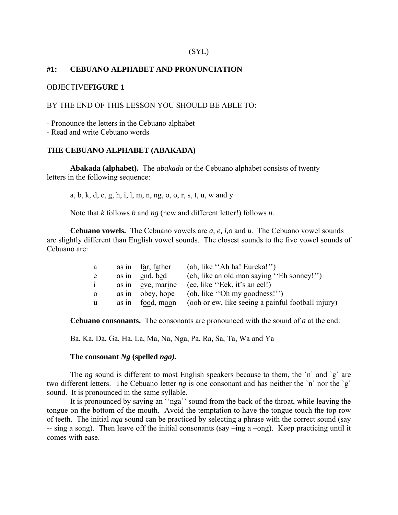#### **#1: CEBUANO ALPHABET AND PRONUNCIATION**

#### OBJECTIVE**FIGURE 1**

#### BY THE END OF THIS LESSON YOU SHOULD BE ABLE TO:

- Pronounce the letters in the Cebuano alphabet

- Read and write Cebuano words

## **THE CEBUANO ALPHABET (ABAKADA)**

**Abakada (alphabet).** The *abakada* or the Cebuano alphabet consists of twenty letters in the following sequence:

a, b, k, d, e, g, h, i, l, m, n, ng, o, o, r, s, t, u, w and y

Note that *k* follows *b* and *ng* (new and different letter!) follows *n.*

**Cebuano vowels.** The Cebuano vowels are *a, e, i,o* and *u.* The Cebuano vowel sounds are slightly different than English vowel sounds. The closest sounds to the five vowel sounds of Cebuano are:

| a        |       | as in far, father | (ah, like "Ah ha! Eureka!")                        |
|----------|-------|-------------------|----------------------------------------------------|
| e        | as in | end, bed          | (eh, like an old man saying "Eh sonney!")          |
|          | as in | eve, marine       | (ee, like "Eek, it's an eel!)                      |
| $\Omega$ | as in | obey, hope        | (oh, like "Oh my goodness!")                       |
| u        | as in | food, moon        | (ooh or ew, like seeing a painful football injury) |

**Cebuano consonants.** The consonants are pronounced with the sound of *a* at the end:

Ba, Ka, Da, Ga, Ha, La, Ma, Na, Nga, Pa, Ra, Sa, Ta, Wa and Ya

#### **The consonant** *Ng* **(spelled** *nga).*

The *ng* sound is different to most English speakers because to them, the 'n' and 'g' are two different letters. The Cebuano letter *ng* is one consonant and has neither the `n` nor the `g` sound. It is pronounced in the same syllable.

 It is pronounced by saying an ''nga'' sound from the back of the throat, while leaving the tongue on the bottom of the mouth. Avoid the temptation to have the tongue touch the top row of teeth. The initial *nga* sound can be practiced by selecting a phrase with the correct sound (say -- sing a song). Then leave off the initial consonants (say –ing a –ong). Keep practicing until it comes with ease.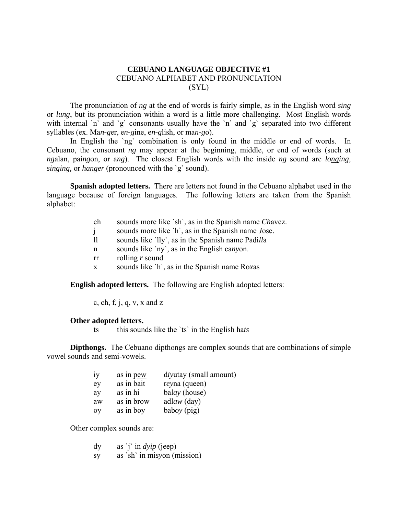# **CEBUANO LANGUAGE OBJECTIVE #1** CEBUANO ALPHABET AND PRONUNCIATION (SYL)

 The pronunciation of *ng* at the end of words is fairly simple, as in the English word *sing* or *lung*, but its pronunciation within a word is a little more challenging. Most English words with internal `n` and `g` consonants usually have the `n` and `g` separated into two different syllables (ex. Ma*n-g*er, e*n-g*ine, e*n-g*lish, or ma*n-g*o).

In English the 'ng' combination is only found in the middle or end of words. In Cebuano, the consonant *ng* may appear at the beginning, middle, or end of words (such at *ng*alan, pai*ng*on, or a*ng*). The closest English words with the inside *ng* sound are *longing, singing,* or *hanger* (pronounced with the `g` sound).

**Spanish adopted letters.** There are letters not found in the Cebuano alphabet used in the language because of foreign languages. The following letters are taken from the Spanish alphabet:

- ch sounds more like `sh`, as in the Spanish name *Ch*avez.
- j sounds more like `h`, as in the Spanish name *J*ose.
- ll sounds like `lly`, as in the Spanish name Padi*ll*a
- n sounds like `ny`, as in the English ca*ny*on.
- rr rolling *r* sound
- x sounds like `h`, as in the Spanish name Ro*x*as

**English adopted letters.** The following are English adopted letters:

c, ch, f, j, q, v, x and z

#### **Other adopted letters.**

ts this sounds like the `ts` in the English ha*ts*

**Dipthongs.** The Cebuano dipthongs are complex sounds that are combinations of simple vowel sounds and semi-vowels.

| 1V | as in pew  | divutay (small amount) |
|----|------------|------------------------|
| ey | as in bait | reyna (queen)          |
| ay | as in hi   | balay (house)          |
| aw | as in brow | adlaw $\text{(day)}$   |
| 0V | as in boy  | baboy $(pig)$          |

Other complex sounds are:

|  | as 'j' in $dyip$ (jeep) |  |
|--|-------------------------|--|
|  |                         |  |

sy as `sh` in mi*sy*on (mission)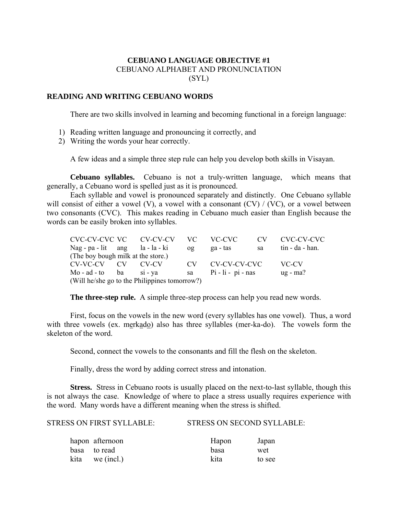# **CEBUANO LANGUAGE OBJECTIVE #1**  CEBUANO ALPHABET AND PRONUNCIATION (SYL)

## **READING AND WRITING CEBUANO WORDS**

There are two skills involved in learning and becoming functional in a foreign language:

- 1) Reading written language and pronouncing it correctly, and
- 2) Writing the words your hear correctly.

A few ideas and a simple three step rule can help you develop both skills in Visayan.

**Cebuano syllables.** Cebuano is not a truly-written language, which means that generally, a Cebuano word is spelled just as it is pronounced.

 Each syllable and vowel is pronounced separately and distinctly. One Cebuano syllable will consist of either a vowel (V), a vowel with a consonant (CV) / (VC), or a vowel between two consonants (CVC). This makes reading in Cebuano much easier than English because the words can be easily broken into syllables.

|                                               |                                    |                | CVC-CV-CVC VC CV-CV-CV | VC.            | VC-CVC                | CV. | CVC-CV-CVC         |
|-----------------------------------------------|------------------------------------|----------------|------------------------|----------------|-----------------------|-----|--------------------|
|                                               | $\text{Nag}$ - pa - lit ang        |                | la - la - ki           | 0 <sup>g</sup> | ga - tas              | sa  | $tin - da - han$ . |
|                                               | (The boy bough milk at the store.) |                |                        |                |                       |     |                    |
|                                               | CV-VC-CV                           | CV <sub></sub> | CV-CV                  | CV.            | CV-CV-CV-CVC          |     | VC-CV              |
|                                               | Mo-ad-to ba                        |                | $si - va$              | sa             | $Pi - I$ i - pi - nas |     | $ug$ - ma?         |
| (Will he/she go to the Philippines tomorrow?) |                                    |                |                        |                |                       |     |                    |

**The three-step rule.** A simple three-step process can help you read new words.

 First, focus on the vowels in the new word (every syllables has one vowel). Thus, a word with three vowels (ex. merkado) also has three syllables (mer-ka-do). The vowels form the skeleton of the word.

Second, connect the vowels to the consonants and fill the flesh on the skeleton.

Finally, dress the word by adding correct stress and intonation.

**Stress.** Stress in Cebuano roots is usually placed on the next-to-last syllable, though this is not always the case. Knowledge of where to place a stress usually requires experience with the word. Many words have a different meaning when the stress is shifted.

STRESS ON FIRST SYLLABLE: STRESS ON SECOND SYLLABLE:

| hapon afternoon   | Hapon | Japan  |
|-------------------|-------|--------|
| basa to read      | basa  | wet    |
| $kita$ we (incl.) | kita  | to see |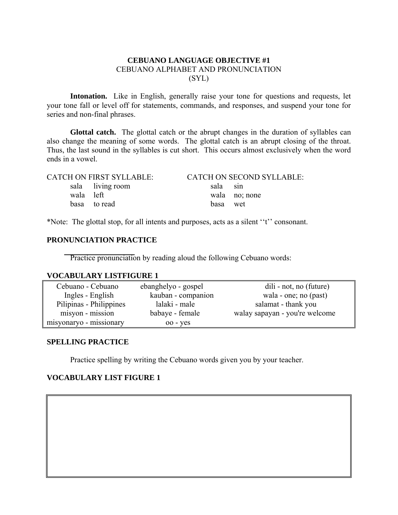# **CEBUANO LANGUAGE OBJECTIVE #1**  CEBUANO ALPHABET AND PRONUNCIATION (SYL)

**Intonation.** Like in English, generally raise your tone for questions and requests, let your tone fall or level off for statements, commands, and responses, and suspend your tone for series and non-final phrases.

**Glottal catch.** The glottal catch or the abrupt changes in the duration of syllables can also change the meaning of some words. The glottal catch is an abrupt closing of the throat. Thus, the last sound in the syllables is cut short. This occurs almost exclusively when the word ends in a vowel.

|           | <b>CATCH ON FIRST SYLLABLE:</b> |          | <b>CATCH ON SECOND SYLLABLE:</b> |
|-----------|---------------------------------|----------|----------------------------------|
|           | sala living room                | sala sin |                                  |
| wala left |                                 |          | wala no; none                    |
|           | basa to read                    | basa wet |                                  |

\*Note: The glottal stop, for all intents and purposes, acts as a silent ''t'' consonant.

# **PRONUNCIATION PRACTICE**

Practice pronunciation by reading aloud the following Cebuano words:

#### **VOCABULARY LISTFIGURE 1**

| Cebuano - Cebuano       | ebanghelyo - gospel | dili - not, no (future)        |
|-------------------------|---------------------|--------------------------------|
| Ingles - English        | kauban - companion  | wala - one; no (past)          |
| Pilipinas - Philippines | lalaki - male       | salamat - thank you            |
| misyon - mission        | babaye - female     | walay sapayan - you're welcome |
| misyonaryo - missionary | $00 - yes$          |                                |

#### **SPELLING PRACTICE**

Practice spelling by writing the Cebuano words given you by your teacher.

## **VOCABULARY LIST FIGURE 1**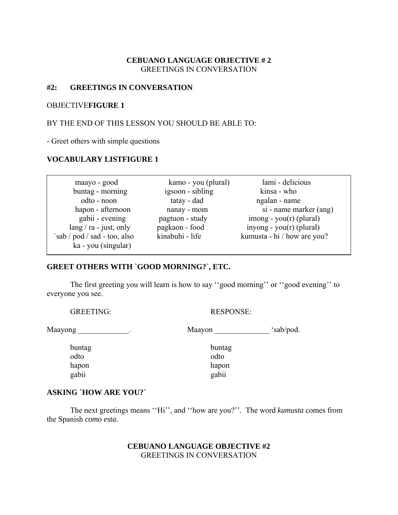# **CEBUANO LANGUAGE OBJECTIVE # 2**  GREETINGS IN CONVERSATION

## **#2: GREETINGS IN CONVERSATION**

## OBJECTIVE**FIGURE 1**

## BY THE END OF THIS LESSON YOU SHOULD BE ABLE TO:

- Greet others with simple questions

## **VOCABULARY LISTFIGURE 1**

| maayo - good                | kamo - you (plural) | lami - delicious                      |
|-----------------------------|---------------------|---------------------------------------|
| buntag - morning            | igsoon - sibling    | kinsa - who                           |
| odto - noon                 | tatay - dad         | ngalan - name                         |
| hapon - afternoon           | nanay - mom         | si - name marker (ang)                |
| gabii - evening             | pagtuon - study     | $\frac{1}{2}$ imong - you(r) (plural) |
| $lang / ra - just$ , only   | pagkaon - food      | $inyong - you(r) (plural)$            |
| sab / pod / sad - too, also | kinabuhi - life     | kumusta - hi / how are you?           |
| ka - you (singular)         |                     |                                       |

#### **GREET OTHERS WITH `GOOD MORNING?`, ETC.**

 The first greeting you will learn is how to say ''good morning'' or ''good evening'' to everyone you see.

GREETING: RESPONSE:

 odto odto gabii gabii

Maayong \_\_\_\_\_\_\_\_\_\_\_\_\_. Maayon \_\_\_\_\_\_\_\_\_\_\_\_\_\_ 'sab/pod.

 buntag buntag hapon hapon hapon

#### **ASKING `HOW ARE YOU?`**

 The next greetings means ''Hi'', and ''how are you?''. The word *kumusta* comes from the Spanish *como esta.*

## **CEBUANO LANGUAGE OBJECTIVE #2**  GREETINGS IN CONVERSATION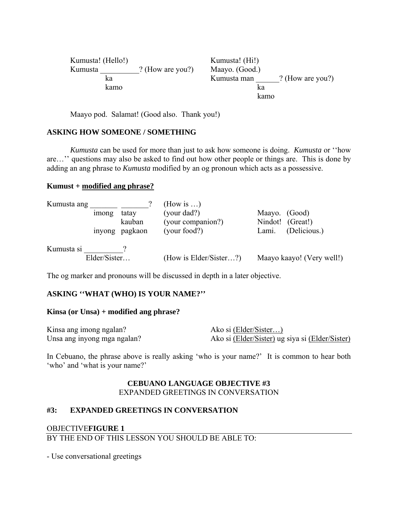| Kumusta! (Hello!) |                  | Kumusta! (Hi!) |                  |
|-------------------|------------------|----------------|------------------|
| Kumusta           | ? (How are you?) | Maayo. (Good.) |                  |
| ka                |                  | Kumusta man    | ? (How are you?) |
| kamo              |                  | ka             |                  |
|                   |                  | kamo           |                  |

Maayo pod. Salamat! (Good also. Thank you!)

#### **ASKING HOW SOMEONE / SOMETHING**

*Kumusta* can be used for more than just to ask how someone is doing. *Kumusta* or ''how are…'' questions may also be asked to find out how other people or things are. This is done by adding an ang phrase to *Kumusta* modified by an og pronoun which acts as a possessive.

#### **Kumust + modified ang phrase?**

| Kumusta ang |              |                | (How is $\ldots$ )     |                           |  |
|-------------|--------------|----------------|------------------------|---------------------------|--|
|             | imong        | tatay          | (your dad?)            | Maayo.<br>(Good)          |  |
|             |              | kauban         | (your companion?)      | Nindot! (Great!)          |  |
|             |              | inyong pagkaon | (your food?)           | (Delicious.)<br>Lami.     |  |
| Kumusta si  |              |                |                        |                           |  |
|             | Elder/Sister |                | (How is Elder/Sister?) | Maayo kaayo! (Very well!) |  |

The og marker and pronouns will be discussed in depth in a later objective.

## **ASKING ''WHAT (WHO) IS YOUR NAME?''**

#### **Kinsa (or Unsa) + modified ang phrase?**

| Kinsa ang imong ngalan?     | Ako si (Elder/Sister)                           |
|-----------------------------|-------------------------------------------------|
| Unsa ang inyong mga ngalan? | Ako si (Elder/Sister) ug siya si (Elder/Sister) |

In Cebuano, the phrase above is really asking 'who is your name?' It is common to hear both 'who' and 'what is your name?'

## **CEBUANO LANGUAGE OBJECTIVE #3**  EXPANDED GREETINGS IN CONVERSATION

## **#3: EXPANDED GREETINGS IN CONVERSATION**

# OBJECTIVE**FIGURE 1** BY THE END OF THIS LESSON YOU SHOULD BE ABLE TO:

- Use conversational greetings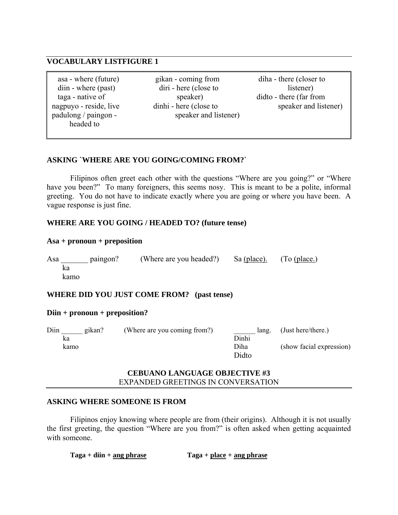# **VOCABULARY LISTFIGURE 1**

| asa - where (future)   |
|------------------------|
| diin - where (past)    |
| taga - native of       |
| nagpuyo - reside, live |
| padulong / paingon -   |
| headed to              |

gikan - coming from diha - there (closer to diri - here (close to listener) speaker and listener)

speaker) didto - there (far from dinhi - here (close to speaker and listener)

# **ASKING `WHERE ARE YOU GOING/COMING FROM?`**

 Filipinos often greet each other with the questions "Where are you going?" or "Where have you been?" To many foreigners, this seems nosy. This is meant to be a polite, informal greeting. You do not have to indicate exactly where you are going or where you have been. A vague response is just fine.

# **WHERE ARE YOU GOING / HEADED TO? (future tense)**

#### **Asa + pronoun + preposition**

Asa baingon? (Where are you headed?) Sa (place). (To (place.) ka kamo

## **WHERE DID YOU JUST COME FROM? (past tense)**

## **Diin + pronoun + preposition?**

| Diin | gikan? | (Where are you coming from?) | lang. | (Just here/there.)       |
|------|--------|------------------------------|-------|--------------------------|
| ka   |        |                              | Dinhi |                          |
| kamo |        |                              | Diha  | (show facial expression) |
|      |        |                              | Didto |                          |

## **CEBUANO LANGUAGE OBJECTIVE #3**  EXPANDED GREETINGS IN CONVERSATION

## **ASKING WHERE SOMEONE IS FROM**

 Filipinos enjoy knowing where people are from (their origins). Although it is not usually the first greeting, the question "Where are you from?" is often asked when getting acquainted with someone.

**Taga + diin + ang phrase Taga + place + ang phrase**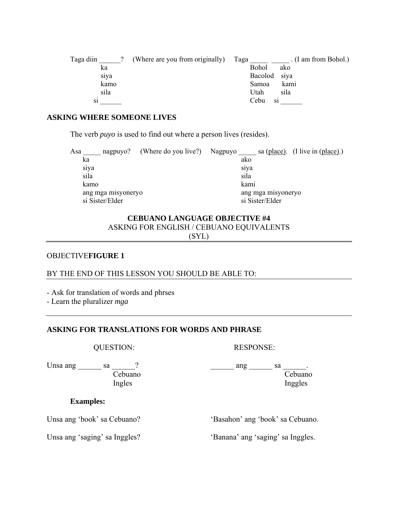| Taga diin | (Where are you from originally) | Taga       | . (I am from Bohol.) |
|-----------|---------------------------------|------------|----------------------|
| ka        |                                 | Bohol      | ako                  |
| siya      |                                 | Bacolod    | siya                 |
| kamo      |                                 | Samoa      | kami                 |
| sila      |                                 | Utah       | sila                 |
| S1        |                                 | Cebu<br>S1 |                      |

#### **ASKING WHERE SOMEONE LIVES**

The verb *puyo* is used to find out where a person lives (resides).

| Asa  | nagpuyo?           | (Where do you live?) | Nagpuyo |                    | sa (place). (I live in (place).) |
|------|--------------------|----------------------|---------|--------------------|----------------------------------|
| ka   |                    |                      | ako     |                    |                                  |
| siya |                    |                      | siya    |                    |                                  |
| sila |                    |                      | sila    |                    |                                  |
| kamo |                    |                      |         | kami               |                                  |
|      | ang mga misyoneryo |                      |         | ang mga misyoneryo |                                  |
|      | si Sister/Elder    |                      |         | si Sister/Elder    |                                  |

# **CEBUANO LANGUAGE OBJECTIVE #4**  ASKING FOR ENGLISH / CEBUANO EQUIVALENTS (SYL)

#### OBJECTIVE**FIGURE 1**

# BY THE END OF THIS LESSON YOU SHOULD BE ABLE TO:

- Ask for translation of words and phrses

- Learn the pluralizer *mga*

# **ASKING FOR TRANSLATIONS FOR WORDS AND PHRASE**

QUESTION: RESPONSE:

Ingles and Ingles and Ingles in the Ingles

Unsa ang  $\begin{array}{cccc} \text{S} & \text{S} & \text{S} \\ \text{S} & \text{S} & \text{S} \\ \text{S} & \text{S} & \text{S} \end{array}$ Cebuano Cebuano

#### **Examples:**

Unsa ang 'book' sa Cebuano? 'Basahon' ang 'book' sa Cebuano.

Unsa ang 'saging' sa Inggles? 'Banana' ang 'saging' sa Inggles.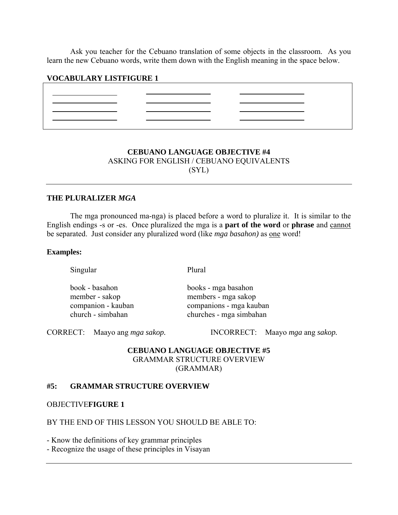Ask you teacher for the Cebuano translation of some objects in the classroom. As you learn the new Cebuano words, write them down with the English meaning in the space below.

#### **VOCABULARY LISTFIGURE 1**

|                                                                                                                 | the contract of the contract of the contract of the contract of the contract of the contract of the contract of |                                                                                                                                                                                                                               |
|-----------------------------------------------------------------------------------------------------------------|-----------------------------------------------------------------------------------------------------------------|-------------------------------------------------------------------------------------------------------------------------------------------------------------------------------------------------------------------------------|
| the contract of the contract of the contract of the contract of the contract of the contract of the contract of | the contract of the contract of the contract of the contract of the contract of the contract of the contract of | the control of the control of the control of the control of the control of the control of the control of the control of the control of the control of the control of the control of the control of the control of the control |
|                                                                                                                 |                                                                                                                 |                                                                                                                                                                                                                               |
|                                                                                                                 | _____                                                                                                           |                                                                                                                                                                                                                               |
|                                                                                                                 |                                                                                                                 |                                                                                                                                                                                                                               |

# **CEBUANO LANGUAGE OBJECTIVE #4**  ASKING FOR ENGLISH / CEBUANO EQUIVALENTS (SYL)

#### **THE PLURALIZER** *MGA*

 The mga pronounced ma-nga) is placed before a word to pluralize it. It is similar to the English endings -s or -es. Once pluralized the mga is a **part of the word** or **phrase** and cannot be separated. Just consider any pluralized word (like *mga basahon)* as one word!

#### **Examples:**

Singular Plural

| book - basahon     | books - mga basahon     |
|--------------------|-------------------------|
| member - sakop     | members - mga sakop     |
| companion - kauban | companions - mga kauban |
| church - simbahan  | churches - mga simbahan |

CORRECT: Maayo ang *mga sakop.* INCORRECT: Maayo *mga* ang *sakop.* 

# **CEBUANO LANGUAGE OBJECTIVE #5**  GRAMMAR STRUCTURE OVERVIEW (GRAMMAR)

#### **#5: GRAMMAR STRUCTURE OVERVIEW**

OBJECTIVE**FIGURE 1**

## BY THE END OF THIS LESSON YOU SHOULD BE ABLE TO:

- Know the definitions of key grammar principles

- Recognize the usage of these principles in Visayan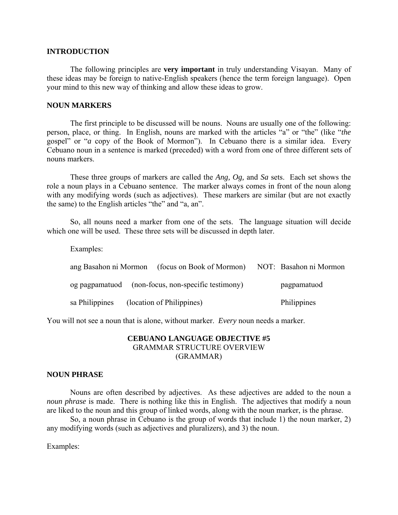#### **INTRODUCTION**

 The following principles are **very important** in truly understanding Visayan. Many of these ideas may be foreign to native-English speakers (hence the term foreign language). Open your mind to this new way of thinking and allow these ideas to grow.

#### **NOUN MARKERS**

 The first principle to be discussed will be nouns. Nouns are usually one of the following: person, place, or thing. In English, nouns are marked with the articles "a" or "the" (like "*the* gospel" or "*a* copy of the Book of Mormon"). In Cebuano there is a similar idea. Every Cebuano noun in a sentence is marked (preceded) with a word from one of three different sets of nouns markers.

 These three groups of markers are called the *Ang, Og,* and *Sa* sets. Each set shows the role a noun plays in a Cebuano sentence. The marker always comes in front of the noun along with any modifying words (such as adjectives). These markers are similar (but are not exactly the same) to the English articles "the" and "a, an".

 So, all nouns need a marker from one of the sets. The language situation will decide which one will be used. These three sets will be discussed in depth later.

Examples:

| ang Basahon ni Mormon | (focus on Book of Mormon)                          | NOT: Basahon ni Mormon |
|-----------------------|----------------------------------------------------|------------------------|
|                       | og pagpamatuod (non-focus, non-specific testimony) | pagpamatuod            |
| sa Philippines        | (location of Philippines)                          | Philippines            |

You will not see a noun that is alone, without marker. *Every* noun needs a marker.

# **CEBUANO LANGUAGE OBJECTIVE #5**  GRAMMAR STRUCTURE OVERVIEW (GRAMMAR)

#### **NOUN PHRASE**

Nouns are often described by adjectives. As these adjectives are added to the noun a *noun phrase* is made. There is nothing like this in English. The adjectives that modify a noun are liked to the noun and this group of linked words, along with the noun marker, is the phrase.

 So, a noun phrase in Cebuano is the group of words that include 1) the noun marker, 2) any modifying words (such as adjectives and pluralizers), and 3) the noun.

Examples: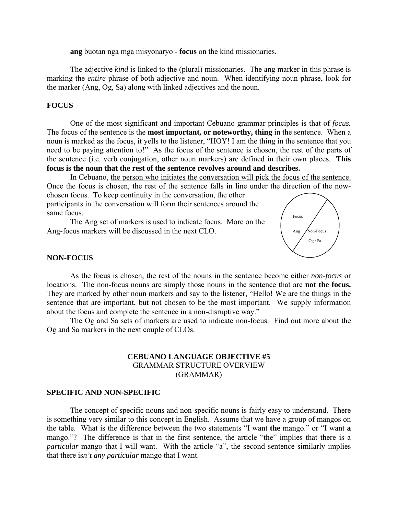**ang** buotan nga mga misyonaryo - **focus** on the kind missionaries.

 The adjective *kind* is linked to the (plural) missionaries. The ang marker in this phrase is marking the *entire* phrase of both adjective and noun. When identifying noun phrase, look for the marker (Ang, Og, Sa) along with linked adjectives and the noun.

## **FOCUS**

 One of the most significant and important Cebuano grammar principles is that of *focus.* The focus of the sentence is the **most important, or noteworthy, thing** in the sentence. When a noun is marked as the focus, it yells to the listener, "HOY! I am the thing in the sentence that you need to be paying attention to!" As the focus of the sentence is chosen, the rest of the parts of the sentence (i.e. verb conjugation, other noun markers) are defined in their own places. **This focus is the noun that the rest of the sentence revolves around and describes.**

 In Cebuano, the person who initiates the conversation will pick the focus of the sentence. Once the focus is chosen, the rest of the sentence falls in line under the direction of the nowchosen focus. To keep continuity in the conversation, the other participants in the conversation will form their sentences around the same focus.

 The Ang set of markers is used to indicate focus. More on the Ang-focus markers will be discussed in the next CLO.



#### **NON-FOCUS**

 As the focus is chosen, the rest of the nouns in the sentence become either *non-focus* or locations. The non-focus nouns are simply those nouns in the sentence that are **not the focus.** They are marked by other noun markers and say to the listener, "Hello! We are the things in the sentence that are important, but not chosen to be the most important. We supply information about the focus and complete the sentence in a non-disruptive way."

 The Og and Sa sets of markers are used to indicate non-focus. Find out more about the Og and Sa markers in the next couple of CLOs.

## **CEBUANO LANGUAGE OBJECTIVE #5**  GRAMMAR STRUCTURE OVERVIEW (GRAMMAR)

#### **SPECIFIC AND NON-SPECIFIC**

 The concept of specific nouns and non-specific nouns is fairly easy to understand. There is something very similar to this concept in English. Assume that we have a group of mangos on the table. What is the difference between the two statements "I want **the** mango." or "I want **a** mango."? The difference is that in the first sentence, the article "the" implies that there is a *particular* mango that I will want. With the article "a", the second sentence similarly implies that there is*n't any particular* mango that I want.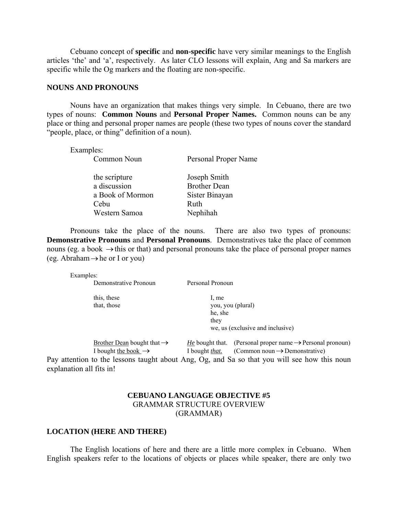Cebuano concept of **specific** and **non-specific** have very similar meanings to the English articles 'the' and 'a', respectively. As later CLO lessons will explain, Ang and Sa markers are specific while the Og markers and the floating are non-specific.

#### **NOUNS AND PRONOUNS**

 Nouns have an organization that makes things very simple. In Cebuano, there are two types of nouns: **Common Nouns** and **Personal Proper Names.** Common nouns can be any place or thing and personal proper names are people (these two types of nouns cover the standard "people, place, or thing" definition of a noun).

Examples:

Common Noun Personal Proper Name

| the scripture    | Joseph Smith        |
|------------------|---------------------|
| a discussion     | <b>Brother Dean</b> |
| a Book of Mormon | Sister Binayan      |
| Cebu             | Ruth                |
| Western Samoa    | Nephihah            |

 Pronouns take the place of the nouns. There are also two types of pronouns: **Demonstrative Pronouns** and **Personal Pronouns**. Demonstratives take the place of common nouns (eg. a book  $\rightarrow$  this or that) and personal pronouns take the place of personal proper names (eg. Abraham  $\rightarrow$  he or I or you)

Examples:

| Demonstrative Pronoun                                                            | Personal Pronoun                                                                                                                                       |
|----------------------------------------------------------------------------------|--------------------------------------------------------------------------------------------------------------------------------------------------------|
| this, these<br>that, those                                                       | 1. me<br>you, you (plural)<br>he, she<br>they                                                                                                          |
|                                                                                  | we, us (exclusive and inclusive)                                                                                                                       |
| <u>Brother Dean</u> bought that $\rightarrow$<br>I bought the book $\rightarrow$ | (Personal proper name $\rightarrow$ Personal pronoun)<br><i>He</i> bought that.<br>(Common noun $\rightarrow$ Demonstrative)<br>I bought <i>that</i> . |
| explanation all fits in!                                                         | Pay attention to the lessons taught about Ang, Og, and Sa so that you will see how this noun                                                           |

## **CEBUANO LANGUAGE OBJECTIVE #5**  GRAMMAR STRUCTURE OVERVIEW (GRAMMAR)

#### **LOCATION (HERE AND THERE)**

The English locations of here and there are a little more complex in Cebuano. When English speakers refer to the locations of objects or places while speaker, there are only two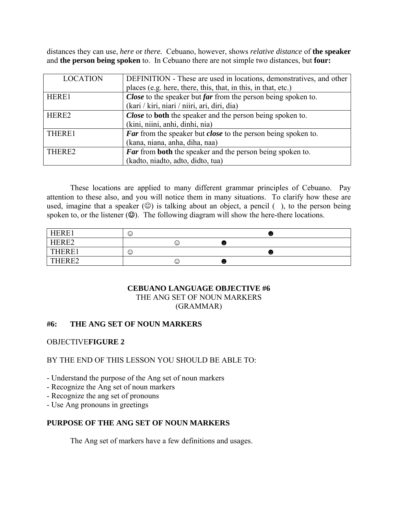distances they can use, *here* or *there.* Cebuano, however, shows *relative distance* of **the speaker**  and **the person being spoken** to. In Cebuano there are not simple two distances, but **four:**

| <b>LOCATION</b>   | DEFINITION - These are used in locations, demonstratives, and other         |
|-------------------|-----------------------------------------------------------------------------|
|                   | places (e.g. here, there, this, that, in this, in that, etc.)               |
| HERE1             | Close to the speaker but far from the person being spoken to.               |
|                   | (kari / kiri, niari / niiri, ari, diri, dia)                                |
| HERE <sub>2</sub> | Close to both the speaker and the person being spoken to.                   |
|                   | (kini, niini, anhi, dinhi, nia)                                             |
| THERE1            | <b>Far</b> from the speaker but <i>close</i> to the person being spoken to. |
|                   | (kana, niana, anha, diha, naa)                                              |
| THERE2            | <b>Far</b> from <b>both</b> the speaker and the person being spoken to.     |
|                   | (kadto, niadto, adto, didto, tua)                                           |

 These locations are applied to many different grammar principles of Cebuano. Pay attention to these also, and you will notice them in many situations. To clarify how these are used, imagine that a speaker  $(\odot)$  is talking about an object, a pencil (), to the person being spoken to, or the listener  $(\mathcal{Q})$ . The following diagram will show the here-there locations.

| <b>HERE1</b>             | ☺ |   |                                    | $\sim$ |
|--------------------------|---|---|------------------------------------|--------|
| ${\rm HFRF2}$<br>------- |   | ⊙ | $\sim$<br>$\sim$                   |        |
| THERE1                   | ☺ |   |                                    | $\sim$ |
| $\pm$ ERE $2$            |   | ⊙ | $\sim$<br>$\overline{\phantom{0}}$ |        |

#### **CEBUANO LANGUAGE OBJECTIVE #6**  THE ANG SET OF NOUN MARKERS (GRAMMAR)

# **#6: THE ANG SET OF NOUN MARKERS**

## OBJECTIVE**FIGURE 2**

## BY THE END OF THIS LESSON YOU SHOULD BE ABLE TO:

- Understand the purpose of the Ang set of noun markers
- Recognize the Ang set of noun markers
- Recognize the ang set of pronouns
- Use Ang pronouns in greetings

# **PURPOSE OF THE ANG SET OF NOUN MARKERS**

The Ang set of markers have a few definitions and usages.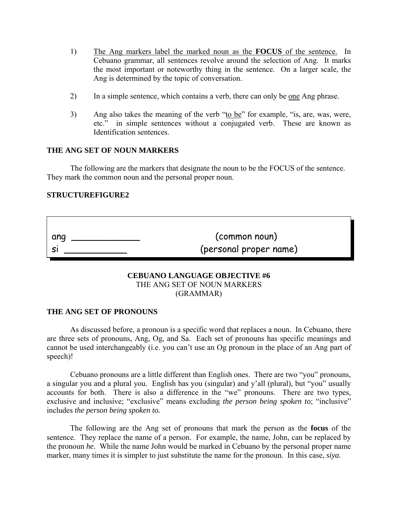- 1) The Ang markers label the marked noun as the **FOCUS** of the sentence. In Cebuano grammar, all sentences revolve around the selection of Ang. It marks the most important or noteworthy thing in the sentence. On a larger scale, the Ang is determined by the topic of conversation.
- 2) In a simple sentence, which contains a verb, there can only be <u>one</u> Ang phrase.
- 3) Ang also takes the meaning of the verb "to be" for example, "is, are, was, were, etc." in simple sentences without a conjugated verb. These are known as Identification sentences.

#### **THE ANG SET OF NOUN MARKERS**

The following are the markers that designate the noun to be the FOCUS of the sentence. They mark the common noun and the personal proper noun.

## **STRUCTUREFIGURE2**

| ang | (common noun)          |
|-----|------------------------|
|     | (personal proper name) |

#### **CEBUANO LANGUAGE OBJECTIVE #6**  THE ANG SET OF NOUN MARKERS (GRAMMAR)

#### **THE ANG SET OF PRONOUNS**

 As discussed before, a pronoun is a specific word that replaces a noun. In Cebuano, there are three sets of pronouns, Ang, Og, and Sa. Each set of pronouns has specific meanings and cannot be used interchangeably (i.e. you can't use an Og pronoun in the place of an Ang part of speech)!

 Cebuano pronouns are a little different than English ones. There are two "you" pronouns, a singular you and a plural you. English has you (singular) and y'all (plural), but "you" usually accounts for both. There is also a difference in the "we" pronouns. There are two types, exclusive and inclusive; "exclusive" means excluding *the person being spoken to*; "inclusive" includes *the person being spoken to.*

 The following are the Ang set of pronouns that mark the person as the **focus** of the sentence. They replace the name of a person. For example, the name, John, can be replaced by the pronoun *he.* While the name John would be marked in Cebuano by the personal proper name marker, many times it is simpler to just substitute the name for the pronoun. In this case, *siya.*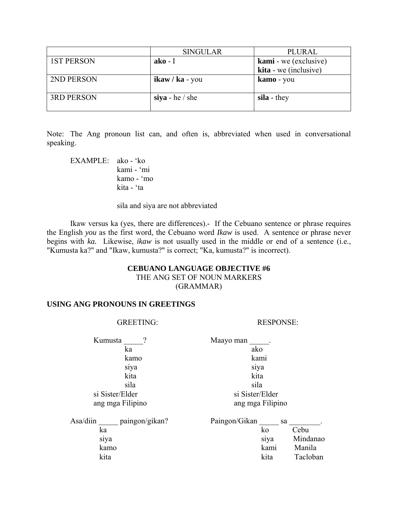|                   | <b>SINGULAR</b>     | PLURAL                |
|-------------------|---------------------|-----------------------|
| <b>1ST PERSON</b> | $ako-I$             | kami - we (exclusive) |
|                   |                     | kita - we (inclusive) |
| 2ND PERSON        | $ikaw / ka - you$   | kamo - you            |
| <b>3RD PERSON</b> | $\sin a$ - he / she | sila - they           |

Note: The Ang pronoun list can, and often is, abbreviated when used in conversational speaking.

 EXAMPLE: ako - 'ko kami - 'mi kamo - 'mo kita - 'ta

sila and siya are not abbreviated

 Ikaw versus ka (yes, there are differences).- If the Cebuano sentence or phrase requires the English *you* as the first word, the Cebuano word *Ikaw* is used. A sentence or phrase never begins with *ka.* Likewise, *ikaw* is not usually used in the middle or end of a sentence (i.e., "Kumusta ka?" and "Ikaw, kumusta?" is correct; "Ka, kumusta?" is incorrect).

## **CEBUANO LANGUAGE OBJECTIVE #6**  THE ANG SET OF NOUN MARKERS (GRAMMAR)

## **USING ANG PRONOUNS IN GREETINGS**

## GREETING: RESPONSE:

Kumusta  $\qquad$  ? Maayo man  $\qquad$  ka ako kamo kami siya siya kita kita sila sila

 si Sister/Elder si Sister/Elder ang mga Filipino ang mga Filipino

| Asa/diin | paingon/gikan? | Paingon/Gikan |      | sa       |
|----------|----------------|---------------|------|----------|
| ka       |                |               | KΟ   | Cebu     |
| siya     |                |               | siya | Mindanao |
| kamo     |                |               | kami | Manila   |
| kita     |                |               | kita | Tacloban |
|          |                |               |      |          |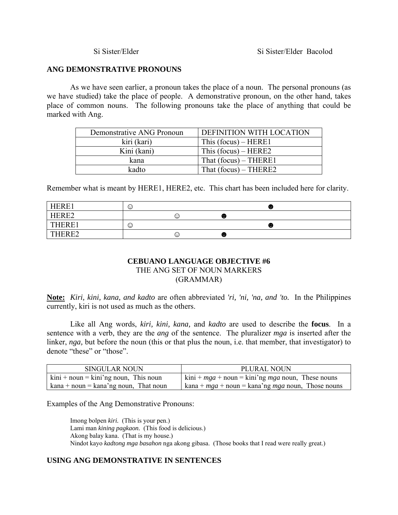## **ANG DEMONSTRATIVE PRONOUNS**

 As we have seen earlier, a pronoun takes the place of a noun. The personal pronouns (as we have studied) take the place of people. A demonstrative pronoun, on the other hand, takes place of common nouns. The following pronouns take the place of anything that could be marked with Ang.

| Demonstrative ANG Pronoun | DEFINITION WITH LOCATION |
|---------------------------|--------------------------|
| kiri (kari)               | This $(focus) - HERE1$   |
| Kini (kani)               | This $(focus) - HERE2$   |
| kana                      | That $(focus)$ – THERE1  |
| kadto                     | That $(focus)$ – THERE2  |

Remember what is meant by HERE1, HERE2, etc. This chart has been included here for clarity.

| HERE1        | $\odot$ |   |              | $\sim$      |
|--------------|---------|---|--------------|-------------|
| HERE2        |         | ⊙ | . .<br>w.    |             |
| <b>THERE</b> | $\odot$ |   |              | .<br>$\sim$ |
| THERE?       |         | ☺ | $\sim$<br>w. |             |

# **CEBUANO LANGUAGE OBJECTIVE #6**  THE ANG SET OF NOUN MARKERS (GRAMMAR)

**Note:** *Kiri, kini, kana, and kadto* are often abbreviated *'ri, 'ni, 'na, and 'to.* In the Philippines currently, kiri is not used as much as the others.

 Like all Ang words, *kiri, kini, kana,* and *kadto* are used to describe the **focus**. In a sentence with a verb, they are the *ang* of the sentence. The pluralizer *mga* is inserted after the linker, *nga*, but before the noun (this or that plus the noun, i.e. that member, that investigator) to denote "these" or "those".

| <b>SINGULAR NOUN</b>                                                | PLURAL NOUN                                                      |
|---------------------------------------------------------------------|------------------------------------------------------------------|
| $\text{kini} + \text{noun} = \text{kini}'$ ng noun, This noun       | $\sinh + mga + \text{noun} = \sinh \ng \ maga$ noun, These nouns |
| $\text{kana} + \text{noun} = \text{kana'ng noun}, \text{That noun}$ | kana + $mga$ + noun = kana'ng $mga$ noun, Those nouns            |

Examples of the Ang Demonstrative Pronouns:

 Imong bolpen *kiri.* (This is your pen.) Lami man *kining pagkaon.* (This food is delicious.) Akong balay kana. (That is my house.) Nindot kayo *kadtong mga basahon* nga akong gibasa. (Those books that I read were really great.)

# **USING ANG DEMONSTRATIVE IN SENTENCES**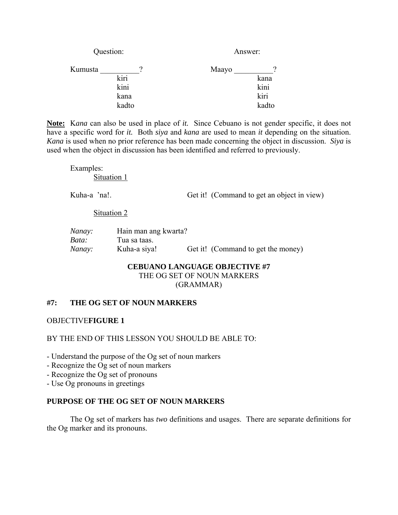| Question: | Answer: |       |
|-----------|---------|-------|
|           | Maayo   |       |
| kiri      |         | kana  |
| kini      |         | kini  |
| kana      |         | kiri  |
| kadto     |         | kadto |
|           |         |       |

**Note:** K*ana* can also be used in place of *it.* Since Cebuano is not gender specific, it does not have a specific word for *it.* Both *siya* and *kana* are used to mean *it* depending on the situation. *Kana* is used when no prior reference has been made concerning the object in discussion. *Siya* is used when the object in discussion has been identified and referred to previously.

 Examples: Situation 1

Kuha-a 'na!. Get it! (Command to get an object in view)

#### Situation 2

| Nanay: | Hain man ang kwarta? |                                    |
|--------|----------------------|------------------------------------|
| Bata:  | Tua sa taas.         |                                    |
| Nanay: | Kuha-a siya!         | Get it! (Command to get the money) |

# **CEBUANO LANGUAGE OBJECTIVE #7**  THE OG SET OF NOUN MARKERS (GRAMMAR)

# **#7: THE OG SET OF NOUN MARKERS**

OBJECTIVE**FIGURE 1** 

# BY THE END OF THIS LESSON YOU SHOULD BE ABLE TO:

- Understand the purpose of the Og set of noun markers
- Recognize the Og set of noun markers
- Recognize the Og set of pronouns
- Use Og pronouns in greetings

## **PURPOSE OF THE OG SET OF NOUN MARKERS**

The Og set of markers has *two* definitions and usages. There are separate definitions for the Og marker and its pronouns.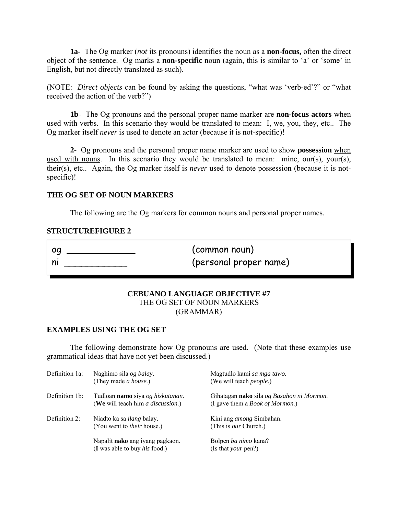**1a**- The Og marker (*not* its pronouns) identifies the noun as a **non-focus,** often the direct object of the sentence. Og marks a **non-specific** noun (again, this is similar to 'a' or 'some' in English, but not directly translated as such).

(NOTE: *Direct objects* can be found by asking the questions, "what was 'verb-ed'?" or "what received the action of the verb?")

**1b**- The Og pronouns and the personal proper name marker are **non-focus actors** when used with verbs. In this scenario they would be translated to mean: I, we, you, they, etc.. The Og marker itself *never* is used to denote an actor (because it is not-specific)!

**2**- Og pronouns and the personal proper name marker are used to show **possession** when used with nouns. In this scenario they would be translated to mean: mine, our(s), your(s), their(s), etc.. Again, the Og marker itself is *never* used to denote possession (because it is notspecific)!

## **THE OG SET OF NOUN MARKERS**

The following are the Og markers for common nouns and personal proper names.

#### **STRUCTUREFIGURE 2**

| oa | (common noun)          |
|----|------------------------|
|    | (personal proper name) |

#### **CEBUANO LANGUAGE OBJECTIVE #7**  THE OG SET OF NOUN MARKERS (GRAMMAR)

#### **EXAMPLES USING THE OG SET**

 The following demonstrate how Og pronouns are used. (Note that these examples use grammatical ideas that have not yet been discussed.)

| Definition 1a: | Naghimo sila og balay.<br>(They made <i>a house</i> .)                        | Magtudlo kami sa mga tawo.<br>(We will teach <i>people</i> .)                        |
|----------------|-------------------------------------------------------------------------------|--------------------------------------------------------------------------------------|
| Definition 1b: | Tudloan namo siya og hiskutanan.<br>(We will teach him <i>a discussion</i> .) | Gihatagan nako sila og Basahon ni Mormon.<br>(I gave them a <i>Book of Mormon.</i> ) |
| Definition 2:  | Niadto ka sa <i>ilang</i> balay.<br>(You went to <i>their</i> house.)         | Kini ang <i>among</i> Simbahan.<br>(This is <i>our</i> Church.)                      |
|                | Napalit nako ang iyang pagkaon.<br>$(I$ was able to buy <i>his</i> food.)     | Bolpen <i>ba nimo</i> kana?<br>(Is that <i>your</i> pen?)                            |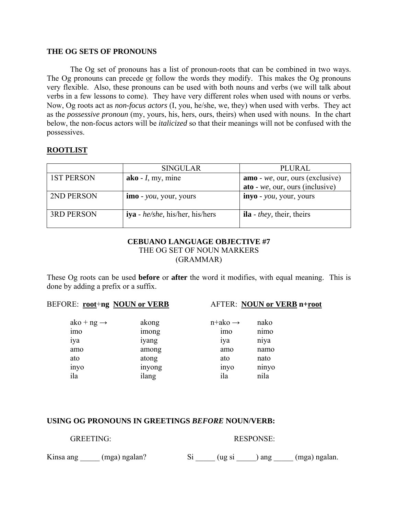#### **THE OG SETS OF PRONOUNS**

The Og set of pronouns has a list of pronoun-roots that can be combined in two ways. The Og pronouns can precede or follow the words they modify. This makes the Og pronouns very flexible. Also, these pronouns can be used with both nouns and verbs (we will talk about verbs in a few lessons to come). They have very different roles when used with nouns or verbs. Now, Og roots act as *non-focus actors* (I, you, he/she, we, they) when used with verbs. They act as the *possessive pronoun* (my, yours, his, hers, ours, theirs) when used with nouns. In the chart below, the non-focus actors will be *italicized* so that their meanings will not be confused with the possessives.

# **ROOTLIST**

|                   | <b>SINGULAR</b>                           | PLURAL                                   |
|-------------------|-------------------------------------------|------------------------------------------|
| <b>1ST PERSON</b> | $ako - I$ , my, mine                      | amo - we, our, ours (exclusive)          |
|                   |                                           | $\text{ato}$ - we, our, ours (inclusive) |
| 2ND PERSON        | <b>imo</b> - <i>you</i> , your, yours     | inyo - <i>you</i> , your, yours          |
|                   |                                           |                                          |
| <b>3RD PERSON</b> | <b>iya</b> - $he/she$ , his/her, his/hers | <b>ila</b> - <i>they</i> , their, theirs |
|                   |                                           |                                          |

## **CEBUANO LANGUAGE OBJECTIVE #7**  THE OG SET OF NOUN MARKERS (GRAMMAR)

These Og roots can be used **before** or **after** the word it modifies, with equal meaning. This is done by adding a prefix or a suffix.

## BEFORE: **root**+**ng NOUN or VERB** AFTER: **NOUN or VERB n+root**

| $ako + ng \rightarrow$ | akong  | $n$ +ako $\rightarrow$ | nako  |
|------------------------|--------|------------------------|-------|
| <sub>1</sub> mo        | imong  | 1 <sub>mo</sub>        | nimo  |
| 1ya                    | iyang  | 1ya                    | niya  |
| amo                    | among  | amo                    | namo  |
| ato                    | atong  | ato                    | nato  |
| inyo                   | inyong | inyo                   | ninyo |
| ila                    | ilang  | ila                    | nila  |

#### **USING OG PRONOUNS IN GREETINGS** *BEFORE* **NOUN/VERB:**

| <b>GREETING:</b>        |  | <b>RESPONSE:</b> |                               |
|-------------------------|--|------------------|-------------------------------|
| Kinsa ang (mga) ngalan? |  |                  | Si (ug si ) ang (mga) ngalan. |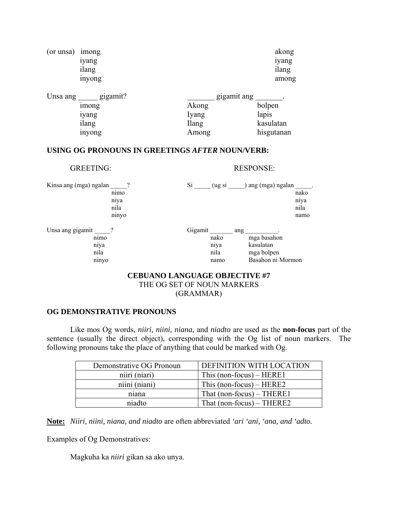| (or unsa) | imong<br>iyang<br>ilang<br>inyong             |                                                 | akong<br>iyang<br>ilang<br>among           |
|-----------|-----------------------------------------------|-------------------------------------------------|--------------------------------------------|
| Unsa ang  | gigamit?<br>imong<br>iyang<br>ilang<br>inyong | gigamit ang<br>Akong<br>Iyang<br>Ilang<br>Among | bolpen<br>lapis<br>kasulatan<br>hisgutanan |

GREETING: RESPONSE:

# **USING OG PRONOUNS IN GREETINGS** *AFTER* **NOUN/VERB:**

| Kinsa ang (mga) ngalan                            | nimo<br>niya<br>nila<br>ninyo | Si      | (ug si                       |     | ang (mga) ngalan                                            | nako<br>niya<br>nila<br>namo |
|---------------------------------------------------|-------------------------------|---------|------------------------------|-----|-------------------------------------------------------------|------------------------------|
| Unsa ang gigamit<br>nimo<br>niya<br>nila<br>ninyo |                               | Gigamit | nako<br>niya<br>nila<br>namo | ang | mga basahon<br>kasulatan<br>mga bolpen<br>Basahon ni Mormon |                              |

#### **CEBUANO LANGUAGE OBJECTIVE #7**  THE OG SET OF NOUN MARKERS (GRAMMAR)

#### **OG DEMONSTRATIVE PRONOUNS**

 Like mos Og words, *niiri, niini, niana,* and *niadto* are used as the **non-focus** part of the sentence (usually the direct object), corresponding with the Og list of noun markers. The following pronouns take the place of anything that could be marked with Og.

| Demonstrative OG Pronoun | DEFINITION WITH LOCATION    |
|--------------------------|-----------------------------|
| niiri (niari)            | This (non-focus) $-$ HERE1  |
| niini (niani)            | This (non-focus) $-$ HERE2  |
| niana                    | That $(non-focus)$ – THERE1 |
| niadto                   | That $(non-focus)$ – THERE2 |

**Note:** *Niiri, niini, niana, and niadto* are often abbreviated *'ari 'ani, 'ana, and 'adto.*

Examples of Og Demonstratives:

Magkuha ka *niiri* gikan sa ako unya.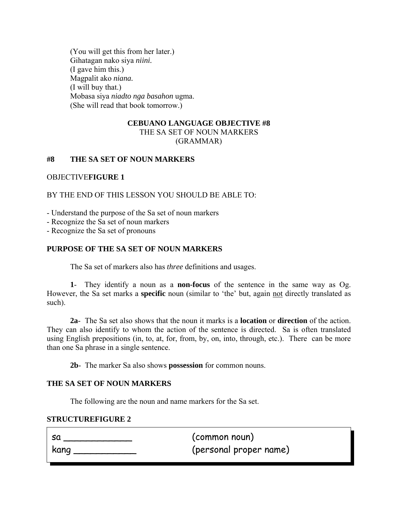(You will get this from her later.) Gihatagan nako siya *niini.* (I gave him this.) Magpalit ako *niana.* (I will buy that.) Mobasa siya *niadto nga basahon* ugma. (She will read that book tomorrow.)

# **CEBUANO LANGUAGE OBJECTIVE #8**  THE SA SET OF NOUN MARKERS

#### (GRAMMAR)

# **#8 THE SA SET OF NOUN MARKERS**

## OBJECTIVE**FIGURE 1**

BY THE END OF THIS LESSON YOU SHOULD BE ABLE TO:

- Understand the purpose of the Sa set of noun markers

- Recognize the Sa set of noun markers

- Recognize the Sa set of pronouns

# **PURPOSE OF THE SA SET OF NOUN MARKERS**

The Sa set of markers also has *three* definitions and usages.

**1**- They identify a noun as a **non-focus** of the sentence in the same way as Og. However, the Sa set marks a **specific** noun (similar to 'the' but, again not directly translated as such).

**2a**- The Sa set also shows that the noun it marks is a **location** or **direction** of the action. They can also identify to whom the action of the sentence is directed. Sa is often translated using English prepositions (in, to, at, for, from, by, on, into, through, etc.). There can be more than one Sa phrase in a single sentence.

**2b**- The marker Sa also shows **possession** for common nouns.

# **THE SA SET OF NOUN MARKERS**

The following are the noun and name markers for the Sa set.

#### **STRUCTUREFIGURE 2**

sa \_\_\_\_\_\_\_\_\_\_\_\_ (common noun) kang \_\_\_\_\_\_\_\_\_\_\_ (personal proper name)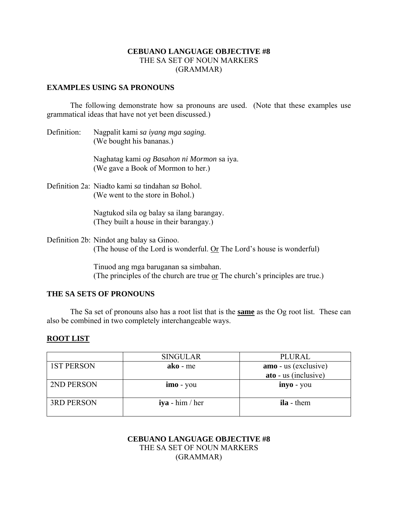# **CEBUANO LANGUAGE OBJECTIVE #8**  THE SA SET OF NOUN MARKERS (GRAMMAR)

## **EXAMPLES USING SA PRONOUNS**

 The following demonstrate how sa pronouns are used. (Note that these examples use grammatical ideas that have not yet been discussed.)

Definition: Nagpalit kami *sa iyang mga saging.* (We bought his bananas.)

> Naghatag kami *og Basahon ni Mormon* sa iya. (We gave a Book of Mormon to her.)

Definition 2a: Niadto kami *sa* tindahan *sa* Bohol. (We went to the store in Bohol.)

> Nagtukod sila og balay sa ilang barangay. (They built a house in their barangay.)

Definition 2b: Nindot ang balay sa Ginoo. (The house of the Lord is wonderful.  $Or The Lord's house is wonderful)$ </u>

> Tinuod ang mga baruganan sa simbahan. (The principles of the church are true or The church's principles are true.)

#### **THE SA SETS OF PRONOUNS**

 The Sa set of pronouns also has a root list that is the **same** as the Og root list. These can also be combined in two completely interchangeable ways.

## **ROOT LIST**

|                   | <b>SINGULAR</b>   | PLURAL               |
|-------------------|-------------------|----------------------|
| <b>1ST PERSON</b> | $ako$ - me        | amo - us (exclusive) |
|                   |                   | ato - us (inclusive) |
| 2ND PERSON        | $imo - you$       | inyo - you           |
| <b>3RD PERSON</b> | $iya - him / her$ | <b>ila</b> - them    |

## **CEBUANO LANGUAGE OBJECTIVE #8**  THE SA SET OF NOUN MARKERS (GRAMMAR)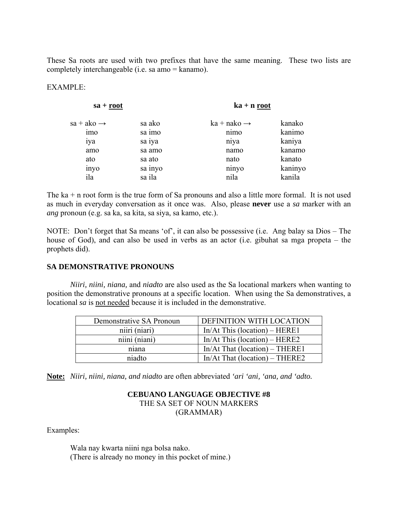These Sa roots are used with two prefixes that have the same meaning. These two lists are completely interchangeable (i.e. sa amo = kanamo).

## EXAMPLE:

| $sa + root$            |                  | $ka + n root$           |                  |
|------------------------|------------------|-------------------------|------------------|
| $sa + ako \rightarrow$ | sa ako<br>sa imo | $ka + nako \rightarrow$ | kanako<br>kanimo |
| imo<br>1ya             | sa iya           | nimo<br>niya            | kaniya           |
| amo                    | sa amo           | namo                    | kanamo           |
| ato                    | sa ato           | nato                    | kanato           |
| inyo                   | sa inyo          | ninyo                   | kaninyo          |
| ila                    | sa ila           | nila                    | kanila           |

The ka + n root form is the true form of Sa pronouns and also a little more formal. It is not used as much in everyday conversation as it once was. Also, please **never** use a *sa* marker with an *ang* pronoun (e.g. sa ka, sa kita, sa siya, sa kamo, etc.).

NOTE: Don't forget that Sa means 'of', it can also be possessive (i.e. Ang balay sa Dios – The house of God), and can also be used in verbs as an actor (i.e. gibuhat sa mga propeta – the prophets did).

## **SA DEMONSTRATIVE PRONOUNS**

*Niiri, niini, niana,* and *niadto* are also used as the Sa locational markers when wanting to position the demonstrative pronouns at a specific location. When using the Sa demonstratives, a locational *sa* is not needed because it is included in the demonstrative.

| Demonstrative SA Pronoun | DEFINITION WITH LOCATION         |
|--------------------------|----------------------------------|
| niiri (niari)            | In/At This (location) $-$ HERE1  |
| niini (niani)            | In/At This (location) $-$ HERE2  |
| niana                    | $In/At$ That (location) – THERE1 |
| niadto                   | $In/At$ That (location) – THERE2 |

**Note:** *Niiri, niini, niana, and niadto* are often abbreviated *'ari 'ani, 'ana, and 'adto.*

# **CEBUANO LANGUAGE OBJECTIVE #8**  THE SA SET OF NOUN MARKERS

(GRAMMAR)

Examples:

 Wala nay kwarta niini nga bolsa nako. (There is already no money in this pocket of mine.)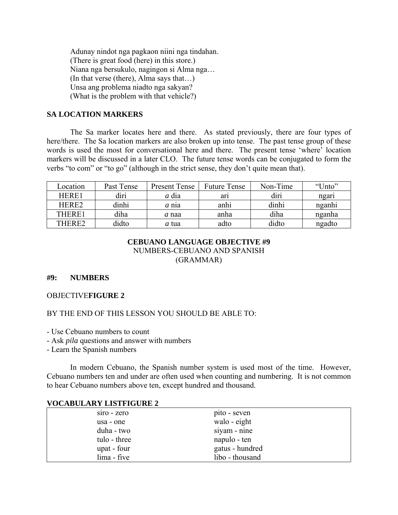Adunay nindot nga pagkaon niini nga tindahan. (There is great food (here) in this store.) Niana nga bersukulo, nagingon si Alma nga… (In that verse (there), Alma says that…) Unsa ang problema niadto nga sakyan? (What is the problem with that vehicle?)

## **SA LOCATION MARKERS**

 The Sa marker locates here and there. As stated previously, there are four types of here/there. The Sa location markers are also broken up into tense. The past tense group of these words is used the most for conversational here and there. The present tense 'where' location markers will be discussed in a later CLO. The future tense words can be conjugated to form the verbs "to com" or "to go" (although in the strict sense, they don't quite mean that).

| Location     | Past Tense | <b>Present Tense</b> | <b>Future Tense</b> | Non-Time | "Unto" |
|--------------|------------|----------------------|---------------------|----------|--------|
| <b>HERE1</b> | diri       | a dia                | arı                 | diri     | ngari  |
| HERE2        | dinhi      | a nia                | anhi                | dinhi    | nganhi |
| THERE1       | diha       | a naa                | anha                | diha     | nganha |
| THERE2       | didto      | <i>a</i> tua         | adto                | didto    | ngadto |

# **CEBUANO LANGUAGE OBJECTIVE #9**  NUMBERS-CEBUANO AND SPANISH (GRAMMAR)

## **#9: NUMBERS**

#### OBJECTIVE**FIGURE 2**

## BY THE END OF THIS LESSON YOU SHOULD BE ABLE TO:

- Use Cebuano numbers to count
- Ask *pila* questions and answer with numbers
- Learn the Spanish numbers

 In modern Cebuano, the Spanish number system is used most of the time. However, Cebuano numbers ten and under are often used when counting and numbering. It is not common to hear Cebuano numbers above ten, except hundred and thousand.

#### **VOCABULARY LISTFIGURE 2**

| siro - zero  | pito - seven    |
|--------------|-----------------|
| usa - one    | walo - eight    |
| duha - two   | siyam - nine    |
| tulo - three | napulo - ten    |
| upat - four  | gatus - hundred |
| lima - five  | libo - thousand |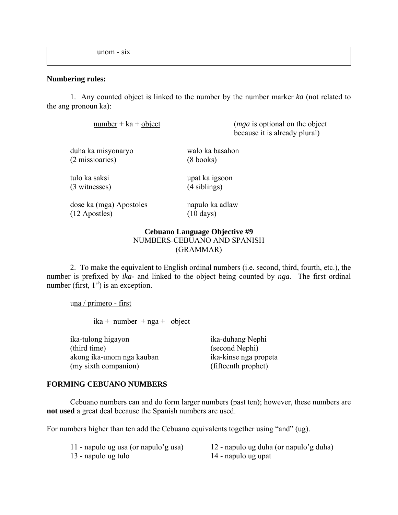unom - six

#### **Numbering rules:**

 1. Any counted object is linked to the number by the number marker *ka* (not related to the ang pronoun ka):

number + ka + object (*mga* is optional on the object because it is already plural)

| duha ka misyonaryo | walo ka basahon     |
|--------------------|---------------------|
| (2 missioaries)    | $(8 \text{ books})$ |

(3 witnesses) (4 siblings)

tulo ka saksi upat ka igsoon

 dose ka (mga) Apostoles napulo ka adlaw (12 Apostles) (10 days)

## **Cebuano Language Objective #9**  NUMBERS-CEBUANO AND SPANISH (GRAMMAR)

 2. To make the equivalent to English ordinal numbers (i.e. second, third, fourth, etc.), the number is prefixed by *ika-* and linked to the object being counted by *nga.* The first ordinal number (first,  $1<sup>st</sup>$ ) is an exception.

una / primero - first

 $ika + number + nga + object$ 

 ika-tulong higayon ika-duhang Nephi (third time) (second Nephi) akong ika-unom nga kauban ika-kinse nga propeta (my sixth companion) (fifteenth prophet)

## **FORMING CEBUANO NUMBERS**

 Cebuano numbers can and do form larger numbers (past ten); however, these numbers are **not used** a great deal because the Spanish numbers are used.

For numbers higher than ten add the Cebuano equivalents together using "and" (ug).

13 - napulo ug tulo 14 - napulo ug upat

11 - napulo ug usa (or napulo'g usa) 12 - napulo ug duha (or napulo'g duha)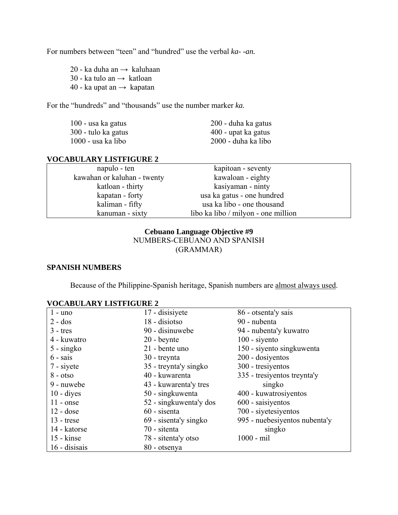For numbers between "teen" and "hundred" use the verbal *ka- -an.*

20 - ka duha an  $\rightarrow$  kaluhaan 30 - ka tulo an  $\rightarrow$  katloan 40 - ka upat an  $\rightarrow$  kapatan

For the "hundreds" and "thousands" use the number marker *ka.*

| 100 - usa ka gatus   | 200 - duha ka gatus |
|----------------------|---------------------|
| 300 - tulo ka gatus  | 400 - upat ka gatus |
| $1000$ - usa ka libo | 2000 - duha ka libo |

#### **VOCABULARY LISTFIGURE 2**

| napulo - ten                | kapitoan - seventy                  |  |
|-----------------------------|-------------------------------------|--|
| kawahan or kaluhan - twenty | kawaloan - eighty                   |  |
| katloan - thirty            | kasiyaman - ninty                   |  |
| kapatan - forty             | usa ka gatus - one hundred          |  |
| kaliman - fifty             | usa ka libo - one thousand          |  |
| kanuman - sixty             | libo ka libo / milyon - one million |  |

# **Cebuano Language Objective #9**  NUMBERS-CEBUANO AND SPANISH (GRAMMAR)

#### **SPANISH NUMBERS**

Because of the Philippine-Spanish heritage, Spanish numbers are almost always used.

| $1 -$ uno           | 17 - disisiyete        | 86 - otsenta'y sais           |
|---------------------|------------------------|-------------------------------|
| $2 - dos$           | 18 - disiotso          | 90 - nubenta                  |
| $3 -$ tres          | 90 - disinuwebe        | 94 - nubenta'y kuwatro        |
| 4 - kuwatro         | $20 -$ beynte          | $100 - siyento$               |
| $5 - singko$        | 21 - bente uno         | 150 - siyento singkuwenta     |
| $6 - \text{sais}$   | 30 - treynta           | 200 - dosiyentos              |
| 7 - siyete          | 35 - treynta'y singko  | 300 - tresiyentos             |
| $8 - otso$          | 40 - kuwarenta         | 335 - tresiyentos treynta'y   |
| 9 - nuwebe          | 43 - kuwarenta'y tres  | singko                        |
| $10 - \text{dives}$ | 50 - singkuwenta       | 400 - kuwatrosiyentos         |
| $11 - \text{onse}$  | 52 - singkuwenta'y dos | 600 - saisiyentos             |
| $12 - dose$         | 60 - sisenta           | 700 - siyetesiyentos          |
| $13$ - trese        | 69 - sisenta'y singko  | 995 - nuebesiyentos nubenta'y |
| 14 - katorse        | 70 - sitenta           | singko                        |
| $15 -$ kinse        | 78 - sitenta'y otso    | $1000 - \text{mil}$           |
| 16 - disisais       | 80 - otsenya           |                               |

#### **VOCABULARY LISTFIGURE 2**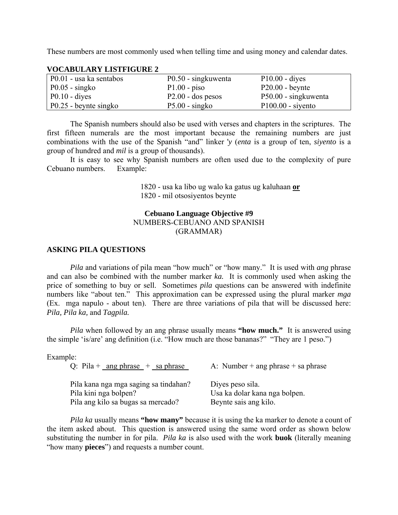These numbers are most commonly used when telling time and using money and calendar dates.

| P0.01 - usa ka sentabos | P0.50 - singkuwenta | $P10.00 - \text{dives}$ |
|-------------------------|---------------------|-------------------------|
| $P0.05 - singko$        | $P1.00 - piso$      | $P20.00 - be$ beynte    |
| $P0.10$ - dives         | $P2.00 - dos$ pesos | P50.00 - singkuwenta    |
| P0.25 - beynte singko   | $P5.00 - singko$    | $P100.00 - siyento$     |

#### **VOCABULARY LISTFIGURE 2**

 The Spanish numbers should also be used with verses and chapters in the scriptures. The first fifteen numerals are the most important because the remaining numbers are just combinations with the use of the Spanish "and" linker '*y* (*enta* is a group of ten, *siyento* is a group of hundred and *mil* is a group of thousands).

 It is easy to see why Spanish numbers are often used due to the complexity of pure Cebuano numbers. Example:

> 1820 - usa ka libo ug walo ka gatus ug kaluhaan **or** 1820 - mil otsosiyentos beynte

#### **Cebuano Language Objective #9**

# NUMBERS-CEBUANO AND SPANISH

(GRAMMAR)

#### **ASKING PILA QUESTIONS**

*Pila* and variations of pila mean "how much" or "how many." It is used with *ang* phrase and can also be combined with the number marker *ka.* It is commonly used when asking the price of something to buy or sell. Sometimes *pila* questions can be answered with indefinite numbers like "about ten." This approximation can be expressed using the plural marker *mga* (Ex. mga napulo - about ten). There are three variations of pila that will be discussed here: *Pila, Pila ka,* and *Tagpila.*

*Pila* when followed by an ang phrase usually means **"how much."** It is answered using the simple 'is/are' ang definition (i.e. "How much are those bananas?" "They are 1 peso.")

| example |
|---------|
|---------|

| Q: Pila + _ang phrase + _sa phrase                                                                   | A: Number + ang phrase + sa phrase                                         |
|------------------------------------------------------------------------------------------------------|----------------------------------------------------------------------------|
| Pila kana nga mga saging sa tindahan?<br>Pila kini nga bolpen?<br>Pila ang kilo sa bugas sa mercado? | Diyes peso sila.<br>Usa ka dolar kana nga bolpen.<br>Beynte sais ang kilo. |

*Pila ka* usually means **"how many"** because it is using the ka marker to denote a count of the item asked about. This question is answered using the same word order as shown below substituting the number in for pila. *Pila ka* is also used with the work **buok** (literally meaning "how many **pieces**") and requests a number count.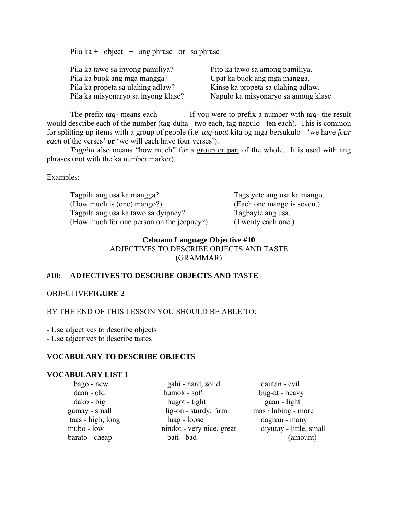Pila ka +  $\frac{\text{object}}{\text{object}}$  + ang phrase or sa phrase

| Pito ka tawo sa among pamiliya.      |
|--------------------------------------|
| Upat ka buok ang mga mangga.         |
| Kinse ka propeta sa ulahing adlaw.   |
| Napulo ka misyonaryo sa among klase. |
|                                      |

The prefix *tag*- means each . If you were to prefix a number with *tag*- the result would describe each of the number (tag-duha - two each, tag-napulo - ten each). This is common for splitting up items with a group of people (i.e. *tag-upat* kita og mga bersukulo - 'we have *four each* of the verses' **or** 'we will each have four verses').

*Tagpila* also means "how much" for a group or part of the whole. It is used with ang phrases (not with the ka number marker).

Examples:

 Tagpila ang usa ka mangga? Tagsiyete ang usa ka mango. (How much is (one) mango?) (Each one mango is seven.) Tagpila ang usa ka tawo sa dyipney? Tagbayte ang usa. (How much for one person on the jeepney?) (Twenty each one.)

#### **Cebuano Language Objective #10**

ADJECTIVES TO DESCRIBE OBJECTS AND TASTE (GRAMMAR)

## **#10: ADJECTIVES TO DESCRIBE OBJECTS AND TASTE**

#### OBJECTIVE**FIGURE 2**

#### BY THE END OF THIS LESSON YOU SHOULD BE ABLE TO:

- Use adjectives to describe objects

- Use adjectives to describe tastes

## **VOCABULARY TO DESCRIBE OBJECTS**

#### **VOCABULARY LIST 1**

| bago - new        | gahi - hard, solid        | dautan - evil           |
|-------------------|---------------------------|-------------------------|
| daan - old        | humok - soft              | bug-at - heavy          |
| $dako - big$      | hugot - tight             | gaan - light            |
| gamay - small     | lig-on - sturdy, firm     | mas / labing - more     |
| taas - high, long | luag - loose              | daghan - many           |
| mubo - low        | nindot - very nice, great | diyutay - little, small |
| barato - cheap    | bati - bad                | (amount)                |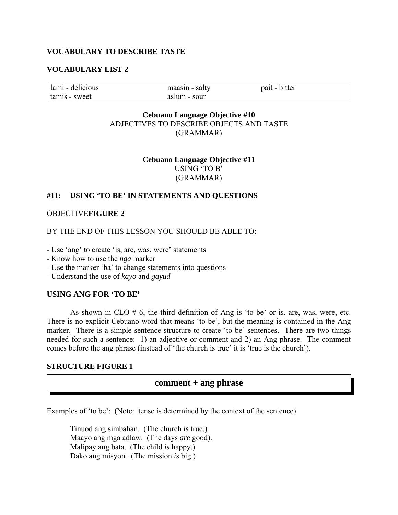#### **VOCABULARY TO DESCRIBE TASTE**

#### **VOCABULARY LIST 2**

| lami - delicious | maasin - salty | pait - bitter |
|------------------|----------------|---------------|
| tamis - sweet    | aslum - sour   |               |

## **Cebuano Language Objective #10**  ADJECTIVES TO DESCRIBE OBJECTS AND TASTE (GRAMMAR)

**Cebuano Language Objective #11**  USING 'TO B' (GRAMMAR)

#### **#11: USING 'TO BE' IN STATEMENTS AND QUESTIONS**

#### OBJECTIVE**FIGURE 2**

BY THE END OF THIS LESSON YOU SHOULD BE ABLE TO:

- Use 'ang' to create 'is, are, was, were' statements
- Know how to use the *nga* marker
- Use the marker 'ba' to change statements into questions
- Understand the use of *kayo* and *gayud*

# **USING ANG FOR 'TO BE'**

As shown in CLO  $# 6$ , the third definition of Ang is 'to be' or is, are, was, were, etc. There is no explicit Cebuano word that means 'to be', but the meaning is contained in the Ang marker. There is a simple sentence structure to create 'to be' sentences. There are two things needed for such a sentence: 1) an adjective or comment and 2) an Ang phrase. The comment comes before the ang phrase (instead of 'the church is true' it is 'true is the church').

#### **STRUCTURE FIGURE 1**

#### **comment + ang phrase**

Examples of 'to be': (Note: tense is determined by the context of the sentence)

 Tinuod ang simbahan. (The church *is* true.) Maayo ang mga adlaw. (The days *are* good). Malipay ang bata. (The child *is* happy.) Dako ang misyon. (The mission *is* big.)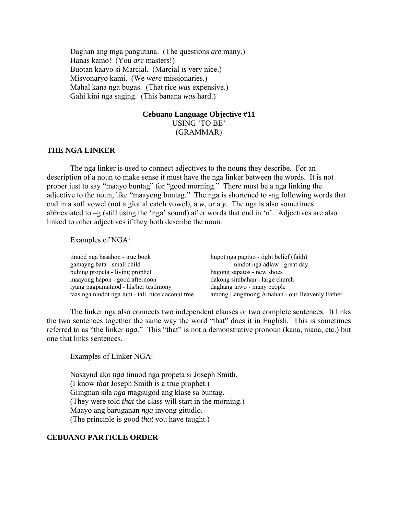Daghan ang mga pangutana. (The questions *are* many.) Hanas kamo! (You *are* masters!) Buotan kaayo si Marcial. (Marcial *is* very nice.) Misyonaryo kami. (We *were* missionaries.) Mahal kana nga bugas. (That rice *was* expensive.) Gahi kini nga saging. (This banana *was* hard.)

#### **Cebuano Language Objective #11**  USING 'TO BE' (GRAMMAR)

#### **THE NGA LINKER**

The nga linker is used to connect adjectives to the nouns they describe. For an description of a noun to make sense it must have the nga linker between the words. It is not proper just to say "maayo buntag" for "good morning." There must be a nga linking the adjective to the noun, like "maayong buntag." The nga is shortened to -ng following words that end in a soft vowel (not a glottal catch vowel), a *w*, or a *y.* The nga is also sometimes abbreviated to –g (still using the 'nga' sound) after words that end in 'n'. Adjectives are also linked to other adjectives if they both describe the noun.

Examples of NGA:

| tinuod nga basahon - true book                     | hugot nga pagtuo - tight belief (faith)       |
|----------------------------------------------------|-----------------------------------------------|
| gamayng bata - small child                         | nindot nga adlaw - great day                  |
| buhing propeta - living prophet                    | bagong sapatos - new shoes                    |
| maayong hapon - good afternoon                     | dakong simbahan - large church                |
| iyang pagpamatuod - his/her testimony              | daghang tawo - many people                    |
| taas nga nindot nga lubi - tall, nice coconut tree | among Langitnong Amahan - our Heavenly Father |

The linker nga also connects two independent clauses or two complete sentences. It links the two sentences together the same way the word "that" does it in English. This is sometimes referred to as "the linker *nga*." This "that" is not a demonstrative pronoun (kana, niana, etc.) but one that links sentences.

Examples of Linker NGA:

Nasayud ako *nga* tinuod nga propeta si Joseph Smith. (I know *that* Joseph Smith is a true prophet.) Giingnan sila *nga* magsugod ang klase sa buntag. (They were told *that* the class will start in the morning.) Maayo ang baruganan *nga* inyong gitudlo. (The principle is good *that* you have taught.)

## **CEBUANO PARTICLE ORDER**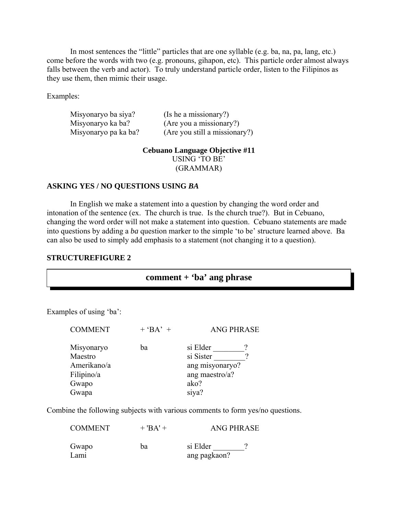In most sentences the "little" particles that are one syllable (e.g. ba, na, pa, lang, etc.) come before the words with two (e.g. pronouns, gihapon, etc). This particle order almost always falls between the verb and actor). To truly understand particle order, listen to the Filipinos as they use them, then mimic their usage.

Examples:

| Misyonaryo ba siya?  | (Is he a missionary?)         |
|----------------------|-------------------------------|
| Misyonaryo ka ba?    | (Are you a missionary?)       |
| Misyonaryo pa ka ba? | (Are you still a missionary?) |

**Cebuano Language Objective #11** 

USING 'TO BE' (GRAMMAR)

#### **ASKING YES / NO QUESTIONS USING** *BA*

In English we make a statement into a question by changing the word order and intonation of the sentence (ex. The church is true. Is the church true?). But in Cebuano, changing the word order will not make a statement into question. Cebuano statements are made into questions by adding a *ba* question marker to the simple 'to be' structure learned above. Ba can also be used to simply add emphasis to a statement (not changing it to a question).

#### **STRUCTUREFIGURE 2**

# **comment + 'ba' ang phrase**

Examples of using 'ba':

| <b>COMMENT</b>                                     | $+$ 'BA' + | <b>ANG PHRASE</b>                                          |
|----------------------------------------------------|------------|------------------------------------------------------------|
| Misyonaryo<br>Maestro<br>Amerikano/a<br>Filipino/a | ba         | si Elder<br>si Sister<br>ang misyonaryo?<br>ang maestro/a? |
| Gwapo                                              |            | ako?                                                       |
| Gwapa                                              |            | siya?                                                      |
|                                                    |            |                                                            |

Combine the following subjects with various comments to form yes/no questions.

|       |    | si Elder     |  |
|-------|----|--------------|--|
| Gwapo | ba |              |  |
| Lami  |    | ang pagkaon? |  |

 $COMMENT$  + 'BA' + ANG PHRASE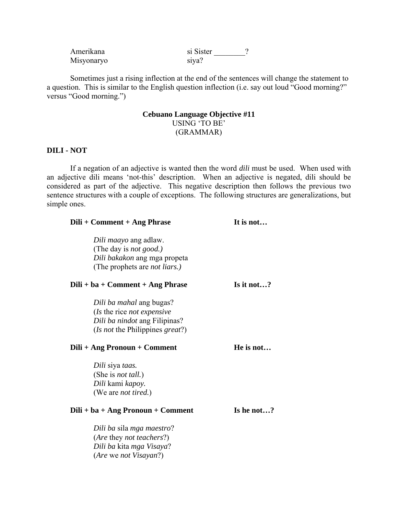| Amerikana  | si Sister |
|------------|-----------|
| Misyonaryo | siva?     |

 Sometimes just a rising inflection at the end of the sentences will change the statement to a question. This is similar to the English question inflection (i.e. say out loud "Good morning?" versus "Good morning.")

# **Cebuano Language Objective #11**  USING 'TO BE' (GRAMMAR)

# **DILI - NOT**

 If a negation of an adjective is wanted then the word *dili* must be used. When used with an adjective dili means 'not-this' description. When an adjective is negated, dili should be considered as part of the adjective. This negative description then follows the previous two sentence structures with a couple of exceptions. The following structures are generalizations, but simple ones.

| Dili + Comment + Ang Phrase          | It is not  |
|--------------------------------------|------------|
| Dili <i>maayo</i> ang adlaw.         |            |
| (The day is <i>not good.)</i>        |            |
| Dili bakakon ang mga propeta         |            |
| (The prophets are <i>not liars.)</i> |            |
| $Dili + ba + Comment + Ang Phrase$   | Is it not? |
| Dili ba mahal ang bugas?             |            |
| (Is the rice not expensive           |            |
| Dili ba nindot ang Filipinas?        |            |
| (Is not the Philippines great?)      |            |
| Dili + Ang Pronoun + Comment         | He is not  |
| Dili siya taas.                      |            |
| (She is <i>not tall.</i> )           |            |
| Dili kami kapoy.                     |            |
| (We are <i>not tired.</i> )          |            |
| $Dili + ba + Ang Pronoun + Comment$  | Is he not? |
| Dili ba sila mga maestro?            |            |
| (Are they not teachers?)             |            |
| Dili ba kita mga Visaya?             |            |
| <i>(Are we not Visayan?)</i>         |            |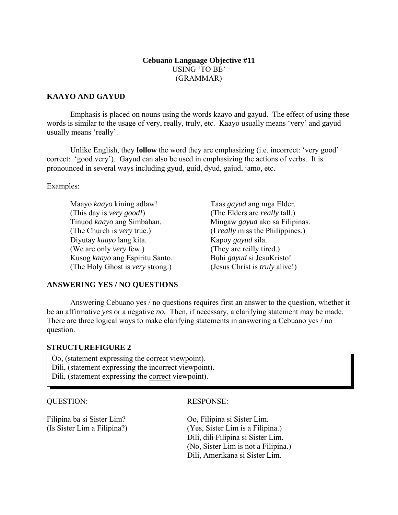# **Cebuano Language Objective #11**  USING 'TO BE' (GRAMMAR)

# **KAAYO AND GAYUD**

 Emphasis is placed on nouns using the words kaayo and gayud. The effect of using these words is similar to the usage of very, really, truly, etc. Kaayo usually means 'very' and gayud usually means 'really'.

 Unlike English, they **follow** the word they are emphasizing (i.e. incorrect: 'very good' correct: 'good very'). Gayud can also be used in emphasizing the actions of verbs. It is pronounced in several ways including gyud, guid, dyud, gajud, jamo, etc.

Examples:

 Maayo *kaayo* kining adlaw! Taas *gayud* ang mga Elder. (This day is *very good!*) (The Elders are *really* tall.) Tinuod *kaayo* ang Simbahan. Mingaw *gayud* ako sa Filipinas. (The Church is *very* true.) (I *really* miss the Philippines.) Diyutay *kaayo* lang kita. Kapoy *gayud* sila. (We are only *very* few.) (They are reilly tired.) Kusog *kaayo* ang Espiritu Santo. Buhi *gayud* si JesuKristo! (The Holy Ghost is *very* strong.) (Jesus Christ is *truly* alive!)

# **ANSWERING YES / NO QUESTIONS**

 Answering Cebuano yes / no questions requires first an answer to the question, whether it be an affirmative *yes* or a negative *no.* Then, if necessary, a clarifying statement may be made. There are three logical ways to make clarifying statements in answering a Cebuano yes / no question.

# **STRUCTUREFIGURE 2**

Oo, (statement expressing the correct viewpoint).

Dili, (statement expressing the incorrect viewpoint).

Dili, (statement expressing the correct viewpoint).

# QUESTION: RESPONSE:

Filipina ba si Sister Lim? Oo, Filipina si Sister Lim.

(Is Sister Lim a Filipina?) (Yes, Sister Lim is a Filipina.) Dili, dili Filipina si Sister Lim. (No, Sister Lim is not a Filipina.) Dili, Amerikana si Sister Lim.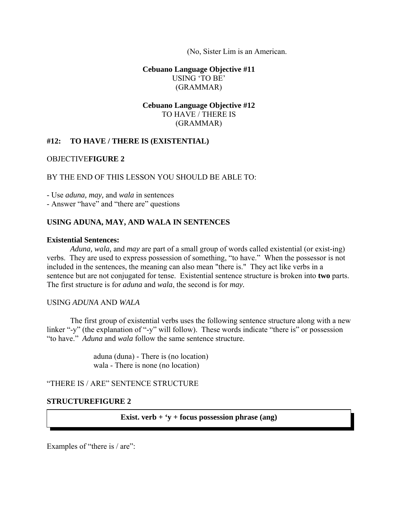(No, Sister Lim is an American.

**Cebuano Language Objective #11**  USING 'TO BE' (GRAMMAR)

# **Cebuano Language Objective #12**  TO HAVE / THERE IS (GRAMMAR)

# **#12: TO HAVE / THERE IS (EXISTENTIAL)**

## OBJECTIVE**FIGURE 2**

## BY THE END OF THIS LESSON YOU SHOULD BE ABLE TO:

- Use *aduna, may,* and *wala* in sentences

- Answer "have" and "there are" questions

# **USING ADUNA, MAY, AND WALA IN SENTENCES**

## **Existential Sentences:**

*Aduna, wala,* and *may* are part of a small group of words called existential (or exist-ing) verbs. They are used to express possession of something, "to have." When the possessor is not included in the sentences, the meaning can also mean "there is." They act like verbs in a sentence but are not conjugated for tense. Existential sentence structure is broken into **two** parts. The first structure is for *aduna* and *wala*, the second is for *may.*

## USING *ADUNA* AND *WALA*

 The first group of existential verbs uses the following sentence structure along with a new linker "-y" (the explanation of "-y" will follow). These words indicate "there is" or possession "to have." *Aduna* and *wala* follow the same sentence structure.

> aduna (duna) - There is (no location) wala - There is none (no location)

"THERE IS / ARE" SENTENCE STRUCTURE

## **STRUCTUREFIGURE 2**

**Exist. verb + 'y + focus possession phrase (ang)** 

Examples of "there is / are":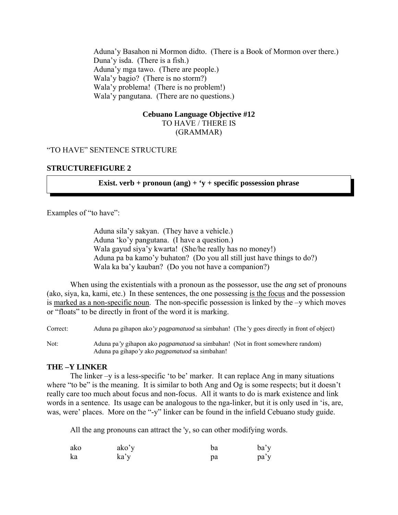Aduna'y Basahon ni Mormon didto. (There is a Book of Mormon over there.) Duna'y isda. (There is a fish.) Aduna'y mga tawo. (There are people.) Wala'y bagio? (There is no storm?) Wala'y problema! (There is no problem!) Wala'y pangutana. (There are no questions.)

# **Cebuano Language Objective #12**

TO HAVE / THERE IS (GRAMMAR)

# "TO HAVE" SENTENCE STRUCTURE

# **STRUCTUREFIGURE 2**

**Exist. verb + pronoun (ang) + 'y + specific possession phrase** 

Examples of "to have":

 Aduna sila'y sakyan. (They have a vehicle.) Aduna 'ko'y pangutana. (I have a question.) Wala gayud siya'y kwarta! (She/he really has no money!) Aduna pa ba kamo'y buhaton? (Do you all still just have things to do?) Wala ka ba'y kauban? (Do you not have a companion?)

 When using the existentials with a pronoun as the possessor, use the *ang* set of pronouns (ako, siya, ka, kami, etc.) In these sentences, the one possessing is the focus and the possession is marked as a non-specific noun. The non-specific possession is linked by the –y which moves or "floats" to be directly in front of the word it is marking.

Correct: Aduna pa gihapon ako*'y pagpamatuod* sa simbahan! (The 'y goes directly in front of object)

Not: Aduna pa*'y* gihapon ako *pagpamatuod* sa simbahan! (Not in front somewhere random) Aduna pa gihapo*'y* ako *pagpamatuod* sa simbahan!

## **THE –Y LINKER**

 The linker –y is a less-specific 'to be' marker. It can replace Ang in many situations where "to be" is the meaning. It is similar to both Ang and Og is some respects; but it doesn't really care too much about focus and non-focus. All it wants to do is mark existence and link words in a sentence. Its usage can be analogous to the nga-linker, but it is only used in 'is, are, was, were' places. More on the "-y" linker can be found in the infield Cebuano study guide.

All the ang pronouns can attract the 'y, so can other modifying words.

| ako | ako'y | ba | ba'y |
|-----|-------|----|------|
| ka  | ka'y  | pa | pa'y |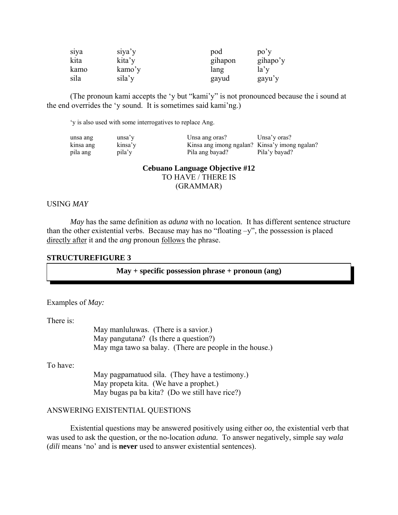| siya | siya'y | pod     | po'y     |
|------|--------|---------|----------|
| kita | kita'y | gihapon | gihapo'y |
| kamo | kamo'y | lang    | la'      |
| sila | sila'y | gayud   | gayu'y   |

(The pronoun kami accepts the 'y but "kami'y" is not pronounced because the i sound at the end overrides the 'y sound. It is sometimes said kami'ng.)

'y is also used with some interrogatives to replace Ang.

| unsa ang  | unsa'y  | Unsa ang oras?                                | Unsa'y oras?  |
|-----------|---------|-----------------------------------------------|---------------|
| kinsa ang | kinsa'y | Kinsa ang imong ngalan? Kinsa'y imong ngalan? |               |
| pila ang  | pila'y  | Pila ang bayad?                               | Pila'y bayad? |

**Cebuano Language Objective #12**  TO HAVE / THERE IS (GRAMMAR)

## USING *MAY*

 *May* has the same definition as *aduna* with no location. It has different sentence structure than the other existential verbs. Because may has no "floating  $-v$ ", the possession is placed directly after it and the *ang* pronoun follows the phrase.

## **STRUCTUREFIGURE 3**

#### **May + specific possession phrase + pronoun (ang)**

Examples of *May:*

There is:

 May manluluwas. (There is a savior.) May pangutana? (Is there a question?) May mga tawo sa balay. (There are people in the house.)

To have:

 May pagpamatuod sila. (They have a testimony.) May propeta kita. (We have a prophet.) May bugas pa ba kita? (Do we still have rice?)

#### ANSWERING EXISTENTIAL QUESTIONS

 Existential questions may be answered positively using either *oo,* the existential verb that was used to ask the question, or the no-location *aduna.* To answer negatively, simple say *wala*  (*dili* means 'no' and is **never** used to answer existential sentences).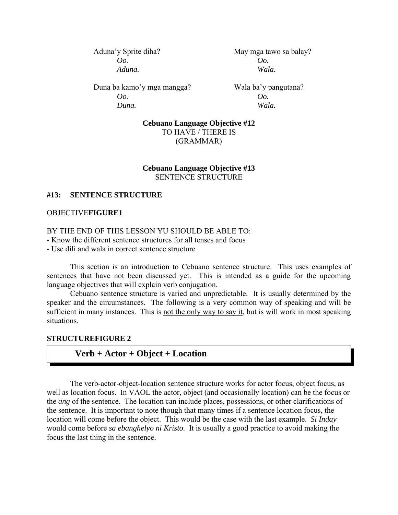*Oo. Oo. Aduna. Wala.* 

Aduna'y Sprite diha? May mga tawo sa balay?

Duna ba kamo'y mga mangga? Wala ba'y pangutana? *Oo. Oo. Duna. Wala.*

**Cebuano Language Objective #12**  TO HAVE / THERE IS (GRAMMAR)

# **Cebuano Language Objective #13**  SENTENCE STRUCTURE

# **#13: SENTENCE STRUCTURE**

# OBJECTIVE**FIGURE1**

## BY THE END OF THIS LESSON YU SHOULD BE ABLE TO:

- Know the different sentence structures for all tenses and focus

- Use dili and wala in correct sentence structure

 This section is an introduction to Cebuano sentence structure. This uses examples of sentences that have not been discussed yet. This is intended as a guide for the upcoming language objectives that will explain verb conjugation.

 Cebuano sentence structure is varied and unpredictable. It is usually determined by the speaker and the circumstances. The following is a very common way of speaking and will be sufficient in many instances. This is not the only way to say it, but is will work in most speaking situations.

# **STRUCTUREFIGURE 2**

# **Verb + Actor + Object + Location**

 The verb-actor-object-location sentence structure works for actor focus, object focus, as well as location focus. In VAOL the actor, object (and occasionally location) can be the focus or the *ang* of the sentence. The location can include places, possessions, or other clarifications of the sentence. It is important to note though that many times if a sentence location focus, the location will come before the object. This would be the case with the last example. *Si Inday*  would come before *sa ebanghelyo ni Kristo.* It is usually a good practice to avoid making the focus the last thing in the sentence.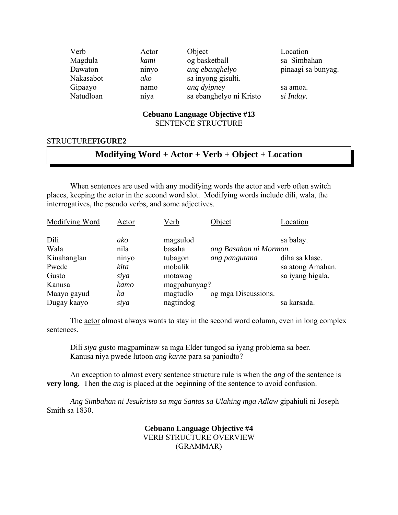| Verb      | <u>Actor</u> | Object                  | Location           |
|-----------|--------------|-------------------------|--------------------|
| Magdula   | kami         | og basketball           | sa Simbahan        |
| Dawaton   | ninyo        | ang ebanghelyo          | pinaagi sa bunyag. |
| Nakasabot | ako          | sa inyong gisulti.      |                    |
| Gipaayo   | namo         | ang dyipney             | sa amoa.           |
| Natudloan | niya         | sa ebanghelyo ni Kristo | si Inday.          |

# **Cebuano Language Objective #13**

# SENTENCE STRUCTURE

## STRUCTURE**FIGURE2**

# **Modifying Word + Actor + Verb + Object + Location**

 When sentences are used with any modifying words the actor and verb often switch places, keeping the actor in the second word slot. Modifying words include dili, wala, the interrogatives, the pseudo verbs, and some adjectives.

| Modifying Word                       | Actor                        | <u>Verb</u>                              | Object                                  | Location                                        |
|--------------------------------------|------------------------------|------------------------------------------|-----------------------------------------|-------------------------------------------------|
| Dili<br>Wala<br>Kinahanglan<br>Pwede | ako<br>nila<br>ninyo<br>kita | magsulod<br>basaha<br>tubagon<br>mobalik | ang Basahon ni Mormon.<br>ang pangutana | sa balay.<br>diha sa klase.<br>sa atong Amahan. |
| Gusto                                | siya                         | motawag                                  |                                         | sa iyang higala.                                |
| Kanusa                               | kamo                         | magpabunyag?                             |                                         |                                                 |
| Maayo gayud<br>Dugay kaayo           | ka<br>siya                   | magtudlo<br>nagtindog                    | og mga Discussions.                     | sa karsada.                                     |

 The actor almost always wants to stay in the second word column, even in long complex sentences.

 Dili *siya* gusto magpaminaw sa mga Elder tungod sa iyang problema sa beer. Kanusa niya pwede lutoon *ang karne* para sa paniodto?

 An exception to almost every sentence structure rule is when the *ang* of the sentence is **very long.** Then the *ang* is placed at the beginning of the sentence to avoid confusion.

*Ang Simbahan ni Jesukristo sa mga Santos sa Ulahing mga Adlaw* gipahiuli ni Joseph Smith sa 1830.

## **Cebuano Language Objective #4**  VERB STRUCTURE OVERVIEW (GRAMMAR)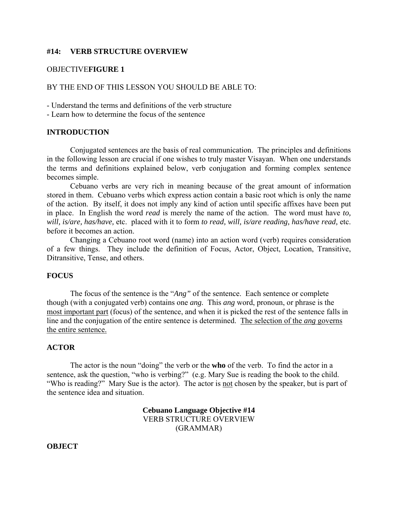## **#14: VERB STRUCTURE OVERVIEW**

## OBJECTIVE**FIGURE 1**

## BY THE END OF THIS LESSON YOU SHOULD BE ABLE TO:

- Understand the terms and definitions of the verb structure

- Learn how to determine the focus of the sentence

## **INTRODUCTION**

 Conjugated sentences are the basis of real communication. The principles and definitions in the following lesson are crucial if one wishes to truly master Visayan. When one understands the terms and definitions explained below, verb conjugation and forming complex sentence becomes simple.

 Cebuano verbs are very rich in meaning because of the great amount of information stored in them. Cebuano verbs which express action contain a basic root which is only the name of the action. By itself, it does not imply any kind of action until specific affixes have been put in place. In English the word *read* is merely the name of the action. The word must have *to, will, is/are, has/have,* etc. placed with it to form *to read, will, is/are reading, has/have read,* etc. before it becomes an action.

 Changing a Cebuano root word (name) into an action word (verb) requires consideration of a few things. They include the definition of Focus, Actor, Object, Location, Transitive, Ditransitive, Tense, and others.

# **FOCUS**

 The focus of the sentence is the "*Ang"* of the sentence. Each sentence or complete though (with a conjugated verb) contains one *ang.* This *ang* word, pronoun, or phrase is the most important part (focus) of the sentence, and when it is picked the rest of the sentence falls in line and the conjugation of the entire sentence is determined. The selection of the *ang* governs the entire sentence.

## **ACTOR**

The actor is the noun "doing" the verb or the **who** of the verb. To find the actor in a sentence, ask the question, "who is verbing?" (e.g. Mary Sue is reading the book to the child. "Who is reading?" Mary Sue is the actor). The actor is not chosen by the speaker, but is part of the sentence idea and situation.

> **Cebuano Language Objective #14**  VERB STRUCTURE OVERVIEW (GRAMMAR)

**OBJECT**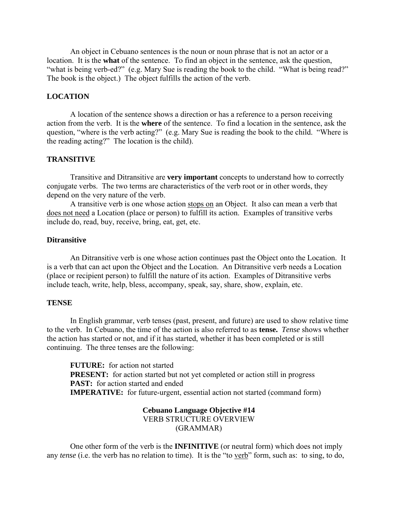An object in Cebuano sentences is the noun or noun phrase that is not an actor or a location. It is the **what** of the sentence. To find an object in the sentence, ask the question, "what is being verb-ed?" (e.g. Mary Sue is reading the book to the child. "What is being read?" The book is the object.) The object fulfills the action of the verb.

## **LOCATION**

 A location of the sentence shows a direction or has a reference to a person receiving action from the verb. It is the **where** of the sentence. To find a location in the sentence, ask the question, "where is the verb acting?" (e.g. Mary Sue is reading the book to the child. "Where is the reading acting?" The location is the child).

## **TRANSITIVE**

 Transitive and Ditransitive are **very important** concepts to understand how to correctly conjugate verbs. The two terms are characteristics of the verb root or in other words, they depend on the very nature of the verb.

A transitive verb is one whose action stops on an Object. It also can mean a verb that does not need a Location (place or person) to fulfill its action. Examples of transitive verbs include do, read, buy, receive, bring, eat, get, etc.

## **Ditransitive**

 An Ditransitive verb is one whose action continues past the Object onto the Location. It is a verb that can act upon the Object and the Location. An Ditransitive verb needs a Location (place or recipient person) to fulfill the nature of its action. Examples of Ditransitive verbs include teach, write, help, bless, accompany, speak, say, share, show, explain, etc.

#### **TENSE**

 In English grammar, verb tenses (past, present, and future) are used to show relative time to the verb. In Cebuano, the time of the action is also referred to as **tense.** *Tense* shows whether the action has started or not, and if it has started, whether it has been completed or is still continuing. The three tenses are the following:

**FUTURE:** for action not started **PRESENT:** for action started but not yet completed or action still in progress **PAST:** for action started and ended **IMPERATIVE:** for future-urgent, essential action not started (command form)

#### **Cebuano Language Objective #14**  VERB STRUCTURE OVERVIEW

(GRAMMAR)

 One other form of the verb is the **INFINITIVE** (or neutral form) which does not imply any *tense* (i.e. the verb has no relation to time). It is the "to verb" form, such as: to sing, to do,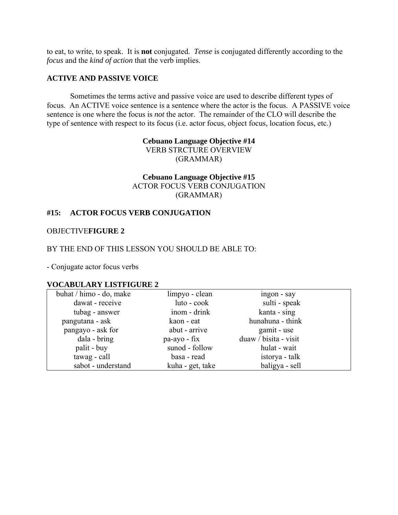to eat, to write, to speak. It is **not** conjugated. *Tense* is conjugated differently according to the *focus* and the *kind of action* that the verb implies.

## **ACTIVE AND PASSIVE VOICE**

 Sometimes the terms active and passive voice are used to describe different types of focus. An ACTIVE voice sentence is a sentence where the actor is the focus. A PASSIVE voice sentence is one where the focus is *not* the actor. The remainder of the CLO will describe the type of sentence with respect to its focus (i.e. actor focus, object focus, location focus, etc.)

> **Cebuano Language Objective #14**  VERB STRCTURE OVERVIEW (GRAMMAR)

# **Cebuano Language Objective #15**  ACTOR FOCUS VERB CONJUGATION (GRAMMAR)

## **#15: ACTOR FOCUS VERB CONJUGATION**

## OBJECTIVE**FIGURE 2**

## BY THE END OF THIS LESSON YOU SHOULD BE ABLE TO:

- Conjugate actor focus verbs

## **VOCABULARY LISTFIGURE 2**

| buhat / himo - do, make | limpyo - clean   | ingon - say           |  |
|-------------------------|------------------|-----------------------|--|
| dawat - receive         | luto - cook      | sulti - speak         |  |
| tubag - answer          | inom - drink     | kanta - sing          |  |
| pangutana - ask         | kaon - eat       | hunahuna - think      |  |
| pangayo - ask for       | abut - arrive    | gamit - use           |  |
| dala - bring            | pa-ayo - fix     | duaw / bisita - visit |  |
| palit - buy             | sunod - follow   | hulat - wait          |  |
| tawag - call            | basa - read      | istorya - talk        |  |
| sabot - understand      | kuha - get, take | baligya - sell        |  |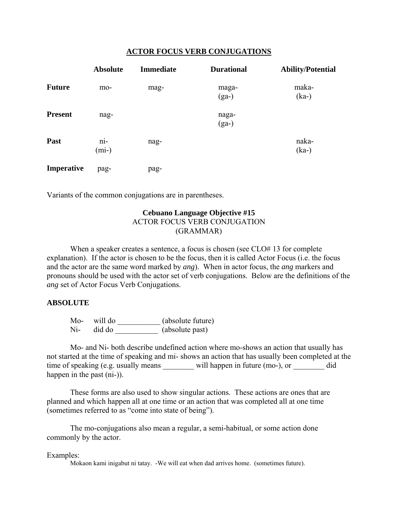## **ACTOR FOCUS VERB CONJUGATIONS**

|                | <b>Absolute</b>  | <b>Immediate</b> | <b>Durational</b> | <b>Ability/Potential</b> |
|----------------|------------------|------------------|-------------------|--------------------------|
| <b>Future</b>  | mo-              | mag-             | maga-<br>$(ga-)$  | maka-<br>$(ka-)$         |
| <b>Present</b> | nag-             |                  | naga-<br>$(ga-)$  |                          |
| Past           | $ni-$<br>$(mi-)$ | nag-             |                   | naka-<br>$(ka-)$         |
| Imperative     | pag-             | pag-             |                   |                          |

Variants of the common conjugations are in parentheses.

## **Cebuano Language Objective #15**  ACTOR FOCUS VERB CONJUGATION

(GRAMMAR)

When a speaker creates a sentence, a focus is chosen (see CLO# 13 for complete explanation). If the actor is chosen to be the focus, then it is called Actor Focus (i.e. the focus and the actor are the same word marked by *ang*). When in actor focus, the *ang* markers and pronouns should be used with the actor set of verb conjugations. Below are the definitions of the *ang* set of Actor Focus Verb Conjugations.

# **ABSOLUTE**

Mo- will do \_\_\_\_\_\_\_\_\_\_\_\_ (absolute future) Ni- did do \_\_\_\_\_\_\_\_\_\_\_\_\_\_ (absolute past)

 Mo- and Ni- both describe undefined action where mo-shows an action that usually has not started at the time of speaking and mi- shows an action that has usually been completed at the time of speaking (e.g. usually means \_\_\_\_\_\_\_\_ will happen in future (mo-), or \_\_\_\_\_\_\_\_ did happen in the past (ni-)).

 These forms are also used to show singular actions. These actions are ones that are planned and which happen all at one time or an action that was completed all at one time (sometimes referred to as "come into state of being").

 The mo-conjugations also mean a regular, a semi-habitual, or some action done commonly by the actor.

## Examples:

Mokaon kami inigabut ni tatay. -We will eat when dad arrives home. (sometimes future).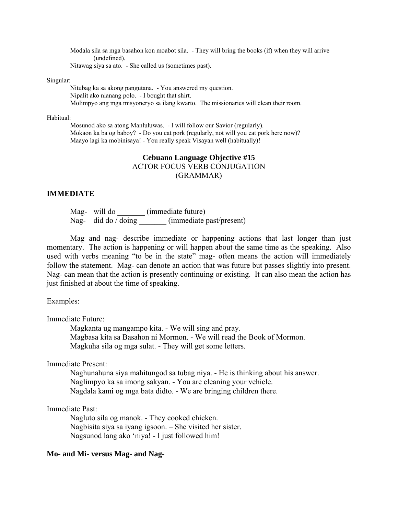Modala sila sa mga basahon kon moabot sila. - They will bring the books (if) when they will arrive (undefined). Nitawag siya sa ato. - She called us (sometimes past).

#### Singular:

 Nitubag ka sa akong pangutana. - You answered my question. Nipalit ako nianang polo. - I bought that shirt. Molimpyo ang mga misyoneryo sa ilang kwarto. The missionaries will clean their room.

#### Habitual:

 Mosunod ako sa atong Manluluwas. - I will follow our Savior (regularly). Mokaon ka ba og baboy? - Do you eat pork (regularly, not will you eat pork here now)? Maayo lagi ka mobinisaya! - You really speak Visayan well (habitually)!

# **Cebuano Language Objective #15**  ACTOR FOCUS VERB CONJUGATION (GRAMMAR)

## **IMMEDIATE**

Mag- will do  $(immediate future)$ Nag- did do / doing \_\_\_\_\_\_\_ (immediate past/present)

 Mag and nag- describe immediate or happening actions that last longer than just momentary. The action is happening or will happen about the same time as the speaking. Also used with verbs meaning "to be in the state" mag- often means the action will immediately follow the statement. Mag- can denote an action that was future but passes slightly into present. Nag- can mean that the action is presently continuing or existing. It can also mean the action has just finished at about the time of speaking.

Examples:

Immediate Future:

 Magkanta ug mangampo kita. - We will sing and pray. Magbasa kita sa Basahon ni Mormon. - We will read the Book of Mormon. Magkuha sila og mga sulat. - They will get some letters.

Immediate Present:

 Naghunahuna siya mahitungod sa tubag niya. - He is thinking about his answer. Naglimpyo ka sa imong sakyan. - You are cleaning your vehicle. Nagdala kami og mga bata didto. - We are bringing children there.

Immediate Past:

 Nagluto sila og manok. - They cooked chicken. Nagbisita siya sa iyang igsoon. – She visited her sister. Nagsunod lang ako 'niya! - I just followed him!

## **Mo- and Mi- versus Mag- and Nag-**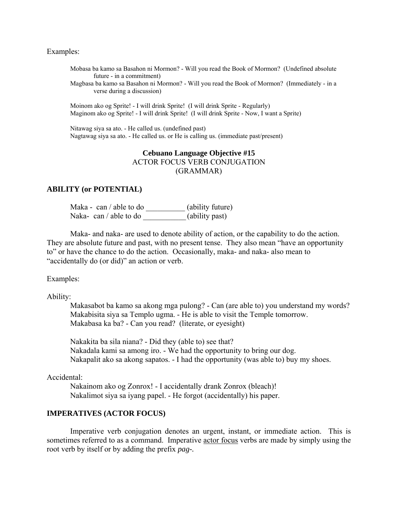#### Examples:

Mobasa ba kamo sa Basahon ni Mormon? - Will you read the Book of Mormon? (Undefined absolute future - in a commitment)

Magbasa ba kamo sa Basahon ni Mormon? - Will you read the Book of Mormon? (Immediately - in a verse during a discussion)

 Moinom ako og Sprite! - I will drink Sprite! (I will drink Sprite - Regularly) Maginom ako og Sprite! - I will drink Sprite! (I will drink Sprite - Now, I want a Sprite)

 Nitawag siya sa ato. - He called us. (undefined past) Nagtawag siya sa ato. - He called us. or He is calling us. (immediate past/present)

# **Cebuano Language Objective #15**  ACTOR FOCUS VERB CONJUGATION (GRAMMAR)

## **ABILITY (or POTENTIAL)**

Maka - can / able to do \_\_\_\_\_\_\_\_\_\_\_\_ (ability future) Naka- can / able to do \_\_\_\_\_\_\_\_\_\_\_\_\_\_(ability past)

 Maka- and naka- are used to denote ability of action, or the capability to do the action. They are absolute future and past, with no present tense. They also mean "have an opportunity to" or have the chance to do the action. Occasionally, maka- and naka- also mean to "accidentally do (or did)" an action or verb.

Examples:

Ability:

 Makasabot ba kamo sa akong mga pulong? - Can (are able to) you understand my words? Makabisita siya sa Templo ugma. - He is able to visit the Temple tomorrow. Makabasa ka ba? - Can you read? (literate, or eyesight)

 Nakakita ba sila niana? - Did they (able to) see that? Nakadala kami sa among iro. - We had the opportunity to bring our dog. Nakapalit ako sa akong sapatos. - I had the opportunity (was able to) buy my shoes.

#### Accidental:

 Nakainom ako og Zonrox! - I accidentally drank Zonrox (bleach)! Nakalimot siya sa iyang papel. - He forgot (accidentally) his paper.

#### **IMPERATIVES (ACTOR FOCUS)**

Imperative verb conjugation denotes an urgent, instant, or immediate action. This is sometimes referred to as a command. Imperative actor focus verbs are made by simply using the root verb by itself or by adding the prefix *pag-.*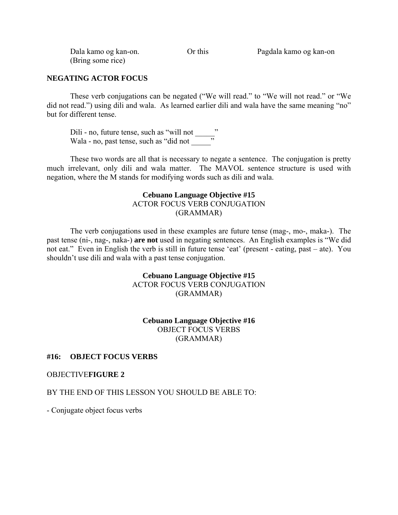| Dala kamo og kan-on. | Or this |  |
|----------------------|---------|--|
| (Bring some rice)    |         |  |

Pagdala kamo og kan-on.

# **NEGATING ACTOR FOCUS**

 These verb conjugations can be negated ("We will read." to "We will not read." or "We did not read.") using dili and wala. As learned earlier dili and wala have the same meaning "no" but for different tense.

Dili - no, future tense, such as "will not " Wala - no, past tense, such as "did not \_\_\_\_\_\_"

 These two words are all that is necessary to negate a sentence. The conjugation is pretty much irrelevant, only dili and wala matter. The MAVOL sentence structure is used with negation, where the M stands for modifying words such as dili and wala.

# **Cebuano Language Objective #15**  ACTOR FOCUS VERB CONJUGATION (GRAMMAR)

 The verb conjugations used in these examples are future tense (mag-, mo-, maka-). The past tense (ni-, nag-, naka-) **are not** used in negating sentences. An English examples is "We did not eat." Even in English the verb is still in future tense 'eat' (present - eating, past – ate). You shouldn't use dili and wala with a past tense conjugation.

# **Cebuano Language Objective #15**  ACTOR FOCUS VERB CONJUGATION (GRAMMAR)

# **Cebuano Language Objective #16**  OBJECT FOCUS VERBS (GRAMMAR)

## **#16: OBJECT FOCUS VERBS**

## OBJECTIVE**FIGURE 2**

# BY THE END OF THIS LESSON YOU SHOULD BE ABLE TO:

- Conjugate object focus verbs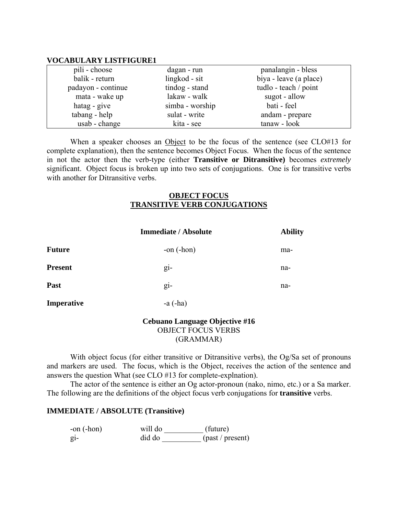## **VOCABULARY LISTFIGURE1**

| pili - choose      | dagan - run     | panalangin - bless     |
|--------------------|-----------------|------------------------|
| balik - return     | lingkod - sit   | biya - leave (a place) |
| padayon - continue | tindog - stand  | tudlo - teach / point  |
| mata - wake up     | lakaw - walk    | sugot - allow          |
| hatag - give       | simba - worship | bati - feel            |
| tabang - help      | sulat - write   | andam - prepare        |
| usab - change      | kita - see      | tanaw - look           |

 When a speaker chooses an Object to be the focus of the sentence (see CLO#13 for complete explanation), then the sentence becomes Object Focus. When the focus of the sentence in not the actor then the verb-type (either **Transitive or Ditransitive)** becomes *extremely* significant. Object focus is broken up into two sets of conjugations. One is for transitive verbs with another for Ditransitive verbs.

## **OBJECT FOCUS TRANSITIVE VERB CONJUGATIONS**

|                | <b>Immediate / Absolute</b> | <b>Ability</b> |
|----------------|-----------------------------|----------------|
| <b>Future</b>  | -on $(-hon)$                | ma-            |
| <b>Present</b> | gi-                         | na-            |
| Past           | gi-                         | na-            |
| Imperative     | $-a(-ha)$                   |                |
|                |                             |                |

## **Cebuano Language Objective #16**  OBJECT FOCUS VERBS (GRAMMAR)

With object focus (for either transitive or Ditransitive verbs), the Og/Sa set of pronouns and markers are used. The focus, which is the Object, receives the action of the sentence and answers the question What (see CLO #13 for complete-explnation).

 The actor of the sentence is either an Og actor-pronoun (nako, nimo, etc.) or a Sa marker. The following are the definitions of the object focus verb conjugations for **transitive** verbs.

# **IMMEDIATE / ABSOLUTE (Transitive)**

| -on $(-hon)$ | will do | (future)         |
|--------------|---------|------------------|
| $g_{1}$      | did do  | (past / present) |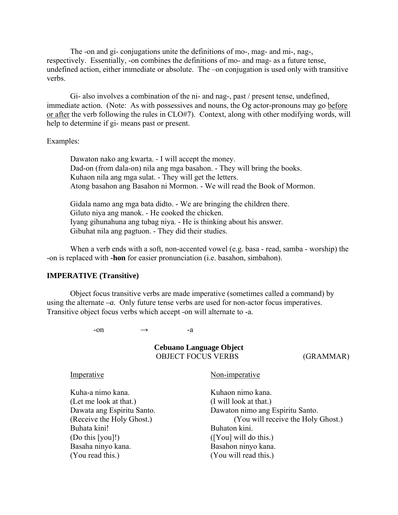The -on and gi- conjugations unite the definitions of mo-, mag- and mi-, nag-, respectively. Essentially, -on combines the definitions of mo- and mag- as a future tense, undefined action, either immediate or absolute. The –on conjugation is used only with transitive verbs.

 Gi- also involves a combination of the ni- and nag-, past / present tense, undefined, immediate action. (Note: As with possessives and nouns, the Og actor-pronouns may go before or after the verb following the rules in CLO#7). Context, along with other modifying words, will help to determine if gi- means past or present.

Examples:

 Dawaton nako ang kwarta. - I will accept the money. Dad-on (from dala-on) nila ang mga basahon. - They will bring the books. Kuhaon nila ang mga sulat. - They will get the letters. Atong basahon ang Basahon ni Mormon. - We will read the Book of Mormon.

 Gidala namo ang mga bata didto. - We are bringing the children there. Giluto niya ang manok. - He cooked the chicken. Iyang gihunahuna ang tubag niya. - He is thinking about his answer. Gibuhat nila ang pagtuon. - They did their studies.

 When a verb ends with a soft, non-accented vowel (e.g. basa - read, samba - worship) the -on is replaced with **-hon** for easier pronunciation (i.e. basahon, simbahon).

#### **IMPERATIVE (Transitive)**

Object focus transitive verbs are made imperative (sometimes called a command) by using the alternate *–a.* Only future tense verbs are used for non-actor focus imperatives. Transitive object focus verbs which accept -on will alternate to -a.

 $-on \rightarrow -a$ 

**Cebuano Language Object**  OBJECT FOCUS VERBS (GRAMMAR) Imperative Non-imperative Kuha-a nimo kana. Kuhaon nimo kana. (Let me look at that.) (I will look at that.) Dawata ang Espiritu Santo. Dawaton nimo ang Espiritu Santo. (Receive the Holy Ghost.) (You will receive the Holy Ghost.) Buhata kini! Buhaton kini. (Do this [you]!) ([You] will do this.) Basaha ninyo kana. Basahon ninyo kana. (You read this.) (You will read this.)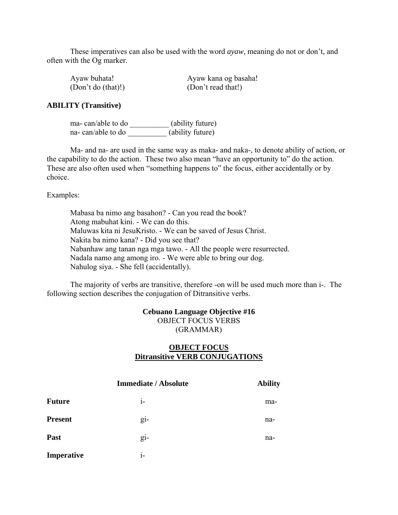These imperatives can also be used with the word *ayaw,* meaning do not or don't, and often with the Og marker.

| Ayaw buhata!       | Ayaw kana og basaha! |
|--------------------|----------------------|
| (Don't do (that)!) | (Don't read that!)   |

## **ABILITY (Transitive)**

 ma- can/able to do \_\_\_\_\_\_\_\_\_\_ (ability future) na- can/able to do  $(ability future)$ 

 Ma- and na- are used in the same way as maka- and naka-, to denote ability of action, or the capability to do the action. These two also mean "have an opportunity to" do the action. These are also often used when "something happens to" the focus, either accidentally or by choice.

Examples:

 Mabasa ba nimo ang basahon? - Can you read the book? Atong mabuhat kini. - We can do this. Maluwas kita ni JesuKristo. - We can be saved of Jesus Christ. Nakita ba nimo kana? - Did you see that? Nabanhaw ang tanan nga mga tawo. - All the people were resurrected. Nadala namo ang among iro. - We were able to bring our dog. Nahulog siya. - She fell (accidentally).

 The majority of verbs are transitive, therefore -on will be used much more than i-. The following section describes the conjugation of Ditransitive verbs.

# **Cebuano Language Objective #16**  OBJECT FOCUS VERBS (GRAMMAR)

# **OBJECT FOCUS Ditransitive VERB CONJUGATIONS**

|                | <b>Immediate / Absolute</b> | <b>Ability</b> |
|----------------|-----------------------------|----------------|
| <b>Future</b>  | $i-$                        | ma-            |
| <b>Present</b> | $g_{1}$ -                   | na-            |
| Past           | gi-                         | na-            |
| Imperative     | $i-$                        |                |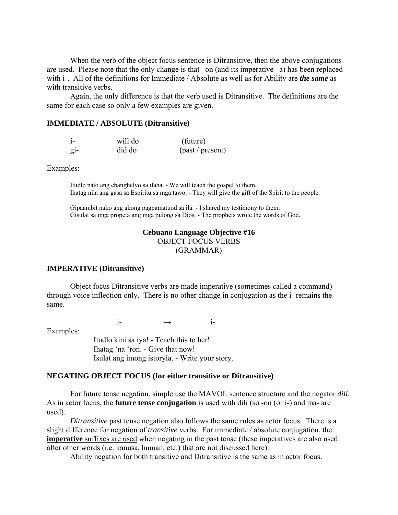When the verb of the object focus sentence is Ditransitive, then the above conjugations are used. Please note that the only change is that –on (and its imperative –a) has been replaced with i-. All of the definitions for Immediate / Absolute as well as for Ability are *the same* as with transitive verbs.

 Again, the only difference is that the verb used is Ditransitive. The definitions are the same for each case so only a few examples are given.

## **IMMEDIATE / ABSOLUTE (Ditransitive)**

 i- will do \_\_\_\_\_\_\_\_\_\_ (future) gi- did do \_\_\_\_\_\_\_\_\_\_ (past / present)

Examples:

Itudlo nato ang ebanghelyo sa ilaha. - We will teach the gospel to them. Ihatag nila ang gasa sa Espiritu sa mga tawo. - They will give the gift of the Spirit to the people.

 Gipaambit nako ang akong pagpamatuod sa ila. - I shared my testimony to them. Gisulat sa mga propeta ang mga pulong sa Dios. - The prophets wrote the words of God.

## **Cebuano Language Objective #16**  OBJECT FOCUS VERBS (GRAMMAR)

#### **IMPERATIVE (Ditransitive)**

 Object focus Ditransitive verbs are made imperative (sometimes called a command) through voice inflection only. There is no other change in conjugation as the i- remains the same.

Examples:

 $i$ - →  $i$ -

 Itudlo kini sa iya! - Teach this to her! Ihatag 'na 'ron. - Give that now! Isulat ang imong istoryia. - Write your story.

#### **NEGATING OBJECT FOCUS (for either transitive or Ditransitive)**

For future tense negation, simple use the MAVOL sentence structure and the negator *dili.* As in actor focus, the **future tense conjugation** is used with dili (so -on (or i-) and ma- are used).

*Ditransitive* past tense negation also follows the same rules as actor focus. There is a slight difference for negation of *transitive* verbs. For immediate / absolute conjugation, the **imperative** suffixes are used when negating in the past tense (these imperatives are also used after other words (i.e. kanusa, human, etc.) that are not discussed here).

Ability negation for both transitive and Ditransitive is the same as in actor focus.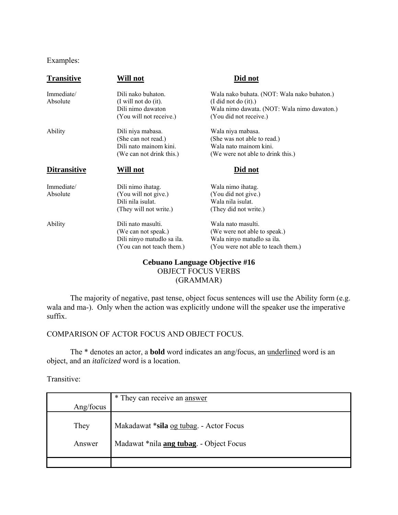# Examples:

| <b>Transitive</b>   | Will not                   | Did not                                     |
|---------------------|----------------------------|---------------------------------------------|
| Immediate/          | Dili nako buhaton.         | Wala nako buhata. (NOT: Wala nako buhaton.) |
| Absolute            | (I will not do (it).       | (I did not do (it).)                        |
|                     | Dili nimo dawaton          | Wala nimo dawata. (NOT: Wala nimo dawaton.) |
|                     | (You will not receive.)    | (You did not receive.)                      |
| Ability             | Dili niya mabasa.          | Wala niya mabasa.                           |
|                     | (She can not read.)        | (She was not able to read.)                 |
|                     | Dili nato mainom kini.     | Wala nato mainom kini.                      |
|                     | (We can not drink this.)   | (We were not able to drink this.)           |
| <b>Ditransitive</b> | Will not                   | Did not                                     |
| Immediate/          | Dili nimo ihatag.          | Wala nimo ihatag.                           |
| Absolute            | (You will not give.)       | (You did not give.)                         |
|                     | Dili nila isulat.          | Wala nila isulat.                           |
|                     | (They will not write.)     | (They did not write.)                       |
| Ability             | Dili nato masulti.         | Wala nato masulti.                          |
|                     | (We can not speak.)        | (We were not able to speak.)                |
|                     | Dili ninyo matudlo sa ila. | Wala ninyo matudlo sa ila.                  |
|                     | (You can not teach them.)  | (You were not able to teach them.)          |
|                     |                            | Cehuano I anguage Objective #16             |

# **Cebuano Language Objective #16**  OBJECT FOCUS VERBS (GRAMMAR)

 The majority of negative, past tense, object focus sentences will use the Ability form (e.g. wala and ma-). Only when the action was explicitly undone will the speaker use the imperative suffix.

# COMPARISON OF ACTOR FOCUS AND OBJECT FOCUS.

 The \* denotes an actor, a **bold** word indicates an ang/focus, an underlined word is an object, and an *italicized* word is a location.

## Transitive:

| Ang/focus | * They can receive an answer                    |
|-----------|-------------------------------------------------|
| They      | Makadawat *sila og tubag. - Actor Focus         |
| Answer    | Madawat *nila <b>ang tubag</b> . - Object Focus |
|           |                                                 |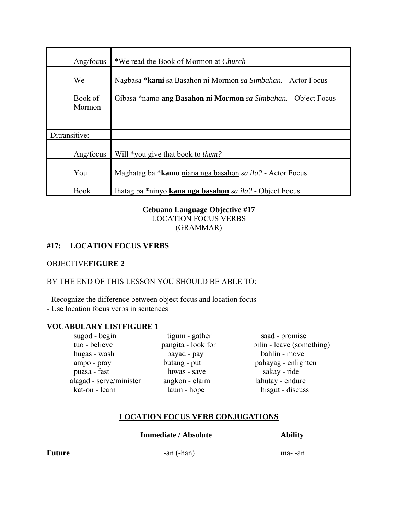| Ang/focus         | *We read the Book of Mormon at <i>Church</i>                          |
|-------------------|-----------------------------------------------------------------------|
| We                | Nagbasa * kami sa Basahon ni Mormon sa Simbahan. - Actor Focus        |
| Book of<br>Mormon | Gibasa *namo <b>ang Basahon ni Mormon</b> sa Simbahan. - Object Focus |
| Ditransitive:     |                                                                       |
| Ang/focus         | Will *you give that book to <i>them?</i>                              |
| You               | Maghatag ba * <b>kamo</b> niana nga basahon sa ila? - Actor Focus     |
| <b>Book</b>       | Ihatag ba *ninyo kana nga basahon sa ila? - Object Focus              |

# **Cebuano Language Objective #17**  LOCATION FOCUS VERBS (GRAMMAR)

# **#17: LOCATION FOCUS VERBS**

# OBJECTIVE**FIGURE 2**

# BY THE END OF THIS LESSON YOU SHOULD BE ABLE TO:

- Recognize the difference between object focus and location focus

- Use location focus verbs in sentences

# **VOCABULARY LISTFIGURE 1**

| sugod - begin           | tigum - gather     | saad - promise            |
|-------------------------|--------------------|---------------------------|
| tuo - believe           | pangita - look for | bilin - leave (something) |
| hugas - wash            | bayad - pay        | bahlin - move             |
| ampo - pray             | butang - put       | pahayag - enlighten       |
| puasa - fast            | luwas - save       | sakay - ride              |
| alagad - serve/minister | angkon - claim     | lahutay - endure          |
| kat-on - learn          | laum - hope        | hisgut - discuss          |

# **LOCATION FOCUS VERB CONJUGATIONS**

**Immediate / Absolute Ability** 

**Future** -an (-han) ma--an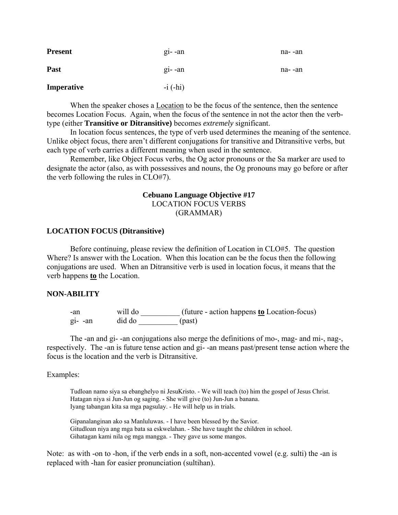| <b>Present</b> | $g_1$ -an  | na- -an |
|----------------|------------|---------|
| Past           | $gi$ -an   | na- -an |
| Imperative     | $-i$ (-hi) |         |

 When the speaker choses a Location to be the focus of the sentence, then the sentence becomes Location Focus. Again, when the focus of the sentence in not the actor then the verbtype (either **Transitive or Ditransitive)** becomes *extremely* significant.

 In location focus sentences, the type of verb used determines the meaning of the sentence. Unlike object focus, there aren't different conjugations for transitive and Ditransitive verbs, but each type of verb carries a different meaning when used in the sentence.

 Remember, like Object Focus verbs, the Og actor pronouns or the Sa marker are used to designate the actor (also, as with possessives and nouns, the Og pronouns may go before or after the verb following the rules in CLO#7).

# **Cebuano Language Objective #17**  LOCATION FOCUS VERBS (GRAMMAR)

## **LOCATION FOCUS (Ditransitive)**

Before continuing, please review the definition of Location in CLO#5. The question Where? Is answer with the Location. When this location can be the focus then the following conjugations are used. When an Ditransitive verb is used in location focus, it means that the verb happens **to** the Location.

## **NON-ABILITY**

-an will do  $\qquad$  (future - action happens **to** Location-focus) gi- -an did do \_\_\_\_\_\_\_\_\_\_ (past)

 The -an and gi- -an conjugations also merge the definitions of mo-, mag- and mi-, nag-, respectively. The -an is future tense action and gi- -an means past/present tense action where the focus is the location and the verb is Ditransitive.

## Examples:

Tudloan namo siya sa ebanghelyo ni JesuKristo. - We will teach (to) him the gospel of Jesus Christ. Hatagan niya si Jun-Jun og saging. - She will give (to) Jun-Jun a banana. Iyang tabangan kita sa mga pagsulay. - He will help us in trials.

 Gipanalanginan ako sa Manluluwas. - I have been blessed by the Savior. Gitudloan niya ang mga bata sa eskwelahan. - She have taught the children in school. Gihatagan kami nila og mga mangga. - They gave us some mangos.

Note: as with -on to -hon, if the verb ends in a soft, non-accented vowel (e.g. sulti) the -an is replaced with -han for easier pronunciation (sultihan).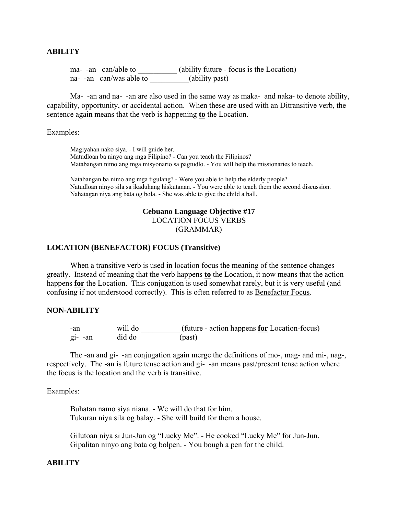## **ABILITY**

ma- -an can/able to \_\_\_\_\_\_\_\_\_\_\_ (ability future - focus is the Location) na- -an can/was able to \_\_\_\_\_\_\_\_(ability past)

 Ma- -an and na- -an are also used in the same way as maka- and naka- to denote ability, capability, opportunity, or accidental action. When these are used with an Ditransitive verb, the sentence again means that the verb is happening **to** the Location.

Examples:

Magiyahan nako siya. - I will guide her. Matudloan ba ninyo ang mga Filipino? - Can you teach the Filipinos? Matabangan nimo ang mga misyonario sa pagtudlo. - You will help the missionaries to teach.

 Natabangan ba nimo ang mga tigulang? - Were you able to help the elderly people? Natudloan ninyo sila sa ikaduhang hiskutanan. - You were able to teach them the second discussion. Nahatagan niya ang bata og bola. - She was able to give the child a ball.

## **Cebuano Language Objective #17**  LOCATION FOCUS VERBS (GRAMMAR)

#### **LOCATION (BENEFACTOR) FOCUS (Transitive)**

When a transitive verb is used in location focus the meaning of the sentence changes greatly. Instead of meaning that the verb happens **to** the Location, it now means that the action happens **for** the Location. This conjugation is used somewhat rarely, but it is very useful (and confusing if not understood correctly). This is often referred to as Benefactor Focus.

#### **NON-ABILITY**

-an will do  $\qquad$  (future - action happens **for** Location-focus) gi- -an did do \_\_\_\_\_\_\_\_\_\_ (past)

 The -an and gi- -an conjugation again merge the definitions of mo-, mag- and mi-, nag-, respectively. The -an is future tense action and gi- -an means past/present tense action where the focus is the location and the verb is transitive.

Examples:

 Buhatan namo siya niana. - We will do that for him. Tukuran niya sila og balay. - She will build for them a house.

 Gilutoan niya si Jun-Jun og "Lucky Me". - He cooked "Lucky Me" for Jun-Jun. Gipalitan ninyo ang bata og bolpen. - You bough a pen for the child.

## **ABILITY**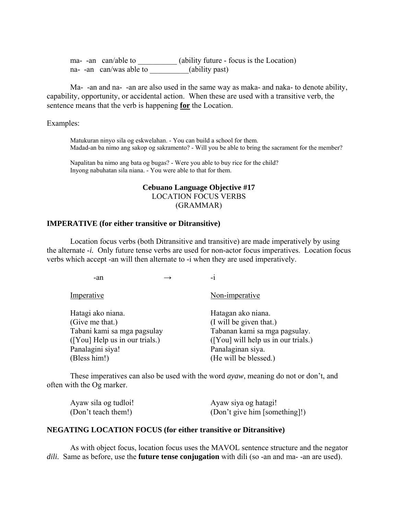ma- -an can/able to \_\_\_\_\_\_\_\_\_\_\_ (ability future - focus is the Location) na- -an can/was able to \_\_\_\_\_\_\_\_\_(ability past)

 Ma- -an and na- -an are also used in the same way as maka- and naka- to denote ability, capability, opportunity, or accidental action. When these are used with a transitive verb, the sentence means that the verb is happening **for** the Location.

Examples:

Matukuran ninyo sila og eskwelahan. - You can build a school for them. Madad-an ba nimo ang sakop og sakramento? - Will you be able to bring the sacrament for the member?

 Napalitan ba nimo ang bata og bugas? - Were you able to buy rice for the child? Inyong nabuhatan sila niana. - You were able to that for them.

# **Cebuano Language Objective #17**  LOCATION FOCUS VERBS (GRAMMAR)

## **IMPERATIVE (for either transitive or Ditransitive)**

 Location focus verbs (both Ditransitive and transitive) are made imperatively by using the alternate -*i.* Only future tense verbs are used for non-actor focus imperatives. Location focus verbs which accept -an will then alternate to -i when they are used imperatively.

 $-an \rightarrow -i$ 

| Non-imperative                      |
|-------------------------------------|
| Hatagan ako niana.                  |
| (I will be given that.)             |
| Tabanan kami sa mga pagsulay.       |
| ([You] will help us in our trials.) |
| Panalaginan siya.                   |
| (He will be blessed.)               |
|                                     |

 These imperatives can also be used with the word *ayaw*, meaning do not or don't, and often with the Og marker.

| Ayaw sila og tudloi! | Ayaw siya og hatagi!          |
|----------------------|-------------------------------|
| (Don't teach them!)  | (Don't give him [something]!) |

## **NEGATING LOCATION FOCUS (for either transitive or Ditransitive)**

As with object focus, location focus uses the MAVOL sentence structure and the negator *dili.* Same as before, use the **future tense conjugation** with dili (so -an and ma- -an are used).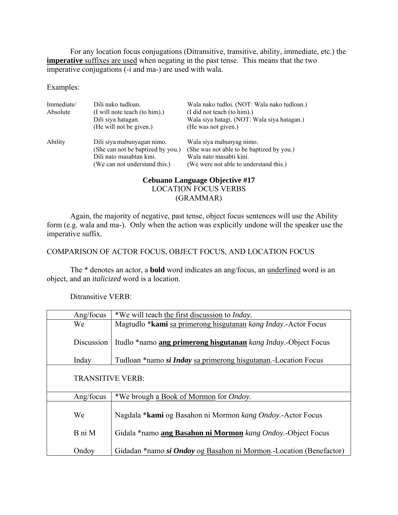For any location focus conjugations (Ditransitive, transitive, ability, immediate, etc.) the **imperative** suffixes are used when negating in the past tense. This means that the two imperative conjugations (-i and ma-) are used with wala.

Examples:

| Immediate/<br>Absolute | Dili nako tudloan.<br>(I will note teach (to him).)<br>Dili siya hatagan.<br>(He will not be given.)                         | Wala nako tudloi. (NOT: Wala nako tudloan.)<br>(I did not teach (to him).)<br>Wala siya hatagi. (NOT: Wala siya hatagan.)<br>(He was not given.) |
|------------------------|------------------------------------------------------------------------------------------------------------------------------|--------------------------------------------------------------------------------------------------------------------------------------------------|
| Ability                | Dili siya mabunyagan nimo.<br>(She can not be baptized by you.)<br>Dili nato masabtan kini.<br>(We can not understand this.) | Wala siya mabunyag nimo.<br>(She was not able to be baptized by you.)<br>Wala nato masabti kini.<br>(We were not able to understand this.)       |

# **Cebuano Language Objective #17**  LOCATION FOCUS VERBS (GRAMMAR)

 Again, the majority of negative, past tense, object focus sentences will use the Ability form (e.g. wala and ma-). Only when the action was explicitly undone will the speaker use the imperative suffix.

# COMPARISON OF ACTOR FOCUS, OBJECT FOCUS, AND LOCATION FOCUS

 The \* denotes an actor, a **bold** word indicates an ang/focus, an underlined word is an object, and an *italicized* word is a location.

Ditransitive VERB:

| Ang/focus               | *We will teach the first discussion to <i>Inday</i> .              |  |
|-------------------------|--------------------------------------------------------------------|--|
| We                      | Magtudlo *kami sa primerong hisgutanan kang Inday.-Actor Focus     |  |
| Discussion              | Itudlo *namo ang primerong hisgutanan kang Inday.-Object Focus     |  |
| Inday                   | Tudloan *namo si Inday sa primerong hisgutanan. Location Focus     |  |
| <b>TRANSITIVE VERB:</b> |                                                                    |  |
| Ang/focus               | *We brough a Book of Mormon for <i>Ondoy</i> .                     |  |
| We                      | Nagdala * <b>kami</b> og Basahon ni Mormon kang Ondoy.-Actor Focus |  |
| B ni M                  | Gidala *namo ang Basahon ni Mormon kang Ondoy.-Object Focus        |  |
| Ondoy                   | Gidadan *namo si Ondoy og Basahon ni Mormon.-Location (Benefactor) |  |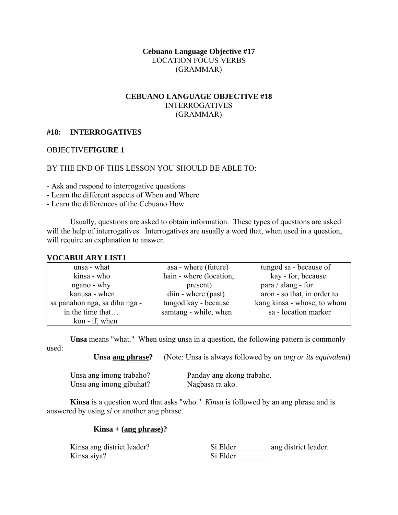# **Cebuano Language Objective #17**  LOCATION FOCUS VERBS (GRAMMAR)

# **CEBUANO LANGUAGE OBJECTIVE #18**  INTERROGATIVES (GRAMMAR)

# **#18: INTERROGATIVES**

## OBJECTIVE**FIGURE 1**

## BY THE END OF THIS LESSON YOU SHOULD BE ABLE TO:

- Ask and respond to interrogative questions

- Learn the different aspects of When and Where

- Learn the differences of the Cebuano How

 Usually, questions are asked to obtain information. These types of questions are asked will the help of interrogatives. Interrogatives are usually a word that, when used in a question, will require an explanation to answer.

#### **VOCABULARY LIST1**

| unsa - what                   | asa - where (future)    | tungod sa - because of      |
|-------------------------------|-------------------------|-----------------------------|
| kinsa - who                   | hain - where (location, | kay - for, because          |
| ngano - why                   | present)                | para / alang - for          |
| kanusa - when                 | diin - where (past)     | aron - so that, in order to |
| sa panahon nga, sa diha nga - | tungod kay - because    | kang kinsa - whose, to whom |
| in the time that              | samtang - while, when   | sa - location marker        |
| kon - if, when                |                         |                             |

**Unsa** means "what." When using unsa in a question, the following pattern is commonly used:

**Unsa ang phrase?** (Note: Unsa is always followed by *an ang or its equivalent*)

| Unsa ang imong trabaho? | Panday ang akong trabaho. |
|-------------------------|---------------------------|
| Unsa ang imong gibuhat? | Nagbasa ra ako.           |

**Kinsa** is a question word that asks "who." *Kinsa* is followed by an ang phrase and is answered by using *si* or another ang phrase.

## **Kinsa + (ang phrase)?**

Kinsa siya? Si Elder \_\_\_\_\_\_\_\_.

Kinsa ang district leader? Si Elder ang district leader.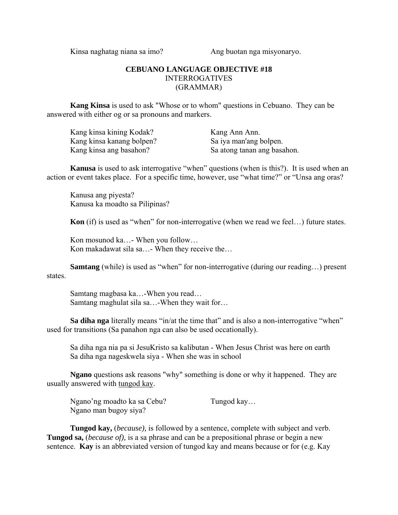Kinsa naghatag niana sa imo? Ang buotan nga misyonaryo.

# **CEBUANO LANGUAGE OBJECTIVE #18**  INTERROGATIVES (GRAMMAR)

**Kang Kinsa** is used to ask "Whose or to whom" questions in Cebuano. They can be answered with either og or sa pronouns and markers.

| Kang kinsa kining Kodak?  | Kang Ann Ann.               |
|---------------------------|-----------------------------|
| Kang kinsa kanang bolpen? | Sa iya man'ang bolpen.      |
| Kang kinsa ang basahon?   | Sa atong tanan ang basahon. |

**Kanusa** is used to ask interrogative "when" questions (when is this?). It is used when an action or event takes place. For a specific time, however, use "what time?" or "Unsa ang oras?

 Kanusa ang piyesta? Kanusa ka moadto sa Pilipinas?

**Kon** (if) is used as "when" for non-interrogative (when we read we feel…) future states.

 Kon mosunod ka…- When you follow… Kon makadawat sila sa…- When they receive the…

**Samtang** (while) is used as "when" for non-interrogative (during our reading...) present states.

 Samtang magbasa ka…-When you read… Samtang maghulat sila sa…-When they wait for…

**Sa diha nga** literally means "in/at the time that" and is also a non-interrogative "when" used for transitions (Sa panahon nga can also be used occationally).

 Sa diha nga nia pa si JesuKristo sa kalibutan - When Jesus Christ was here on earth Sa diha nga nageskwela siya - When she was in school

**Ngano** questions ask reasons "why" something is done or why it happened. They are usually answered with tungod kay.

 Ngano'ng moadto ka sa Cebu? Tungod kay… Ngano man bugoy siya?

**Tungod kay,** (*because),* is followed by a sentence, complete with subject and verb. **Tungod sa,** (*because of),* is a sa phrase and can be a prepositional phrase or begin a new sentence. **Kay** is an abbreviated version of tungod kay and means because or for (e.g. Kay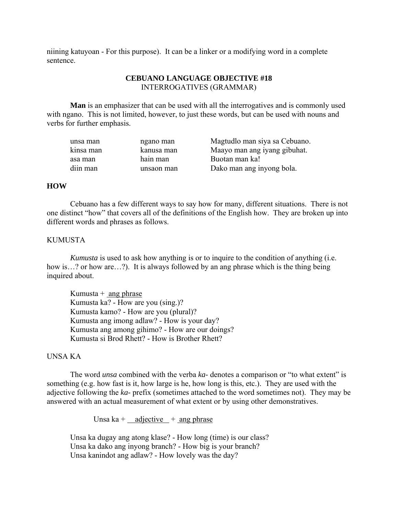niining katuyoan - For this purpose). It can be a linker or a modifying word in a complete sentence.

# **CEBUANO LANGUAGE OBJECTIVE #18**  INTERROGATIVES (GRAMMAR)

**Man** is an emphasizer that can be used with all the interrogatives and is commonly used with ngano. This is not limited, however, to just these words, but can be used with nouns and verbs for further emphasis.

| unsa man  | ngano man  | Magtudlo man siya sa Cebuano. |
|-----------|------------|-------------------------------|
| kinsa man | kanusa man | Maayo man ang iyang gibuhat.  |
| asa man   | hain man   | Buotan man ka!                |
| diin man  | unsaon man | Dako man ang inyong bola.     |

## **HOW**

 Cebuano has a few different ways to say how for many, different situations. There is not one distinct "how" that covers all of the definitions of the English how. They are broken up into different words and phrases as follows.

## KUMUSTA

*Kumusta* is used to ask how anything is or to inquire to the condition of anything (i.e. how is…? or how are…?). It is always followed by an ang phrase which is the thing being inquired about.

Kumusta  $+$  ang phrase Kumusta ka? - How are you (sing.)? Kumusta kamo? - How are you (plural)? Kumusta ang imong adlaw? - How is your day? Kumusta ang among gihimo? - How are our doings? Kumusta si Brod Rhett? - How is Brother Rhett?

## UNSA KA

 The word *unsa* combined with the verba *ka-* denotes a comparison or "to what extent" is something (e.g. how fast is it, how large is he, how long is this, etc.). They are used with the adjective following the *ka-* prefix (sometimes attached to the word sometimes not). They may be answered with an actual measurement of what extent or by using other demonstratives.

Unsa ka +  $\alpha$  adjective + ang phrase

 Unsa ka dugay ang atong klase? - How long (time) is our class? Unsa ka dako ang inyong branch? - How big is your branch? Unsa kanindot ang adlaw? - How lovely was the day?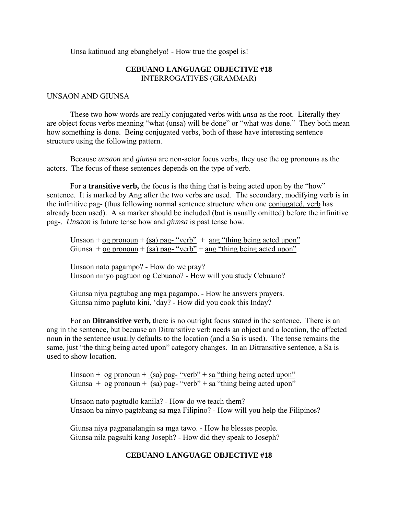Unsa katinuod ang ebanghelyo! - How true the gospel is!

# **CEBUANO LANGUAGE OBJECTIVE #18**  INTERROGATIVES (GRAMMAR)

#### UNSAON AND GIUNSA

 These two how words are really conjugated verbs with *unsa* as the root. Literally they are object focus verbs meaning "what (unsa) will be done" or "what was done." They both mean how something is done. Being conjugated verbs, both of these have interesting sentence structure using the following pattern.

 Because *unsaon* and *giunsa* are non-actor focus verbs, they use the og pronouns as the actors. The focus of these sentences depends on the type of verb.

 For a **transitive verb,** the focus is the thing that is being acted upon by the "how" sentence. It is marked by Ang after the two verbs are used. The secondary, modifying verb is in the infinitive pag- (thus following normal sentence structure when one conjugated, verb has already been used). A sa marker should be included (but is usually omitted) before the infinitive pag-. *Unsaon* is future tense how and *giunsa* is past tense how.

Unsaon + og pronoun + (sa) pag- "verb" + ang "thing being acted upon" Giunsa +  $\frac{1}{\log p}$  (sa) pag- "verb" + ang "thing being acted upon"

 Unsaon nato pagampo? - How do we pray? Unsaon ninyo pagtuon og Cebuano? - How will you study Cebuano?

 Giunsa niya pagtubag ang mga pagampo. - How he answers prayers. Giunsa nimo pagluto kini, 'day? - How did you cook this Inday?

 For an **Ditransitive verb,** there is no outright focus *stated* in the sentence. There is an ang in the sentence, but because an Ditransitive verb needs an object and a location, the affected noun in the sentence usually defaults to the location (and a Sa is used). The tense remains the same, just "the thing being acted upon" category changes. In an Ditransitive sentence, a Sa is used to show location.

Unsaon +  $\log$  pronoun + (sa) pag- "verb" + sa "thing being acted upon" Giunsa +  $\overline{\text{og pronoun}} + \overline{\text{(sa) pag- "verb"'} + \overline{\text{sa "thing being acted upon"}}$ 

 Unsaon nato pagtudlo kanila? - How do we teach them? Unsaon ba ninyo pagtabang sa mga Filipino? - How will you help the Filipinos?

 Giunsa niya pagpanalangin sa mga tawo. - How he blesses people. Giunsa nila pagsulti kang Joseph? - How did they speak to Joseph?

## **CEBUANO LANGUAGE OBJECTIVE #18**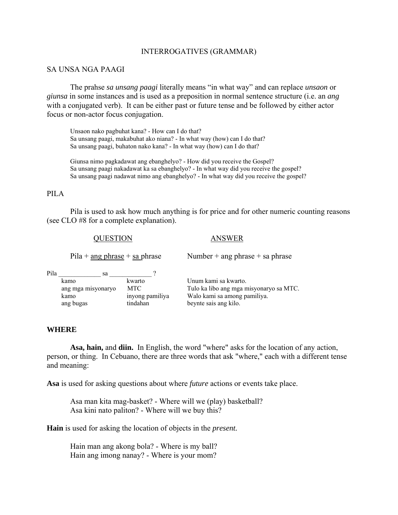#### INTERROGATIVES (GRAMMAR)

## SA UNSA NGA PAAGI

 The prahse *sa unsang paagi* literally means "in what way" and can replace *unsaon* or *giunsa* in some instances and is used as a preposition in normal sentence structure (i.e. an *ang* with a conjugated verb). It can be either past or future tense and be followed by either actor focus or non-actor focus conjugation.

Unsaon nako pagbuhat kana? - How can I do that? Sa unsang paagi, makabuhat ako niana? - In what way (how) can I do that? Sa unsang paagi, buhaton nako kana? - In what way (how) can I do that?

 Giunsa nimo pagkadawat ang ebanghelyo? - How did you receive the Gospel? Sa unsang paagi nakadawat ka sa ebanghelyo? - In what way did you receive the gospel? Sa unsang paagi nadawat nimo ang ebanghelyo? - In what way did you receive the gospel?

## PILA

 Pila is used to ask how much anything is for price and for other numeric counting reasons (see CLO #8 for a complete explanation).

#### QUESTION ANSWER

Pila + <u>ang phrase</u> + sa phrase Number + ang phrase + sa phrase

Pila \_\_\_\_\_\_\_\_\_\_\_\_\_ sa \_\_\_\_\_\_\_\_\_\_\_\_\_ ? kamo kwarto Unum kami sa kwarto. kamo inyong pamiliya Walo kami sa among pamiliya. ang bugas tindahan beynte sais ang kilo.

ang mga misyonaryo MTC Tulo ka libo ang mga misyonaryo sa MTC.

## **WHERE**

**Asa, hain,** and **diin.** In English, the word "where" asks for the location of any action, person, or thing. In Cebuano, there are three words that ask "where," each with a different tense and meaning:

**Asa** is used for asking questions about where *future* actions or events take place.

 Asa man kita mag-basket? - Where will we (play) basketball? Asa kini nato paliton? - Where will we buy this?

**Hain** is used for asking the location of objects in the *present.*

 Hain man ang akong bola? - Where is my ball? Hain ang imong nanay? - Where is your mom?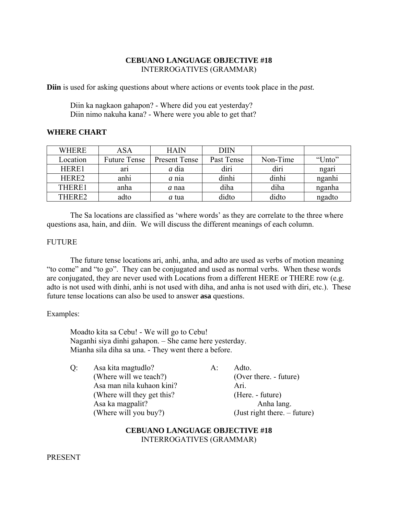# **CEBUANO LANGUAGE OBJECTIVE #18**  INTERROGATIVES (GRAMMAR)

**Diin** is used for asking questions about where actions or events took place in the *past.*

 Diin ka nagkaon gahapon? - Where did you eat yesterday? Diin nimo nakuha kana? - Where were you able to get that?

# **WHERE CHART**

| <b>WHERE</b>       | ASA                 | <b>HAIN</b>   | <b>DIIN</b> |          |        |
|--------------------|---------------------|---------------|-------------|----------|--------|
| Location           | <b>Future Tense</b> | Present Tense | Past Tense  | Non-Time | "Unto" |
| HERE1              | ari                 | <i>a</i> dia  | diri        | diri     | ngari  |
| HERE <sub>2</sub>  | anhi                | $a$ nia       | dinhi       | dinhi    | nganhi |
| THERE1             | anha                | a naa         | diha        | diha     | nganha |
| THERE <sub>2</sub> | adto                | <i>a</i> tua  | didto       | didto    | ngadto |

 The Sa locations are classified as 'where words' as they are correlate to the three where questions asa, hain, and diin. We will discuss the different meanings of each column.

# **FUTURE**

 The future tense locations ari, anhi, anha, and adto are used as verbs of motion meaning "to come" and "to go". They can be conjugated and used as normal verbs. When these words are conjugated, they are never used with Locations from a different HERE or THERE row (e.g. adto is not used with dinhi, anhi is not used with diha, and anha is not used with diri, etc.). These future tense locations can also be used to answer **asa** questions.

# Examples:

 Moadto kita sa Cebu! - We will go to Cebu! Naganhi siya dinhi gahapon. – She came here yesterday. Mianha sila diha sa una. - They went there a before.

| O: | Asa kita magtudlo?          | A: | Adto.                          |
|----|-----------------------------|----|--------------------------------|
|    | (Where will we teach?)      |    | (Over there. - future)         |
|    | Asa man nila kuhaon kini?   |    | Ari.                           |
|    | (Where will they get this?) |    | (Here. - future)               |
|    | Asa ka magpalit?            |    | Anha lang.                     |
|    | (Where will you buy?)       |    | $(Just right there. - future)$ |

# **CEBUANO LANGUAGE OBJECTIVE #18**  INTERROGATIVES (GRAMMAR)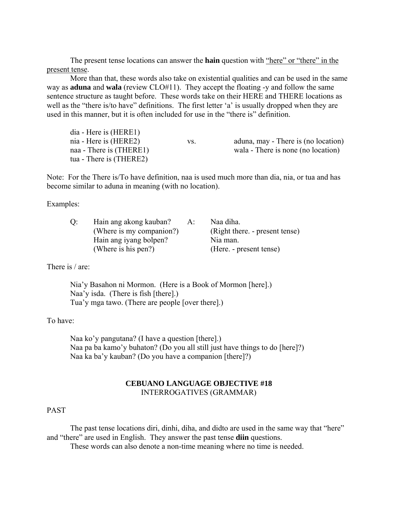The present tense locations can answer the **hain** question with "here" or "there" in the present tense.

 More than that, these words also take on existential qualities and can be used in the same way as **aduna** and **wala** (review CLO#11). They accept the floating -y and follow the same sentence structure as taught before. These words take on their HERE and THERE locations as well as the "there is/to have" definitions. The first letter 'a' is usually dropped when they are used in this manner, but it is often included for use in the "there is" definition.

| $dia$ - Here is $(HERE1)$ |     |                                     |
|---------------------------|-----|-------------------------------------|
| nia - Here is (HERE2)     | VS. | aduna, may - There is (no location) |
| naa - There is (THERE1)   |     | wala - There is none (no location)  |
| tua - There is (THERE2)   |     |                                     |

Note: For the There is/To have definition, naa is used much more than dia, nia, or tua and has become similar to aduna in meaning (with no location).

Examples:

| Hain ang akong kauban?   | $A$ : | Naa diha.                      |
|--------------------------|-------|--------------------------------|
| (Where is my companion?) |       | (Right there. - present tense) |
| Hain ang iyang bolpen?   |       | Nia man.                       |
| (Where is his pen?)      |       | (Here. - present tense)        |

There is / are:

 Nia'y Basahon ni Mormon. (Here is a Book of Mormon [here].) Naa'y isda. (There is fish [there].) Tua'y mga tawo. (There are people [over there].)

To have:

 Naa ko'y pangutana? (I have a question [there].) Naa pa ba kamo'y buhaton? (Do you all still just have things to do [here]?) Naa ka ba'y kauban? (Do you have a companion [there]?)

## **CEBUANO LANGUAGE OBJECTIVE #18**  INTERROGATIVES (GRAMMAR)

## PAST

 The past tense locations diri, dinhi, diha, and didto are used in the same way that "here" and "there" are used in English. They answer the past tense **diin** questions.

These words can also denote a non-time meaning where no time is needed.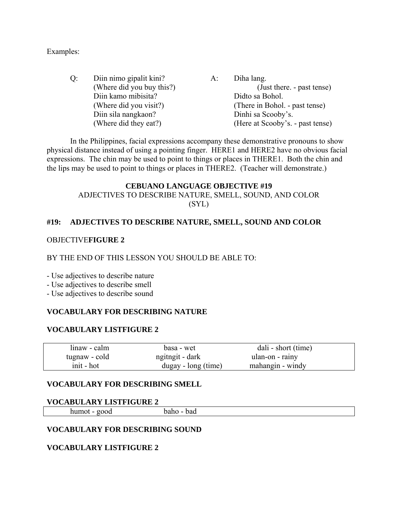Examples:

 Q: Diin nimo gipalit kini? A: Diha lang. (Where did you buy this?) (Just there. - past tense) Diin kamo mibisita? Didto sa Bohol. (Where did you visit?) (There in Bohol. - past tense) Diin sila nangkaon? Dinhi sa Scooby's. (Where did they eat?) (Here at Scooby's. - past tense)

 In the Philippines, facial expressions accompany these demonstrative pronouns to show physical distance instead of using a pointing finger. HERE1 and HERE2 have no obvious facial expressions. The chin may be used to point to things or places in THERE1. Both the chin and the lips may be used to point to things or places in THERE2. (Teacher will demonstrate.)

# **CEBUANO LANGUAGE OBJECTIVE #19**  ADJECTIVES TO DESCRIBE NATURE, SMELL, SOUND, AND COLOR (SYL)

# **#19: ADJECTIVES TO DESCRIBE NATURE, SMELL, SOUND AND COLOR**

# OBJECTIVE**FIGURE 2**

# BY THE END OF THIS LESSON YOU SHOULD BE ABLE TO:

- Use adjectives to describe nature

- Use adjectives to describe smell
- Use adjectives to describe sound

# **VOCABULARY FOR DESCRIBING NATURE**

# **VOCABULARY LISTFIGURE 2**

| linaw - calm  | basa - wet          | dali - short (time) |  |
|---------------|---------------------|---------------------|--|
| tugnaw - cold | ngit - dark         | ulan-on - rainy     |  |
| init - hot    | dugay - long (time) | mahangin - windy    |  |

# **VOCABULARY FOR DESCRIBING SMELL**

# **VOCABULARY LISTFIGURE 2**

humot - good baho - bad

# **VOCABULARY FOR DESCRIBING SOUND**

# **VOCABULARY LISTFIGURE 2**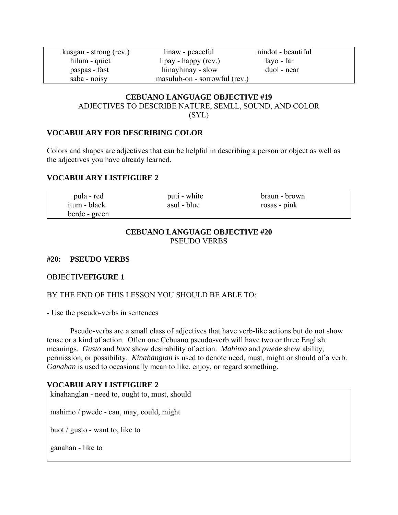kusgan - strong (rev.) linaw - peaceful nindot - beautiful hilum - quiet lipay - happy (rev.) layo - far paspas - fast hinayhinay - slow duol - near saba - noisy masulub-on - sorrowful (rev.)

# **CEBUANO LANGUAGE OBJECTIVE #19**  ADJECTIVES TO DESCRIBE NATURE, SEMLL, SOUND, AND COLOR (SYL)

# **VOCABULARY FOR DESCRIBING COLOR**

Colors and shapes are adjectives that can be helpful in describing a person or object as well as the adjectives you have already learned.

# **VOCABULARY LISTFIGURE 2**

| pula - red    | puti - white | braun - brown |  |
|---------------|--------------|---------------|--|
| itum - black  | asul - blue  | rosas - pink  |  |
| berde - green |              |               |  |

# **CEBUANO LANGUAGE OBJECTIVE #20**  PSEUDO VERBS

# **#20: PSEUDO VERBS**

# OBJECTIVE**FIGURE 1**

# BY THE END OF THIS LESSON YOU SHOULD BE ABLE TO:

- Use the pseudo-verbs in sentences

 Pseudo-verbs are a small class of adjectives that have verb-like actions but do not show tense or a kind of action. Often one Cebuano pseudo-verb will have two or three English meanings. *Gusto* and *buot* show desirability of action. *Mahimo* and *pwede* show ability, permission, or possibility. *Kinahanglan* is used to denote need, must, might or should of a verb. *Ganahan* is used to occasionally mean to like, enjoy, or regard something.

# **VOCABULARY LISTFIGURE 2**

kinahanglan - need to, ought to, must, should mahimo / pwede - can, may, could, might buot / gusto - want to, like to ganahan - like to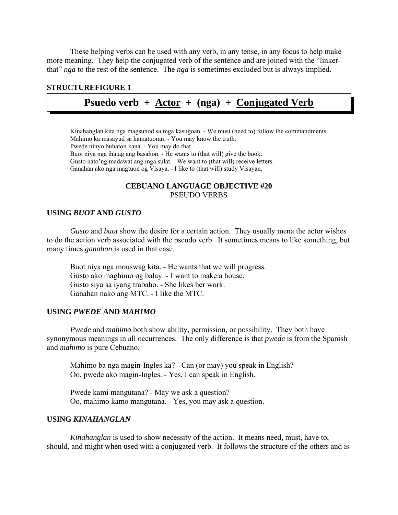These helping verbs can be used with any verb, in any tense, in any focus to help make more meaning. They help the conjugated verb of the sentence and are joined with the "linkerthat" *nga* to the rest of the sentence. The *nga* is sometimes excluded but is always implied.

## **STRUCTUREFIGURE 1**

# **Psuedo verb + Actor + (nga) + Conjugated Verb**

 Kinahanglan kita nga magsunod sa mga kasugoan. - We must (need to) follow the commandments. Mahimo ka masayud sa kamatuoran. - You may know the truth. Pwede ninyo buhaton kana. - You may do that. Buot niya nga ihatag ang basahon. - He wants to (that will) give the book. Gusto nato'ng madawat ang mga sulat. - We want to (that will) receive letters. Ganahan ako nga magtuon og Visaya. - I like to (that will) study Visayan.

# **CEBUANO LANGUAGE OBJECTIVE #20**  PSEUDO VERBS

## **USING** *BUOT* **AND** *GUSTO*

*Gusto* and *buot* show the desire for a certain action. They usually mena the actor wishes to do the action verb associated with the pseudo verb. It sometimes means to like something, but many times *ganahan* is used in that case.

 Buot niya nga mouswag kita. - He wants that we will progress. Gusto ako maghimo og balay. - I want to make a house. Gusto siya sa iyang trabaho. - She likes her work. Ganahan nako ang MTC. - I like the MTC.

## **USING** *PWEDE* **AND** *MAHIMO*

*Pwede* and *mahimo* both show ability, permission, or possibility. They both have synonymous meanings in all occurrences. The only difference is that *pwede* is from the Spanish and *mahimo* is pure Cebuano.

 Mahimo ba nga magin-Ingles ka? - Can (or may) you speak in English? Oo, pwede ako magin-Ingles. - Yes, I can speak in English.

 Pwede kami mangutana? - May we ask a question? Oo, mahimo kamo mangutana. - Yes, you may ask a question.

## **USING** *KINAHANGLAN*

*Kinahanglan* is used to show necessity of the action. It means need, must, have to, should, and might when used with a conjugated verb. It follows the structure of the others and is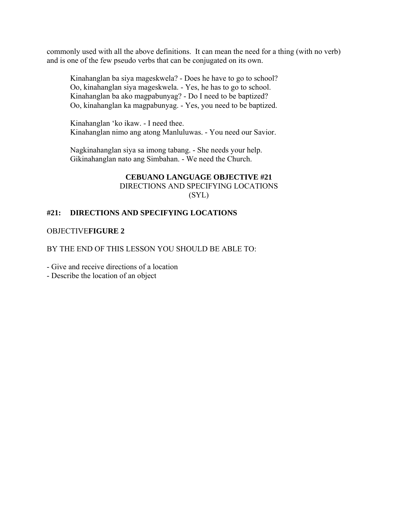commonly used with all the above definitions. It can mean the need for a thing (with no verb) and is one of the few pseudo verbs that can be conjugated on its own.

 Kinahanglan ba siya mageskwela? - Does he have to go to school? Oo, kinahanglan siya mageskwela. - Yes, he has to go to school. Kinahanglan ba ako magpabunyag? - Do I need to be baptized? Oo, kinahanglan ka magpabunyag. - Yes, you need to be baptized.

 Kinahanglan 'ko ikaw. - I need thee. Kinahanglan nimo ang atong Manluluwas. - You need our Savior.

 Nagkinahanglan siya sa imong tabang. - She needs your help. Gikinahanglan nato ang Simbahan. - We need the Church.

## **CEBUANO LANGUAGE OBJECTIVE #21**  DIRECTIONS AND SPECIFYING LOCATIONS

(SYL)

# **#21: DIRECTIONS AND SPECIFYING LOCATIONS**

# OBJECTIVE**FIGURE 2**

BY THE END OF THIS LESSON YOU SHOULD BE ABLE TO:

- Give and receive directions of a location

- Describe the location of an object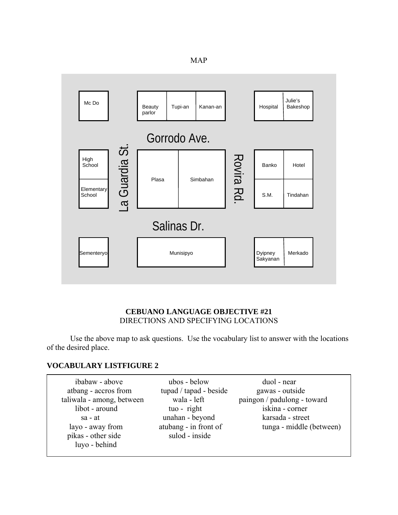|--|--|



# **CEBUANO LANGUAGE OBJECTIVE #21**  DIRECTIONS AND SPECIFYING LOCATIONS

 Use the above map to ask questions. Use the vocabulary list to answer with the locations of the desired place.

# **VOCABULARY LISTFIGURE 2**

| ibabaw - above            | ubos - below           | duol - near                 |
|---------------------------|------------------------|-----------------------------|
| atbang - accros from      | tupad / tapad - beside | gawas - outside             |
| taliwala - among, between | wala - left            | paingon / padulong - toward |
| libot - around            | tuo - right            | iskina - corner             |
| sa - at                   | unahan - beyond        | karsada - street            |
| layo - away from          | atubang - in front of  | tunga - middle (between)    |
| pikas - other side        | sulod - inside         |                             |
| luyo - behind             |                        |                             |
|                           |                        |                             |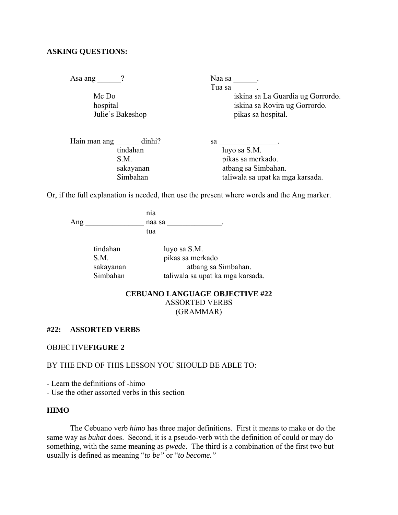## **ASKING QUESTIONS:**

Asa ang \_\_\_\_\_? Naa sa \_\_\_\_\_.

Tua sa za mata Mc Do iskina sa La Guardia ug Gorrordo. hospital iskina sa Rovira ug Gorrordo. Julie's Bakeshop pikas sa hospital.

| Hain man ang | dinhi?    | sa |                                  |
|--------------|-----------|----|----------------------------------|
|              | tindahan  |    | luyo sa S.M.                     |
|              | S.M.      |    | pikas sa merkado.                |
|              | sakayanan |    | atbang sa Simbahan.              |
|              | Simbahan  |    | taliwala sa upat ka mga karsada. |

Or, if the full explanation is needed, then use the present where words and the Ang marker.

nia antico di unitativa di unitativa di unitativa di unitativa di unitativa di unitativa di unitativa di unita Ang \_\_\_\_\_\_\_\_\_\_\_\_\_\_\_ naa sa \_\_\_\_\_\_\_\_\_\_\_\_\_\_. tua di secondo di secondo a futbolista di secondo a futbolista di secondo a futbolista di secondo a futbolista

| tindahan  | luyo sa S.M.                     |
|-----------|----------------------------------|
| S M       | pikas sa merkado                 |
| sakayanan | atbang sa Simbahan.              |
| Simbahan  | taliwala sa upat ka mga karsada. |

## **CEBUANO LANGUAGE OBJECTIVE #22**  ASSORTED VERBS (GRAMMAR)

## **#22: ASSORTED VERBS**

OBJECTIVE**FIGURE 2** 

BY THE END OF THIS LESSON YOU SHOULD BE ABLE TO:

- Learn the definitions of -himo

- Use the other assorted verbs in this section

## **HIMO**

 The Cebuano verb *himo* has three major definitions. First it means to make or do the same way as *buhat* does. Second, it is a pseudo-verb with the definition of could or may do something, with the same meaning as *pwede*. The third is a combination of the first two but usually is defined as meaning "*to be"* or "*to become."*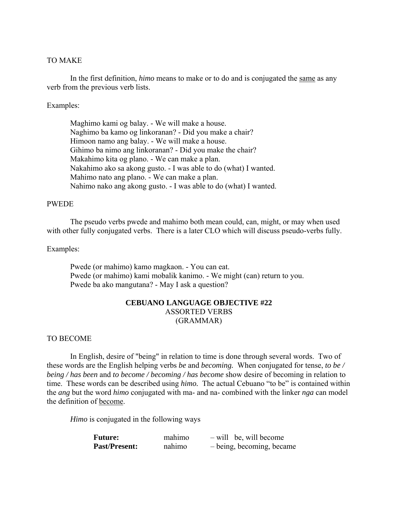## TO MAKE

 In the first definition, *himo* means to make or to do and is conjugated the same as any verb from the previous verb lists.

## Examples:

 Maghimo kami og balay. - We will make a house. Naghimo ba kamo og linkoranan? - Did you make a chair? Himoon namo ang balay. - We will make a house. Gihimo ba nimo ang linkoranan? - Did you make the chair? Makahimo kita og plano. - We can make a plan. Nakahimo ako sa akong gusto. - I was able to do (what) I wanted. Mahimo nato ang plano. - We can make a plan. Nahimo nako ang akong gusto. - I was able to do (what) I wanted.

## PWEDE

 The pseudo verbs pwede and mahimo both mean could, can, might, or may when used with other fully conjugated verbs. There is a later CLO which will discuss pseudo-verbs fully.

## Examples:

 Pwede (or mahimo) kamo magkaon. - You can eat. Pwede (or mahimo) kami mobalik kanimo. - We might (can) return to you. Pwede ba ako mangutana? - May I ask a question?

## **CEBUANO LANGUAGE OBJECTIVE #22**  ASSORTED VERBS (GRAMMAR)

#### TO BECOME

 In English, desire of "being" in relation to time is done through several words. Two of these words are the English helping verbs *be* and *becoming.* When conjugated for tense, *to be / being / has been* and *to become / becoming / has become* show desire of becoming in relation to time. These words can be described using *himo.* The actual Cebuano "to be" is contained within the *ang* but the word *himo* conjugated with ma- and na- combined with the linker *nga* can model the definition of become.

*Himo* is conjugated in the following ways

| <b>Future:</b>       | mahimo | $-$ will be, will become  |
|----------------------|--------|---------------------------|
| <b>Past/Present:</b> | nahimo | - being, becoming, became |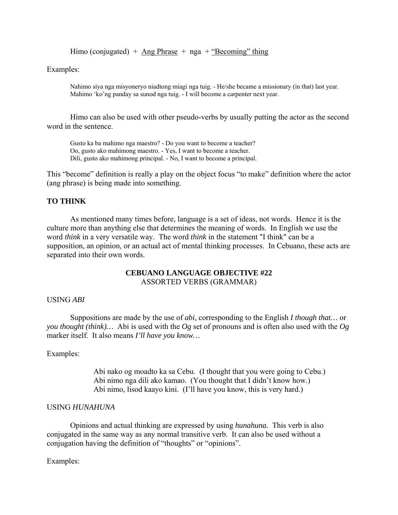Himo (conjugated) +  $\Delta$ ng Phrase + nga + "Becoming" thing

Examples:

Nahimo siya nga misyoneryo niadtong miagi nga tuig. - He/she became a missionary (in that) last year. Mahimo 'ko'ng panday sa sunod nga tuig. - I will become a carpenter next year.

Himo can also be used with other pseudo-verbs by usually putting the actor as the second word in the sentence.

Gusto ka ba mahimo nga maestro? - Do you want to become a teacher? Oo, gusto ako mahimong maestro. - Yes, I want to become a teacher. Dili, gusto ako mahimong principal. - No, I want to become a principal.

This "become" definition is really a play on the object focus "to make" definition where the actor (ang phrase) is being made into something.

## **TO THINK**

 As mentioned many times before, language is a set of ideas, not words. Hence it is the culture more than anything else that determines the meaning of words. In English we use the word *think* in a very versatile way. The word *think* in the statement "I think" can be a supposition, an opinion, or an actual act of mental thinking processes. In Cebuano, these acts are separated into their own words.

## **CEBUANO LANGUAGE OBJECTIVE #22**  ASSORTED VERBS (GRAMMAR)

## USING *ABI*

 Suppositions are made by the use of *abi,* corresponding to the English *I though that…* or *you thought (think)…* Abi is used with the *Og* set of pronouns and is often also used with the *Og* marker itself. It also means *I'll have you know…*

## Examples:

 Abi nako og moadto ka sa Cebu. (I thought that you were going to Cebu.) Abi nimo nga dili ako kamao. (You thought that I didn't know how.) Abi nimo, lisod kaayo kini. (I'll have you know, this is very hard.)

## USING *HUNAHUNA*

 Opinions and actual thinking are expressed by using *hunahuna.* This verb is also conjugated in the same way as any normal transitive verb. It can also be used without a conjugation having the definition of "thoughts" or "opinions".

Examples: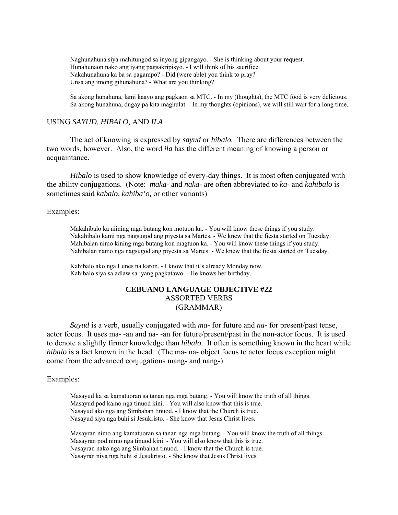Naghunahuna siya mahitungod sa inyong gipangayo. - She is thinking about your request. Hunahunaon nako ang iyang pagsakripisyo. - I will think of his sacrifice. Nakahunahuna ka ba sa pagampo? - Did (were able) you think to pray? Unsa ang imong gihunahuna? - What are you thinking?

 Sa akong hunahuna, lami kaayo ang pagkaon sa MTC. - In my (thoughts), the MTC food is very delicious. Sa akong hunahuna, dugay pa kita maghulat. - In my thoughts (opinions), we will still wait for a long time.

## USING *SAYUD, HIBALO,* AND *ILA*

 The act of knowing is expressed by *sayud* or *hibalo.* There are differences between the two words, however. Also, the word *ila* has the different meaning of knowing a person or acquaintance.

*Hibalo* is used to show knowledge of every-day things. It is most often conjugated with the ability conjugations. (Note: *maka-* and *naka-* are often abbreviated to *ka-* and *kahibalo* is sometimes said *kabalo, kahiba'o,* or other variants)

Examples:

Makahibalo ka niining mga butang kon motuon ka. - You will know these things if you study. Nakahibalo kami nga nagsugod ang piyesta sa Martes. - We knew that the fiesta started on Tuesday. Mahibalan nimo kining mga butang kon magtuon ka. - You will know these things if you study. Nahibalan namo nga nagsugod ang piyesta sa Martes. - We knew that the fiesta started on Tuesday.

 Kahibalo ako nga Lunes na karon. - I know that it's already Monday now. Kahibalo siya sa adlaw sa iyang pagkatawo. - He knows her birthday.

## **CEBUANO LANGUAGE OBJECTIVE #22**  ASSORTED VERBS (GRAMMAR)

*Sayud* is a verb, usually conjugated with *ma-* for future and *na-* for present/past tense, actor focus. It uses ma- -an and na- -an for future/present/past in the non-actor focus. It is used to denote a slightly firmer knowledge than *hibalo*. It often is something known in the heart while *hibalo* is a fact known in the head. (The ma- na- object focus to actor focus exception might come from the advanced conjugations mang- and nang-)

#### Examples:

Masayud ka sa kamatuoran sa tanan nga mga butang. - You will know the truth of all things. Masayud pod kamo nga tinuod kini. - You will also know that this is true. Nasayud ako nga ang Simbahan tinuod. - I know that the Church is true. Nasayud siya nga buhi si Jesukristo. - She know that Jesus Christ lives.

 Masayran nimo ang kamatuoran sa tanan nga mga butang. - You will know the truth of all things. Masayran pod nimo nga tinuod kini. - You will also know that this is true. Nasayran nako nga ang Simbahan tinuod. - I know that the Church is true. Nasayran niya nga buhi si Jesukristo. - She know that Jesus Christ lives.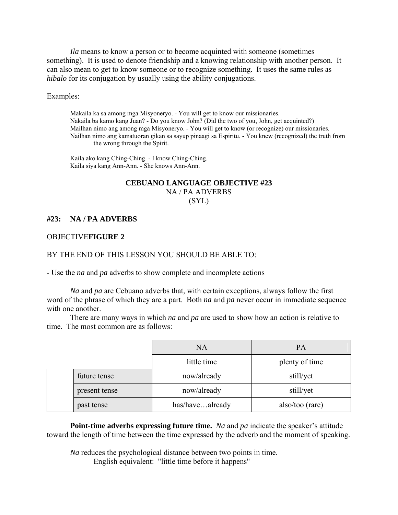*Ila* means to know a person or to become acquinted with someone (sometimes something). It is used to denote friendship and a knowing relationship with another person. It can also mean to get to know someone or to recognize something. It uses the same rules as *hibalo* for its conjugation by usually using the ability conjugations.

Examples:

Makaila ka sa among mga Misyoneryo. - You will get to know our missionaries. Nakaila ba kamo kang Juan? - Do you know John? (Did the two of you, John, get acquinted?) Mailhan nimo ang among mga Misyoneryo. - You will get to know (or recognize) our missionaries. Nailhan nimo ang kamatuoran gikan sa sayup pinaagi sa Espiritu. - You knew (recognized) the truth from the wrong through the Spirit.

 Kaila ako kang Ching-Ching. - I know Ching-Ching. Kaila siya kang Ann-Ann. - She knows Ann-Ann.

## **CEBUANO LANGUAGE OBJECTIVE #23**  NA / PA ADVERBS (SYL)

## **#23: NA / PA ADVERBS**

## OBJECTIVE**FIGURE 2**

## BY THE END OF THIS LESSON YOU SHOULD BE ABLE TO:

- Use the *na* and *pa* adverbs to show complete and incomplete actions

*Na* and *pa* are Cebuano adverbs that, with certain exceptions, always follow the first word of the phrase of which they are a part. Both *na* and *pa* never occur in immediate sequence with one another.

 There are many ways in which *na* and *pa* are used to show how an action is relative to time. The most common are as follows:

|               | <b>NA</b>       | PA              |
|---------------|-----------------|-----------------|
|               | little time     | plenty of time  |
| future tense  | now/already     | still/yet       |
| present tense | now/already     | still/yet       |
| past tense    | has/havealready | also/too (rare) |

**Point-time adverbs expressing future time.** *Na* and *pa* indicate the speaker's attitude toward the length of time between the time expressed by the adverb and the moment of speaking.

*Na* reduces the psychological distance between two points in time. English equivalent: "little time before it happens"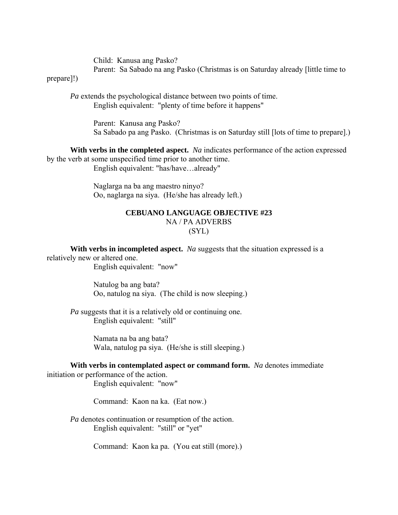Child: Kanusa ang Pasko? Parent: Sa Sabado na ang Pasko (Christmas is on Saturday already [little time to

prepare]!)

*Pa* extends the psychological distance between two points of time. English equivalent: "plenty of time before it happens"

> Parent: Kanusa ang Pasko? Sa Sabado pa ang Pasko. (Christmas is on Saturday still [lots of time to prepare].)

**With verbs in the completed aspect.** *Na* indicates performance of the action expressed by the verb at some unspecified time prior to another time. English equivalent: "has/have…already"

> Naglarga na ba ang maestro ninyo? Oo, naglarga na siya. (He/she has already left.)

## **CEBUANO LANGUAGE OBJECTIVE #23**  NA / PA ADVERBS (SYL)

**With verbs in incompleted aspect.** *Na* suggests that the situation expressed is a relatively new or altered one. English equivalent: "now"

> Natulog ba ang bata? Oo, natulog na siya. (The child is now sleeping.)

*Pa* suggests that it is a relatively old or continuing one. English equivalent: "still"

> Namata na ba ang bata? Wala, natulog pa siya. (He/she is still sleeping.)

**With verbs in contemplated aspect or command form.** *Na* denotes immediate initiation or performance of the action.

English equivalent: "now"

Command: Kaon na ka. (Eat now.)

*Pa* denotes continuation or resumption of the action. English equivalent: "still" or "yet"

Command: Kaon ka pa. (You eat still (more).)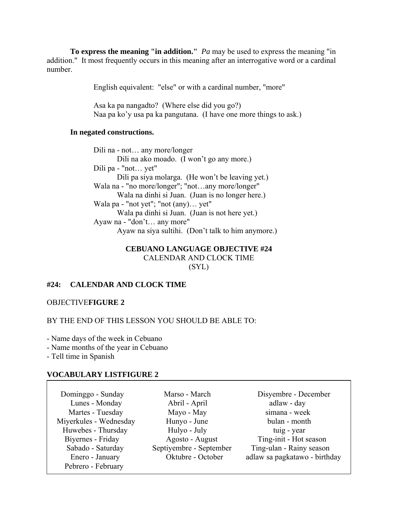**To express the meaning "in addition."** *Pa* may be used to express the meaning "in addition." It most frequently occurs in this meaning after an interrogative word or a cardinal number.

English equivalent: "else" or with a cardinal number, "more"

 Asa ka pa nangadto? (Where else did you go?) Naa pa ko'y usa pa ka pangutana. (I have one more things to ask.)

## **In negated constructions.**

 Dili na - not… any more/longer Dili na ako moado. (I won't go any more.) Dili pa - "not… yet" Dili pa siya molarga. (He won't be leaving yet.) Wala na - "no more/longer"; "not…any more/longer" Wala na dinhi si Juan. (Juan is no longer here.) Wala pa - "not yet"; "not (any)… yet" Wala pa dinhi si Juan. (Juan is not here yet.) Ayaw na - "don't… any more" Ayaw na siya sultihi. (Don't talk to him anymore.)

## **CEBUANO LANGUAGE OBJECTIVE #24**  CALENDAR AND CLOCK TIME

(SYL)

## **#24: CALENDAR AND CLOCK TIME**

## OBJECTIVE**FIGURE 2**

## BY THE END OF THIS LESSON YOU SHOULD BE ABLE TO:

- Name days of the week in Cebuano

- Name months of the year in Cebuano

- Tell time in Spanish

#### **VOCABULARY LISTFIGURE 2**

| Dominggo - Sunday      | Marso - March           | Disyembre - December          |
|------------------------|-------------------------|-------------------------------|
| Lunes - Monday         | Abril - April           | adlaw - day                   |
| Martes - Tuesday       | Mayo - May              | simana - week                 |
| Miyerkules - Wednesday | Hunyo - June            | bulan - month                 |
| Huwebes - Thursday     | Hulyo - July            | tuig - year                   |
| Biyernes - Friday      | Agosto - August         | Ting-init - Hot season        |
| Sabado - Saturday      | Septiyembre - September | Ting-ulan - Rainy season      |
| Enero - January        | Oktubre - October       | adlaw sa pagkatawo - birthday |
| Pebrero - February     |                         |                               |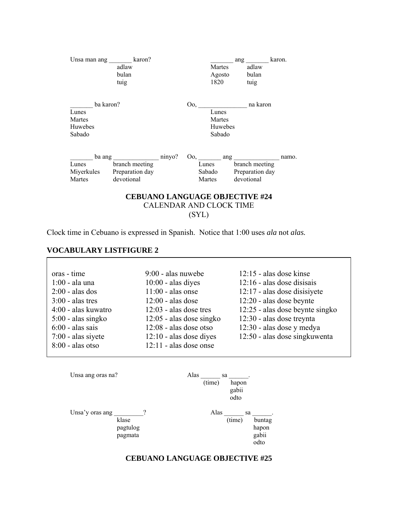|           | Unsa man ang _________ karon? |  |                                | ang                                                                             | karon. |
|-----------|-------------------------------|--|--------------------------------|---------------------------------------------------------------------------------|--------|
|           | adlaw                         |  | Martes                         | adlaw                                                                           |        |
|           | bulan                         |  | Agosto                         | bulan                                                                           |        |
|           | tuig                          |  | 1820                           | tuig                                                                            |        |
| ba karon? |                               |  | $00, \underline{\hspace{1cm}}$ | na karon                                                                        |        |
| Lunes     |                               |  | Lunes                          |                                                                                 |        |
| Martes    |                               |  | Martes                         |                                                                                 |        |
| Huwebes   |                               |  | Huwebes                        |                                                                                 |        |
| Sabado    |                               |  | Sabado                         |                                                                                 |        |
|           |                               |  |                                | $\overline{\text{Oo}}, \underline{\hspace{2cm}}$ ang $\underline{\hspace{2cm}}$ | namo.  |
| Lunes     | branch meeting                |  |                                | Lunes branch meeting                                                            |        |
|           | Miyerkules Preparation day    |  | Sabado                         | Preparation day                                                                 |        |
|           | devotional                    |  | Martes                         | devotional                                                                      |        |

(SYL)

Clock time in Cebuano is expressed in Spanish. Notice that 1:00 uses *ala* not *alas.*

## **VOCABULARY LISTFIGURE 2**

 $\Gamma$ 

| oras - time          | 9:00 - alas nuwebe         | $12:15$ - alas dose kinse       |
|----------------------|----------------------------|---------------------------------|
| $1:00$ - ala una     | $10:00$ - alas dives       | $12:16$ - alas dose disisais    |
| $2:00$ - alas dos    | $11:00$ - alas onse        | 12:17 - alas dose disisivete    |
| $3:00$ - alas tres   | $12:00$ - alas dose        | 12:20 - alas dose beynte        |
| 4:00 - alas kuwatro  | $12:03$ - alas dose tres   | 12:25 - alas dose beynte singko |
| $5:00$ - alas singko | $12:05$ - alas dose singko | 12:30 - alas dose treynta       |
| $6:00$ - alas sais   | $12:08$ - alas dose otso   | 12:30 - alas dose y medya       |
| $7:00$ - alas siyete | $12:10$ - alas dose dives  | 12:50 - alas dose singkuwenta   |
| $8:00$ - alas otso   | $12:11$ - alas dose onse   |                                 |
|                      |                            |                                 |

| Unsa ang oras na?                               | Alas | sa<br>(time) | hapon<br>gabii<br>odto |                                  |
|-------------------------------------------------|------|--------------|------------------------|----------------------------------|
| Unsa'y oras ang<br>klase<br>pagtulog<br>pagmata | າ    | Alas         | sa<br>(time)           | buntag<br>hapon<br>gabii<br>odto |

## **CEBUANO LANGUAGE OBJECTIVE #25**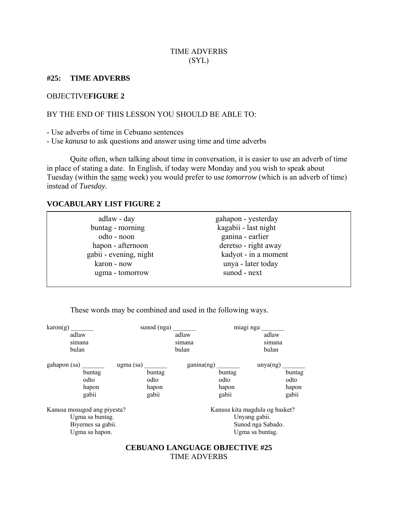## TIME ADVERBS (SYL)

## **#25: TIME ADVERBS**

## OBJECTIVE**FIGURE 2**

## BY THE END OF THIS LESSON YOU SHOULD BE ABLE TO:

- Use adverbs of time in Cebuano sentences

- Use *kanusa* to ask questions and answer using time and time adverbs

 Quite often, when talking about time in conversation, it is easier to use an adverb of time in place of stating a date. In English, if today were Monday and you wish to speak about Tuesday (within the same week) you would prefer to use *tomorrow* (which is an adverb of time) instead of *Tuesday.*

## **VOCABULARY LIST FIGURE 2**

 $\overline{\phantom{a}}$ 

These words may be combined and used in the following ways.

|                                                                                        |        | miagi nga                        |                                                                                                                                            |
|----------------------------------------------------------------------------------------|--------|----------------------------------|--------------------------------------------------------------------------------------------------------------------------------------------|
|                                                                                        | adlaw  | adlaw                            |                                                                                                                                            |
|                                                                                        | simana |                                  |                                                                                                                                            |
|                                                                                        | bulan  | bulan                            |                                                                                                                                            |
| $ugma$ (sa)                                                                            |        |                                  |                                                                                                                                            |
| buntag                                                                                 |        |                                  | buntag                                                                                                                                     |
| odto                                                                                   |        |                                  | odto                                                                                                                                       |
| hapon                                                                                  |        |                                  | hapon                                                                                                                                      |
| gabii                                                                                  |        |                                  | gabii                                                                                                                                      |
| Kanusa mosugod ang piyesta?<br>Ugma sa buntag.<br>Biyernes sa gabii.<br>Ugma sa hapon. |        | Unyang gabii.<br>Ugma sa buntag. |                                                                                                                                            |
|                                                                                        |        |                                  | sunod (nga)<br>simana<br>ganina(ng)<br>unya(ng)<br>buntag<br>odto<br>hapon<br>gabii<br>Kanusa kita magdula og basket?<br>Sunod nga Sabado. |

## **CEBUANO LANGUAGE OBJECTIVE #25**  TIME ADVERBS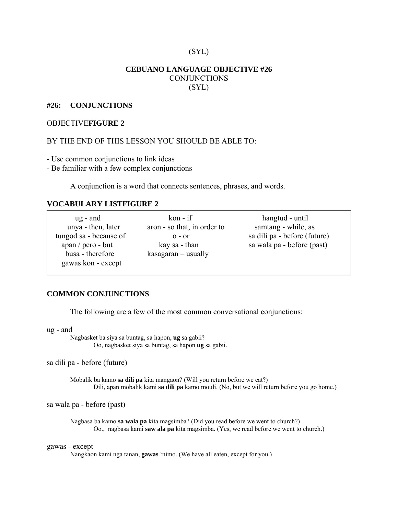## (SYL)

## **CEBUANO LANGUAGE OBJECTIVE #26 CONJUNCTIONS** (SYL)

## **#26: CONJUNCTIONS**

## OBJECTIVE**FIGURE 2**

## BY THE END OF THIS LESSON YOU SHOULD BE ABLE TO:

- Use common conjunctions to link ideas

- Be familiar with a few complex conjunctions

A conjunction is a word that connects sentences, phrases, and words.

## **VOCABULARY LISTFIGURE 2**

| $ug$ - and             | $kon - if$                  | hangtud - until              |
|------------------------|-----------------------------|------------------------------|
| unya - then, later     | aron - so that, in order to | samtang - while, as          |
| tungod sa - because of | $0 - 0r$                    | sa dili pa - before (future) |
| $apan / pero - but$    | kay sa - than               | sa wala pa - before (past)   |
| busa - therefore       | $k$ asagaran — usually      |                              |
| gawas kon - except     |                             |                              |

## **COMMON CONJUNCTIONS**

The following are a few of the most common conversational conjunctions:

ug - and

 Nagbasket ba siya sa buntag, sa hapon, **ug** sa gabii? Oo, nagbasket siya sa buntag, sa hapon **ug** sa gabii.

sa dili pa - before (future)

 Mobalik ba kamo **sa dili pa** kita mangaon? (Will you return before we eat?) Dili, apan mobalik kami **sa dili pa** kamo mouli. (No, but we will return before you go home.)

sa wala pa - before (past)

Nagbasa ba kamo **sa wala pa** kita magsimba? (Did you read before we went to church?) Oo., nagbasa kami **saw ala pa** kita magsimba. (Yes, we read before we went to church.)

## gawas - except

Nangkaon kami nga tanan, **gawas** 'nimo. (We have all eaten, except for you.)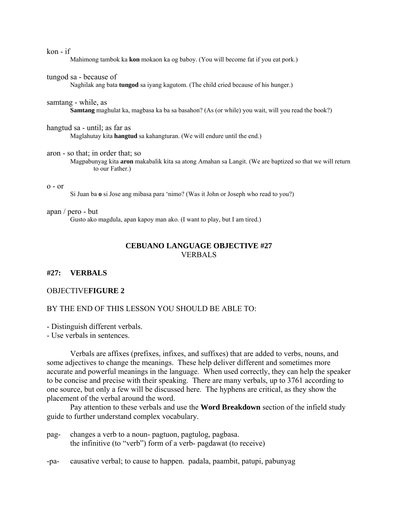#### kon - if

Mahimong tambok ka **kon** mokaon ka og baboy. (You will become fat if you eat pork.)

#### tungod sa - because of

Naghilak ang bata **tungod** sa iyang kagutom. (The child cried because of his hunger.)

#### samtang - while, as

**Samtang** maghulat ka, magbasa ka ba sa basahon? (As (or while) you wait, will you read the book?)

hangtud sa - until; as far as Maglahutay kita **hangtud** sa kahangturan. (We will endure until the end.)

aron - so that; in order that; so

 Magpabunyag kita **aron** makabalik kita sa atong Amahan sa Langit. (We are baptized so that we will return to our Father.)

#### o - or

Si Juan ba **o** si Jose ang mibasa para 'nimo? (Was it John or Joseph who read to you?)

#### apan / pero - but

Gusto ako magdula, apan kapoy man ako. (I want to play, but I am tired.)

## **CEBUANO LANGUAGE OBJECTIVE #27**  VERBALS

## **#27: VERBALS**

#### OBJECTIVE**FIGURE 2**

## BY THE END OF THIS LESSON YOU SHOULD BE ABLE TO:

- Distinguish different verbals.

- Use verbals in sentences.

 Verbals are affixes (prefixes, infixes, and suffixes) that are added to verbs, nouns, and some adjectives to change the meanings. These help deliver different and sometimes more accurate and powerful meanings in the language. When used correctly, they can help the speaker to be concise and precise with their speaking. There are many verbals, up to 3761 according to one source, but only a few will be discussed here. The hyphens are critical, as they show the placement of the verbal around the word.

 Pay attention to these verbals and use the **Word Breakdown** section of the infield study guide to further understand complex vocabulary.

- pag- changes a verb to a noun- pagtuon, pagtulog, pagbasa. the infinitive (to "verb") form of a verb- pagdawat (to receive)
- -pa- causative verbal; to cause to happen. padala, paambit, patupi, pabunyag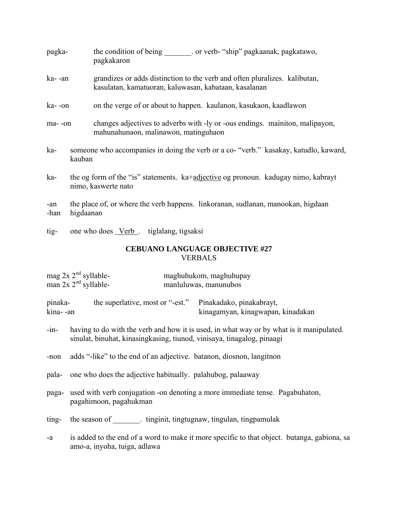| pagka-  |        | the condition of being<br>. or verb- "ship" pagkaanak, pagkatawo,<br>pagkakaron                                                     |
|---------|--------|-------------------------------------------------------------------------------------------------------------------------------------|
| ka- -an |        | grandizes or adds distinction to the verb and often pluralizes. kalibutan,<br>kasulatan, kamatuoran, kaluwasan, kabataan, kasalanan |
| ka- -on |        | on the verge of or about to happen. kaulanon, kasukaon, kaadlawon                                                                   |
| ma--on  |        | changes adjectives to adverbs with -ly or -ous endings. maintion, malipayon,<br>mahunahunaon, malinawon, matinguhaon                |
| ka-     | kauban | someone who accompanies in doing the verb or a co- "verb." kasakay, katudlo, kaward,                                                |
| ka-     |        | the og form of the "is" statements. ka+adjective og pronoun. kadugay nimo, kabrayt<br>nimo, kaswerte nato                           |
| -an     |        | the place of, or where the verb happens. linkoranan, sudlanan, manookan, higdaan                                                    |

-han higdaanan

tig- one who does Verb . tiglalang, tigsaksi

## **CEBUANO LANGUAGE OBJECTIVE #27**  VERBALS

| mag $2x 2nd$ syllable- | maghuhukom, maghuhupay |
|------------------------|------------------------|
| man $2x 2nd$ syllable- | manluluwas, manunubos  |

pinaka- the superlative, most or "-est." Pinakadako, pinakabrayt, kina- -an kinagamyan, kinagwapan, kinadakan

- -in- having to do with the verb and how it is used, in what way or by what is it manipulated. sinulat, binuhat, kinasingkasing, tiunod, vinisaya, tinagalog, pinaagi
- -non adds "-like" to the end of an adjective. batanon, diosnon, langitnon
- pala- one who does the adjective habitually. palahubog, palaaway
- paga- used with verb conjugation -on denoting a more immediate tense. Pagabuhaton, pagahimoon, pagahukman
- ting- the season of finginit, tingtugnaw, tingulan, tingpamulak

-a is added to the end of a word to make it more specific to that object. butanga, gabiona, sa amo-a, inyoha, tuiga, adlawa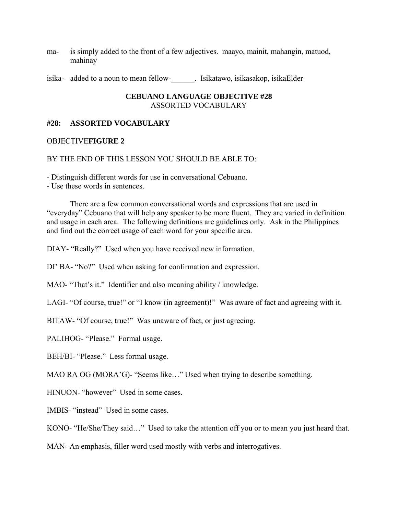- ma- is simply added to the front of a few adjectives. maayo, mainit, mahangin, matuod, mahinay
- isika- added to a noun to mean fellow-\_\_\_\_\_\_. Isikatawo, isikasakop, isikaElder

## **CEBUANO LANGUAGE OBJECTIVE #28**  ASSORTED VOCABULARY

## **#28: ASSORTED VOCABULARY**

## OBJECTIVE**FIGURE 2**

## BY THE END OF THIS LESSON YOU SHOULD BE ABLE TO:

- Distinguish different words for use in conversational Cebuano.

- Use these words in sentences.

 There are a few common conversational words and expressions that are used in "everyday" Cebuano that will help any speaker to be more fluent. They are varied in definition and usage in each area. The following definitions are guidelines only. Ask in the Philippines and find out the correct usage of each word for your specific area.

DIAY- "Really?" Used when you have received new information.

DI' BA- "No?" Used when asking for confirmation and expression.

MAO- "That's it." Identifier and also meaning ability / knowledge.

LAGI- "Of course, true!" or "I know (in agreement)!" Was aware of fact and agreeing with it.

BITAW- "Of course, true!" Was unaware of fact, or just agreeing.

PALIHOG- "Please." Formal usage.

BEH/BI- "Please." Less formal usage.

MAO RA OG (MORA'G)- "Seems like…" Used when trying to describe something.

HINUON- "however" Used in some cases.

IMBIS- "instead" Used in some cases.

KONO- "He/She/They said…" Used to take the attention off you or to mean you just heard that.

MAN- An emphasis, filler word used mostly with verbs and interrogatives.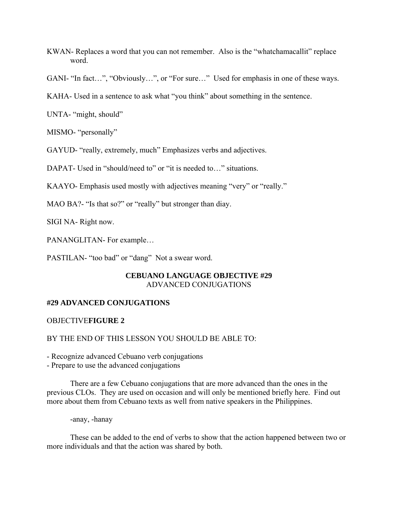- KWAN- Replaces a word that you can not remember. Also is the "whatchamacallit" replace word.
- GANI- "In fact…", "Obviously…", or "For sure…" Used for emphasis in one of these ways.
- KAHA- Used in a sentence to ask what "you think" about something in the sentence.

UNTA- "might, should"

MISMO- "personally"

GAYUD- "really, extremely, much" Emphasizes verbs and adjectives.

DAPAT- Used in "should/need to" or "it is needed to..." situations.

KAAYO- Emphasis used mostly with adjectives meaning "very" or "really."

MAO BA?- "Is that so?" or "really" but stronger than diay.

SIGI NA- Right now.

PANANGLITAN- For example…

PASTILAN- "too bad" or "dang" Not a swear word.

## **CEBUANO LANGUAGE OBJECTIVE #29**  ADVANCED CONJUGATIONS

## **#29 ADVANCED CONJUGATIONS**

## OBJECTIVE**FIGURE 2**

## BY THE END OF THIS LESSON YOU SHOULD BE ABLE TO:

- Recognize advanced Cebuano verb conjugations

- Prepare to use the advanced conjugations

 There are a few Cebuano conjugations that are more advanced than the ones in the previous CLOs. They are used on occasion and will only be mentioned briefly here. Find out more about them from Cebuano texts as well from native speakers in the Philippines.

-anay, -hanay

 These can be added to the end of verbs to show that the action happened between two or more individuals and that the action was shared by both.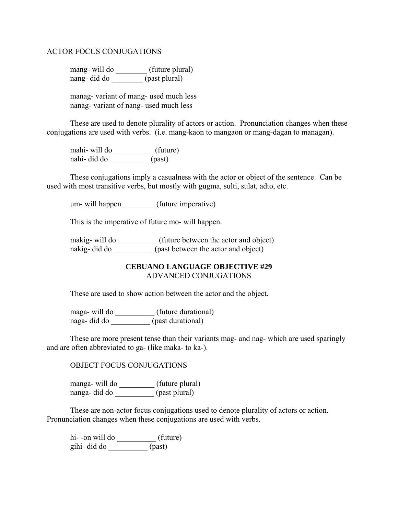## ACTOR FOCUS CONJUGATIONS

mang- will do \_\_\_\_\_\_\_\_\_ (future plural) nang- did do \_\_\_\_\_\_\_\_ (past plural)

 manag- variant of mang- used much less nanag- variant of nang- used much less

 These are used to denote plurality of actors or action. Pronunciation changes when these conjugations are used with verbs. (i.e. mang-kaon to mangaon or mang-dagan to managan).

 mahi- will do \_\_\_\_\_\_\_\_\_\_ (future) nahi- did do \_\_\_\_\_\_\_\_\_\_ (past)

 These conjugations imply a casualness with the actor or object of the sentence. Can be used with most transitive verbs, but mostly with gugma, sulti, sulat, adto, etc.

um- will happen (future imperative)

This is the imperative of future mo- will happen.

makig- will do \_\_\_\_\_\_\_\_\_\_\_\_ (future between the actor and object) nakig- did do \_\_\_\_\_\_\_\_\_\_ (past between the actor and object)

## **CEBUANO LANGUAGE OBJECTIVE #29**  ADVANCED CONJUGATIONS

These are used to show action between the actor and the object.

 maga- will do \_\_\_\_\_\_\_\_\_\_ (future durational) naga- did do \_\_\_\_\_\_\_\_\_\_ (past durational)

 These are more present tense than their variants mag- and nag- which are used sparingly and are often abbreviated to ga- (like maka- to ka-).

OBJECT FOCUS CONJUGATIONS

 manga- will do \_\_\_\_\_\_\_\_\_ (future plural) nanga- did do \_\_\_\_\_\_\_\_\_\_ (past plural)

 These are non-actor focus conjugations used to denote plurality of actors or action. Pronunciation changes when these conjugations are used with verbs.

hi--on will do  $\qquad \qquad$  (future) gihi- did do \_\_\_\_\_\_\_\_\_\_ (past)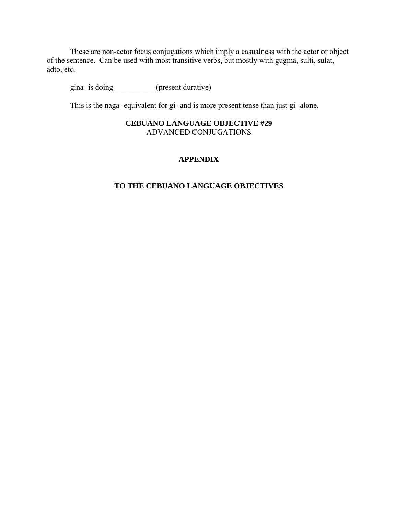These are non-actor focus conjugations which imply a casualness with the actor or object of the sentence. Can be used with most transitive verbs, but mostly with gugma, sulti, sulat, adto, etc.

gina- is doing (present durative)

This is the naga- equivalent for gi- and is more present tense than just gi- alone.

## **CEBUANO LANGUAGE OBJECTIVE #29**  ADVANCED CONJUGATIONS

## **APPENDIX**

## **TO THE CEBUANO LANGUAGE OBJECTIVES**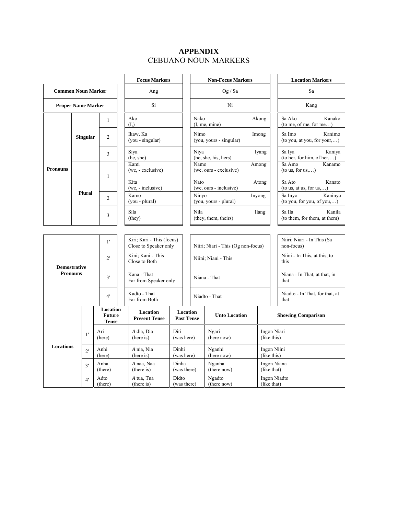## **APPENDIX**  CEBUANO NOUN MARKERS

|                                      |                                 | <b>Focus Markers</b>                                             |                                           | <b>Non-Focus Markers</b>                           |                      |                                         | <b>Location Markers</b>                  |                                    |                                   |                                       |                                          |
|--------------------------------------|---------------------------------|------------------------------------------------------------------|-------------------------------------------|----------------------------------------------------|----------------------|-----------------------------------------|------------------------------------------|------------------------------------|-----------------------------------|---------------------------------------|------------------------------------------|
|                                      | <b>Common Noun Marker</b>       |                                                                  | Ang                                       |                                                    |                      | Og / Sa                                 |                                          |                                    | Sa                                |                                       |                                          |
|                                      | Si<br><b>Proper Name Marker</b> |                                                                  | Ni                                        |                                                    |                      | Kang                                    |                                          |                                    |                                   |                                       |                                          |
|                                      |                                 |                                                                  | $\mathbf{1}$                              | Ako<br>(I.)                                        |                      |                                         | Nako                                     | (I, me, mine)                      | Akong                             | Sa Ako                                | Kanako<br>(to me, of me, for me)         |
|                                      | <b>Singular</b>                 |                                                                  | $\overline{2}$                            | Ikaw, Ka<br>(you - singular)                       |                      |                                         | Nimo                                     | (you, yours - singular)            | Imong                             | Sa Imo                                | Kanimo<br>(to you, at you, for your,)    |
| 3<br><b>Pronouns</b><br>$\mathbf{1}$ |                                 |                                                                  |                                           | Siya<br>(he, she)                                  |                      |                                         | Niya                                     | (he, she, his, hers)               |                                   | Sa Iya<br>Iyang                       | Kaniya<br>(to her, for him, of her,)     |
|                                      |                                 |                                                                  | Kami<br>(we, - exclusive)                 |                                                    |                      | Namo                                    | (we, ours - exclusive)                   | Among                              |                                   | Sa Amo<br>Kanamo<br>(to us, for us,)  |                                          |
|                                      |                                 |                                                                  | Kita<br>(we, - inclusive)                 |                                                    |                      | Nato<br>Atong<br>(we, ours - inclusive) |                                          | Sa Ato                             | Kanato<br>(to us, at us, for us,) |                                       |                                          |
|                                      | <b>Plural</b>                   |                                                                  | $\overline{c}$                            | Kamo<br>(you - plural)                             |                      |                                         | Ninyo<br>Inyong<br>(you, yours - plural) |                                    | Sa Invo                           | Kaninyo<br>(to you, for you, of you,) |                                          |
| Sila<br>3<br>(they)                  |                                 |                                                                  | Nila<br>Ilang<br>(they, them, theirs)     |                                                    | Sa Ila               | Kanila<br>(to them, for them, at them)  |                                          |                                    |                                   |                                       |                                          |
|                                      |                                 |                                                                  |                                           |                                                    |                      |                                         |                                          |                                    |                                   |                                       |                                          |
|                                      |                                 |                                                                  | 1'                                        | Kiri; Kari - This (focus)<br>Close to Speaker only |                      |                                         |                                          | Niiri; Niari - This (Og non-focus) |                                   |                                       | Niiri; Niari - In This (Sa<br>non-focus) |
| $2^{\prime}$<br><b>Demostrative</b>  |                                 |                                                                  | Kini; Kani - This<br>Close to Both        |                                                    | Niini; Niani - This  |                                         | this                                     | Niini - In This, at this, to       |                                   |                                       |                                          |
| <b>Pronouns</b>                      |                                 |                                                                  | 3'                                        | Kana - That<br>Far from Speaker only               |                      |                                         | Niana - That                             |                                    | that                              | Niana - In That, at that, in          |                                          |
| 4'                                   |                                 | Kadto - That<br>Far from Both                                    |                                           |                                                    |                      | Niadto - That                           |                                          | that                               | Niadto - In That, for that, at    |                                       |                                          |
|                                      |                                 |                                                                  | Location<br><b>Future</b><br><b>Tense</b> | Location<br><b>Present Tense</b>                   |                      |                                         | Location<br><b>Past Tense</b>            | <b>Unto Location</b>               |                                   |                                       | <b>Showing Comparison</b>                |
|                                      | 1'                              | Ari                                                              | (here)                                    | A dia, Dia<br>(here is)                            | Diri<br>(was here)   |                                         |                                          | Ngari<br>(here now)                |                                   | Ingon Niari<br>(like this)            |                                          |
| Locations                            | $2^{\prime}$                    | Anhi<br>A nia, Nia<br>Dinhi<br>(here is)<br>(here)<br>(was here) |                                           | Nganhi<br>Ingon Niini<br>(here now)<br>(like this) |                      |                                         |                                          |                                    |                                   |                                       |                                          |
|                                      | 3'                              |                                                                  | Anha<br>(there)                           | A naa, Naa<br>(there is)                           | Dinha<br>(was there) |                                         |                                          | Nganha<br>(there now)              | Ingon Niana<br>(like that)        |                                       |                                          |
|                                      | 4'                              |                                                                  | Adto<br>(there)                           | A tua, Tua<br>(there is)                           | Didto<br>(was there) |                                         |                                          | Ngadto<br>(there now)              |                                   | Ingon Niadto<br>(like that)           |                                          |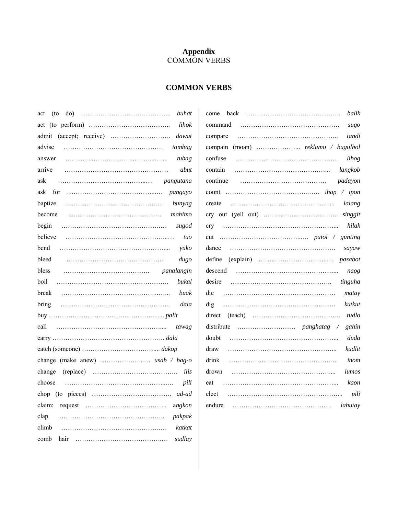## **Appendix**  COMMON VERBS

## **COMMON VERBS**

| do)<br>(to<br>buhat<br>act |
|----------------------------|
| lihok                      |
| admit<br>dawat             |
| advise<br>tambag           |
| tubag<br>answer            |
| arrive<br>abut             |
| ask                        |
| ask                        |
| bunyag                     |
| mahimo                     |
| begin<br>sugod             |
| believe<br>tuo             |
| bend<br>yuko               |
| bleed<br>dugo              |
| bless<br><i>panalangin</i> |
| boil<br>bukal              |
| break<br>buak              |
| <b>bring</b>               |
|                            |
| call<br>tawag              |
|                            |
|                            |
|                            |
| ilis<br>change             |
| pili<br>choose             |
|                            |
| angkon                     |
| clap<br>pakpak             |
| climb<br>katkat            |
| comb<br>sudlay             |

| balik             |
|-------------------|
| sugo              |
| tandi             |
|                   |
| libog             |
|                   |
|                   |
|                   |
|                   |
| singgit           |
| hilak             |
|                   |
|                   |
|                   |
| naog              |
|                   |
| matay             |
| kutkut<br>dig     |
| tudlo             |
| gahin             |
| duda              |
| kudlit<br>draw    |
| inom              |
| lumos             |
| kaon<br>eat       |
| elect<br>pili     |
| endure<br>lahutay |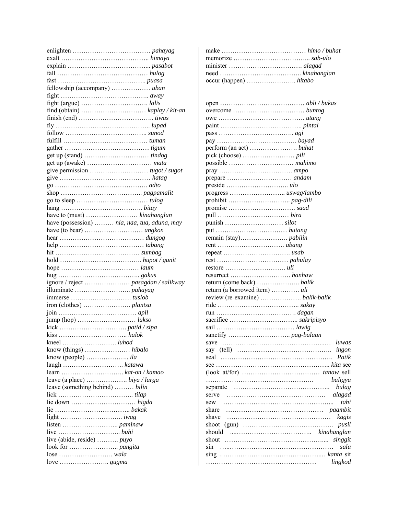|                                                                                | find (obtain) $\dots \dots \dots \dots \dots \dots \dots$ kaplay / kit-an |
|--------------------------------------------------------------------------------|---------------------------------------------------------------------------|
|                                                                                |                                                                           |
|                                                                                |                                                                           |
|                                                                                |                                                                           |
|                                                                                |                                                                           |
|                                                                                |                                                                           |
|                                                                                |                                                                           |
|                                                                                |                                                                           |
|                                                                                |                                                                           |
|                                                                                |                                                                           |
|                                                                                |                                                                           |
|                                                                                |                                                                           |
|                                                                                |                                                                           |
|                                                                                |                                                                           |
|                                                                                |                                                                           |
|                                                                                |                                                                           |
| have (possession)  nia, naa, tua, aduna, may                                   |                                                                           |
|                                                                                |                                                                           |
|                                                                                |                                                                           |
|                                                                                |                                                                           |
|                                                                                |                                                                           |
|                                                                                |                                                                           |
|                                                                                |                                                                           |
|                                                                                |                                                                           |
|                                                                                |                                                                           |
|                                                                                |                                                                           |
|                                                                                |                                                                           |
|                                                                                |                                                                           |
|                                                                                |                                                                           |
|                                                                                |                                                                           |
|                                                                                |                                                                           |
|                                                                                |                                                                           |
|                                                                                |                                                                           |
|                                                                                |                                                                           |
| know (people) $\dots\dots\dots\dots\dots \dots \text{ila}$                     |                                                                           |
|                                                                                |                                                                           |
|                                                                                |                                                                           |
|                                                                                |                                                                           |
| leave (something behind)  bilin                                                |                                                                           |
|                                                                                |                                                                           |
|                                                                                |                                                                           |
|                                                                                |                                                                           |
|                                                                                |                                                                           |
|                                                                                |                                                                           |
|                                                                                |                                                                           |
| live (abide, reside)  puyo                                                     |                                                                           |
|                                                                                |                                                                           |
| $lose \dots \dots \dots \dots \dots \dots \dots \dots \dots \dots \dots \dots$ |                                                                           |
|                                                                                |                                                                           |
|                                                                                |                                                                           |

| return (a borrowed item)  uli |             |
|-------------------------------|-------------|
|                               |             |
|                               |             |
|                               |             |
|                               |             |
|                               |             |
|                               |             |
|                               |             |
|                               |             |
|                               |             |
|                               |             |
|                               |             |
|                               |             |
|                               |             |
|                               | baligya     |
|                               |             |
| serve                         | alagad      |
| sew<br>share                  | tahi        |
|                               |             |
| shave                         | kagis       |
| shoot<br>(gun)                | pusil       |
| should                        | kinahanglan |
| shout                         | singgit     |
| sin                           | sala        |
|                               | lingkod     |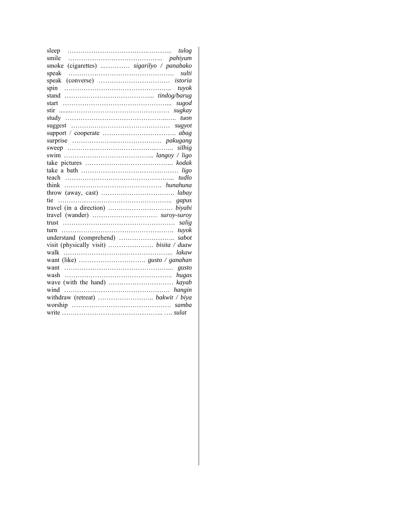| sleep                                                                                | tulog |
|--------------------------------------------------------------------------------------|-------|
| smile                                                                                |       |
| (cigarettes)  sigarilyo / panabako<br>smoke                                          |       |
| speak                                                                                | sulti |
| speak                                                                                |       |
| spin                                                                                 | tuvok |
|                                                                                      |       |
| $start$                                                                              | sugod |
|                                                                                      |       |
|                                                                                      | tuon  |
|                                                                                      |       |
|                                                                                      |       |
|                                                                                      |       |
|                                                                                      |       |
|                                                                                      |       |
|                                                                                      |       |
| take a bath $\dots \dots \dots \dots \dots \dots \dots \dots \dots \dots \dots$ ligo |       |
|                                                                                      |       |
| think                                                                                |       |
|                                                                                      |       |
| tie                                                                                  |       |
|                                                                                      |       |
|                                                                                      |       |
|                                                                                      | salig |
| turn                                                                                 | tuyok |
|                                                                                      | sabot |
|                                                                                      |       |
| walk                                                                                 | lakaw |
|                                                                                      |       |
| want                                                                                 |       |
| wash                                                                                 | hugas |
|                                                                                      |       |
|                                                                                      |       |
|                                                                                      |       |
|                                                                                      |       |
|                                                                                      |       |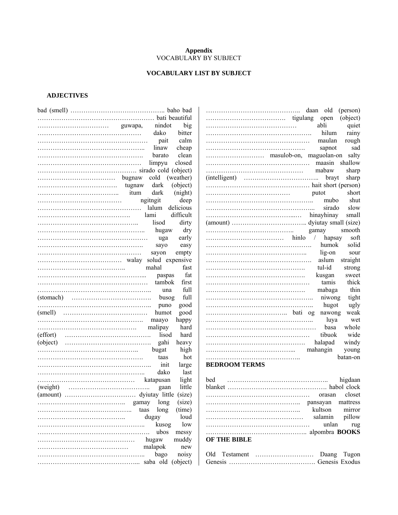#### **Appendix**  VOCABULARY BY SUBJECT

## **VOCABULARY LIST BY SUBJECT**

## **ADJECTIVES**

|         | daan old                                                                                                                                                       | (person) |
|---------|----------------------------------------------------------------------------------------------------------------------------------------------------------------|----------|
|         | open                                                                                                                                                           | (object) |
| big     | abli                                                                                                                                                           | quiet    |
| bitter  | hilum                                                                                                                                                          | rainy    |
| calm    | maulan                                                                                                                                                         | rough    |
| cheap   | sapnot                                                                                                                                                         | sad      |
| clean   |                                                                                                                                                                |          |
| closed  | maasin                                                                                                                                                         | shallow  |
|         | mabaw                                                                                                                                                          | sharp    |
|         |                                                                                                                                                                | sharp    |
|         |                                                                                                                                                                |          |
| (night) | putot                                                                                                                                                          | short    |
| deep    | mubo                                                                                                                                                           | shut     |
|         | sirado                                                                                                                                                         | slow     |
|         | hinayhinay                                                                                                                                                     | small    |
| dirty   |                                                                                                                                                                |          |
| dry     | gamay                                                                                                                                                          | smooth   |
| early   | hapsay                                                                                                                                                         | soft     |
| easy    | humok                                                                                                                                                          | solid    |
| empty   | lig-on                                                                                                                                                         | sour     |
|         | aslum                                                                                                                                                          | straight |
| fast    | tul-id                                                                                                                                                         | strong   |
| fat     | kusgan                                                                                                                                                         | sweet    |
| first   | tamis                                                                                                                                                          | thick    |
| full    | mabaga                                                                                                                                                         | thin     |
| full    | niwong                                                                                                                                                         | tight    |
| good    | hugot                                                                                                                                                          | ugly     |
| good    | nawong                                                                                                                                                         | weak     |
| happy   | luya                                                                                                                                                           | wet      |
| hard    | basa                                                                                                                                                           | whole    |
| hard    | tibuok                                                                                                                                                         | wide     |
| heavy   | halapad                                                                                                                                                        | windy    |
| high    | mahangin                                                                                                                                                       | young    |
| hot     |                                                                                                                                                                | batan-on |
| large   | <b>BEDROOM TERMS</b>                                                                                                                                           |          |
| last    |                                                                                                                                                                |          |
| light   | bed                                                                                                                                                            | higdaan  |
| little  |                                                                                                                                                                |          |
|         |                                                                                                                                                                | closet   |
| (size)  | pansayan                                                                                                                                                       | mattress |
| (time)  | kultson                                                                                                                                                        | mirror   |
| loud    | salamin                                                                                                                                                        | pillow   |
| low     | unlan                                                                                                                                                          | rug      |
| messy   |                                                                                                                                                                |          |
| muddy   | OF THE BIBLE                                                                                                                                                   |          |
| new     |                                                                                                                                                                |          |
| noisy   |                                                                                                                                                                |          |
|         |                                                                                                                                                                |          |
| gaan    | nindot<br>(weather)<br>(object)<br>delicious<br>difficult<br>hugaw<br>paspas<br>tambok<br>una<br>busog<br>puno<br>humot<br>lisod<br>kusog<br>saba old (object) |          |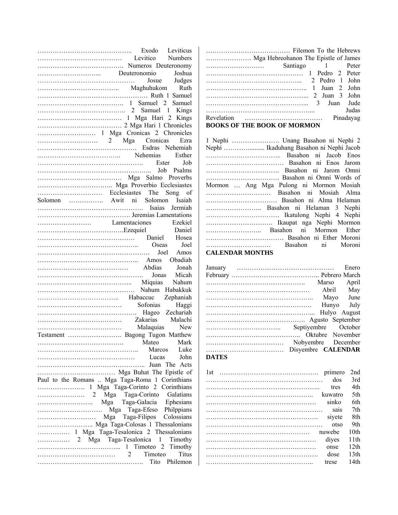| Exodo Leviticus<br>Levitico Numbers<br>Mumeros Deuteronomy<br>Numeros Deuteronomy    |                  |
|--------------------------------------------------------------------------------------|------------------|
|                                                                                      |                  |
|                                                                                      |                  |
| Deuteronomio Joshua                                                                  |                  |
|                                                                                      |                  |
|                                                                                      |                  |
|                                                                                      |                  |
|                                                                                      |                  |
|                                                                                      |                  |
|                                                                                      |                  |
|                                                                                      |                  |
|                                                                                      |                  |
|                                                                                      |                  |
| 2 Mga Cronicas Ezra<br>Esdras Nehemiah                                               |                  |
| Nehemias Esther                                                                      |                  |
| Ester Job                                                                            |                  |
| Job Psalms                                                                           |                  |
| Mga Salmo Proverbs                                                                   |                  |
|                                                                                      |                  |
|                                                                                      |                  |
| Solomon  Awit ni Solomon Isaiah                                                      |                  |
| Isaias Jermiah                                                                       |                  |
|                                                                                      |                  |
| Lamentaciones Ezekiel<br>Lexequiel Daniel<br>Daniel Hosea<br>Oseas Joel              |                  |
|                                                                                      |                  |
|                                                                                      |                  |
|                                                                                      |                  |
| Joel Amos                                                                            |                  |
|                                                                                      |                  |
|                                                                                      |                  |
| Jonas Micah                                                                          |                  |
| Miquias Nahum                                                                        |                  |
|                                                                                      |                  |
|                                                                                      |                  |
|                                                                                      |                  |
| Espainian<br>Sofonias Haggi<br>Malachi Zakarias Malachi Nalaquias New                |                  |
|                                                                                      |                  |
| Testament  Bagong Tugon Matthew                                                      |                  |
|                                                                                      | Mark<br>Mateo    |
|                                                                                      | Marcos<br>Luke   |
|                                                                                      | John             |
|                                                                                      |                  |
| Mga Buhat The Epistle of                                                             |                  |
| Paul to the Romans  Mga Taga-Roma 1 Corinthians                                      |                  |
| 1 Mga Taga-Corinto 2 Corinthians                                                     |                  |
|                                                                                      |                  |
|                                                                                      |                  |
| Mga Taga-Galacia Ephesians<br>Mga Taga-Efeso Philppians<br>Mga Taga-Efeso Philppians |                  |
| Mga Taga-Filipos Colossians                                                          |                  |
| Mga Taga-Colosas 1 Thessalonians                                                     |                  |
| 1 Mga Taga-Tesalonica 2 Thessalonians                                                |                  |
|                                                                                      |                  |
|                                                                                      | Timothy          |
|                                                                                      | Titus            |
|                                                                                      | Tito<br>Philemon |
|                                                                                      |                  |

………………………………… Filemon To the Hebrews ………………… Mga Hebreohanon The Epistle of James ……………………… Santiago 1 Peter ……………………………………… 1 Pedro 2 Peter ……………………………………... 2 Pedro 1 John ……………………………………….. 1 Juan 2 John ………………………………………... 2 Juan 3 John ………………………………………... 3 Juan Jude …………………………………………... Judas Revelation ……………………………… Pinadayag

#### **BOOKS OF THE BOOK OF MORMON**

| 1 Nephi  Unang Basahon ni Nephi 2       |                   |
|-----------------------------------------|-------------------|
|                                         |                   |
|                                         |                   |
|                                         |                   |
|                                         |                   |
|                                         |                   |
| Mormon  Ang Mga Pulong ni Mormon Mosiah |                   |
| Basahon ni Mosiah Alma                  |                   |
|                                         |                   |
| Basahon ni Helaman 3 Nephi              |                   |
|                                         |                   |
|                                         |                   |
| Basahon ni Mormon Ether                 |                   |
|                                         |                   |
|                                         | Basahon ni Moroni |

#### **CALENDAR MONTHS**

| January      |                           | Enero          |
|--------------|---------------------------|----------------|
|              |                           |                |
|              |                           | April<br>Marso |
|              |                           | Abril<br>May   |
|              |                           | Mayo June      |
|              |                           | Hunyo July     |
|              |                           |                |
|              |                           |                |
|              | Septiyembre October       |                |
|              |                           |                |
|              | Nobyembre December        |                |
|              | Disyembre <b>CALENDAR</b> |                |
| <b>DATES</b> |                           |                |

| 1st<br>primero | 2nd              |
|----------------|------------------|
| dos            | 3rd              |
| tres           | 4th              |
| kuwatro        | 5th              |
| sinko          | 6th              |
| sais           | 7th              |
| siyete         | 8th              |
| otso           | 9th              |
| nuwebe         | 10th             |
| diyes          | 11th             |
| onse           | 12 <sub>th</sub> |
| dose           | 13th             |
| trese          | 14th             |
|                |                  |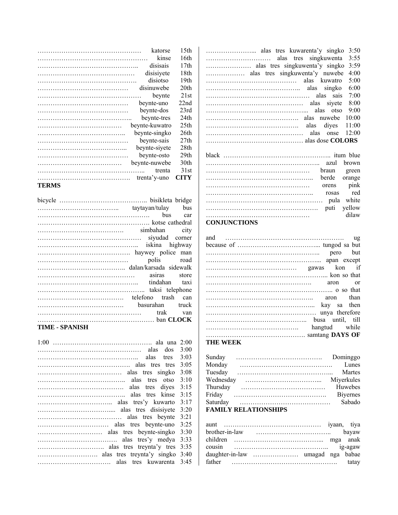| katorse        | 15th             |
|----------------|------------------|
| kinse          | 16th             |
| disisais       | 17th             |
| disisiyete     | 18th             |
| disiotso       | 19th             |
| disinuwebe     | 20th             |
| beynte         | 21st             |
| beynte-uno     | 22nd             |
| beynte-dos     | 23rd             |
| beynte-tres    | 24th             |
| bevnte-kuwatro | 25 <sub>th</sub> |
| beynte-singko  | 26th             |
| beynte-sais    | 27th             |
| beynte-siyete  | 28th             |
| beynte-osto    | 29th             |
| beynte-nuwebe  | 30th             |
| trenta         | 31st             |
| trenta'y-uno   | CITY             |
| TEDMC          |                  |

**TERMS** 

| siyudad corner  |            |
|-----------------|------------|
|                 |            |
|                 |            |
|                 | polis road |
|                 |            |
|                 |            |
|                 |            |
|                 |            |
|                 |            |
| basurahan truck |            |
|                 |            |
|                 |            |
| TIME - SPANISH  |            |
|                 |            |

1:00 ………………………………………. ala una 2:00 ………………………………………… alas dos 3:00 ……………………………………….. alas tres 3:03 ……………………………………. alas tres tres 3:05 ………………………………… alas tres singko 3:08 ………………………………….. alas tres otso 3:10 …………………………………. alas tres diyes 3:15 ………………………………….. alas tres kinse 3:15 …………………………….. alas tres'y kuwarto 3:17 …………………………….... alas tres disisiyete 3:20 ………………………………… alas tres beynte 3:21 …………………………… alas tres beynte-uno 3:25 ………………………… alas tres beynte-singko 3:30 ………………………………. alas tres'y medya 3:33 …………………………. alas tres treynta'y tres 3:35 ………………………. alas tres treynta'y singko 3:40 ……………………………. alas tres kuwarenta 3:45

|                  | 3:50  |
|------------------|-------|
|                  | 3:55  |
|                  | 3:59  |
|                  | 4:00  |
|                  | 5:00  |
|                  | 6:00  |
|                  | 7:00  |
|                  | 8:00  |
|                  | 9:00  |
|                  | 10:00 |
| alas dives 11:00 |       |
| alas onse        | 12:00 |
|                  |       |
|                  |       |
|                  |       |
| azul brown       |       |

|                     |  |  |  |  |  |  |  |  |  |  |  |  |  |  |  |  |  |  | azul brown        |  |       |     |  |
|---------------------|--|--|--|--|--|--|--|--|--|--|--|--|--|--|--|--|--|--|-------------------|--|-------|-----|--|
|                     |  |  |  |  |  |  |  |  |  |  |  |  |  |  |  |  |  |  | braun green       |  |       |     |  |
|                     |  |  |  |  |  |  |  |  |  |  |  |  |  |  |  |  |  |  | berde orange      |  |       |     |  |
|                     |  |  |  |  |  |  |  |  |  |  |  |  |  |  |  |  |  |  | orens <i>pink</i> |  |       |     |  |
|                     |  |  |  |  |  |  |  |  |  |  |  |  |  |  |  |  |  |  | rosas             |  |       | red |  |
|                     |  |  |  |  |  |  |  |  |  |  |  |  |  |  |  |  |  |  |                   |  |       |     |  |
|                     |  |  |  |  |  |  |  |  |  |  |  |  |  |  |  |  |  |  | puti yellow       |  |       |     |  |
|                     |  |  |  |  |  |  |  |  |  |  |  |  |  |  |  |  |  |  |                   |  | dilaw |     |  |
| <b>CONJUNCTIONS</b> |  |  |  |  |  |  |  |  |  |  |  |  |  |  |  |  |  |  |                   |  |       |     |  |

| hangtud while |
|---------------|
|               |
|               |

#### **THE WEEK**

| Sunday    |                             | Dominggo         |
|-----------|-----------------------------|------------------|
| Monday    |                             | Lunes            |
| Tuesday   |                             | Martes           |
| Wednesday |                             | Miyerkules       |
| Thursday  |                             | Huwebes          |
| Friday    |                             | <b>B</b> iyernes |
| Saturday  |                             | Sabado           |
|           | <b>FAMILY RELATIONSHIPS</b> |                  |

| brother-in-law | bayaw   |
|----------------|---------|
|                |         |
| cousin         | ig-agaw |
|                |         |
| father         | tatay   |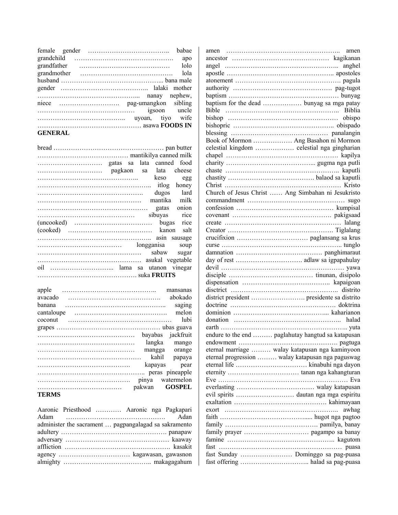|                | babae |
|----------------|-------|
|                | apo   |
| grandfather    | lolo  |
|                | lola  |
|                |       |
|                |       |
|                |       |
| niece          |       |
| igsoon uncle   |       |
|                |       |
|                |       |
| <b>GENERAL</b> |       |

|              |  | cheese   |
|--------------|--|----------|
|              |  | keso egg |
|              |  |          |
|              |  |          |
|              |  |          |
|              |  |          |
|              |  |          |
|              |  |          |
|              |  |          |
|              |  |          |
|              |  |          |
| sabaw sugar  |  |          |
|              |  |          |
|              |  |          |
|              |  |          |
|              |  |          |
| apple        |  |          |
|              |  |          |
|              |  | saging   |
|              |  | lubi     |
|              |  |          |
|              |  |          |
|              |  |          |
| dangka mango |  |          |
|              |  |          |
|              |  |          |
|              |  |          |
|              |  |          |
|              |  |          |
| <b>TERMS</b> |  |          |
|              |  |          |

| Aaronic Priesthood  Aaronic nga Pagkapari             |
|-------------------------------------------------------|
|                                                       |
| administer the sacrament  pagpangalagad sa sakramento |
|                                                       |
|                                                       |
|                                                       |
|                                                       |
|                                                       |

|                                                    | amen  |
|----------------------------------------------------|-------|
|                                                    |       |
|                                                    |       |
|                                                    |       |
|                                                    |       |
|                                                    |       |
|                                                    |       |
| baptism for the dead  bunyag sa mga patay          |       |
|                                                    |       |
|                                                    |       |
|                                                    |       |
|                                                    |       |
| Book of Mormon  Ang Basahon ni Mormon              |       |
| celestial kingdom  celestial nga gingharian        |       |
|                                                    |       |
|                                                    |       |
|                                                    |       |
|                                                    |       |
|                                                    |       |
| Church of Jesus Christ  Ang Simbahan ni Jesukristo |       |
|                                                    |       |
|                                                    |       |
|                                                    |       |
|                                                    |       |
|                                                    |       |
|                                                    |       |
|                                                    |       |
|                                                    |       |
|                                                    |       |
|                                                    |       |
|                                                    |       |
|                                                    |       |
|                                                    |       |
|                                                    |       |
|                                                    |       |
|                                                    |       |
|                                                    |       |
|                                                    |       |
| endure to the end  paglahutay hangtud sa katapusan |       |
|                                                    |       |
| eternal marriage  walay katapusan nga kaminyoon    |       |
|                                                    |       |
| eternal progression  walay katapusan nga paguswag  |       |
|                                                    |       |
|                                                    |       |
|                                                    |       |
|                                                    |       |
| evil spirits  dautan nga mga espiritu              |       |
|                                                    |       |
|                                                    | awhag |
|                                                    |       |
|                                                    |       |
|                                                    |       |
|                                                    |       |
|                                                    |       |
| fast Sunday  Dominggo sa pag-puasa                 |       |
|                                                    |       |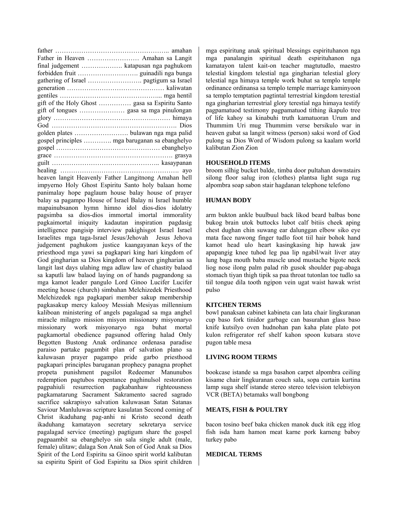| Father in Heaven  Amahan sa Langit             |
|------------------------------------------------|
| final judgement  katapusan nga paghukom        |
|                                                |
|                                                |
|                                                |
|                                                |
|                                                |
|                                                |
|                                                |
|                                                |
|                                                |
| gospel principles  mga baruganan sa ebanghelyo |
|                                                |
|                                                |
|                                                |
|                                                |
|                                                |

heaven langit Heavenly Father Langitnong Amahan hell impyerno Holy Ghost Espiritu Santo holy balaan home panimalay hope paglaum house balay house of prayer balay sa pagampo House of Israel Balay ni Israel humble mapainubsanon hymn himno idol dios-dios idolatry pagsimba sa dios-dios immortal imortal immorality pagkaimortal iniquity kadautan inspiration pagdasig intelligence pangisip interview pakighisgot Israel Israel Israelites mga taga-Israel Jesus/Jehovah Jesus Jehova judgement paghukom justice kaangayanan keys of the priesthood mga yawi sa pagkapari king hari kingdom of God gingharian sa Dios kingdom of heaven gingharian sa langit last days ulahing mga adlaw law of chastity balaod sa kaputli law balaod laying on of hands pagpandong sa mga kamot leader pangulo Lord Ginoo Lucifer Lucifer meeting house (church) simbahan Melchizedek Priesthood Melchizedek nga pagkapari member sakup membership pagkasakup mercy kalooy Messiah Mesiyas millennium kaliboan ministering of angels pagalagad sa mga anghel miracle milagro mission misyon missionary misyonaryo missionary work misyonaryo nga buhat mortal pagkamortal obedience pagsunod offering halad Only Begotten Bustong Anak ordinance ordenasa paradise paraiso partake pagambit plan of salvation plano sa kaluwasan prayer pagampo pride garbo priesthood pagkapari principles baruganan prophecy panagna prophet propeta punishment pagsilot Redeemer Manunubos redemption pagtubos repentance paghinulsol restoration pagpahiuli resurrection pagkabanhaw righteousness pagkamatarung Sacrament Sakramento sacred sagrado sacrifice sakrapisyo salvation kaluwasan Satan Satanas Saviour Manluluwas scripture kasulatan Second coming of Christ ikaduhang pag-anhi ni Kristo second death ikaduhang kamatayon secretary sekretarya service pagalagad service (meeting) pagtigum share the gospel pagpaambit sa ebanghelyo sin sala single adult (male, female) ulitaw; dalaga Son Anak Son of God Anak sa Dios Spirit of the Lord Espiritu sa Ginoo spirit world kalibutan sa espiritu Spirit of God Espiritu sa Dios spirit children

mga espiritung anak spiritual blessings espirituhanon nga mga panalangin spiritual death espirituhanon nga kamatayon talent kait-on teacher magtutudlo, maestro telestial kingdom telestial nga gingharian telestial glory telestial nga himaya temple work buhat sa templo temple ordinance ordinansa sa templo temple marriage kaminyoon sa templo temptation pagtintal terrestrial kingdom terestial nga gingharian terrestrial glory terestial nga himaya testify pagpamatuod testimony pagpamatuod tithing ikapulo tree of life kahoy sa kinabuhi truth kamatuoran Urum and Thummim Uri mug Thummim verse bersikulo war in heaven gubat sa langit witness (person) saksi word of God pulong sa Dios Word of Wisdom pulong sa kaalam world kalibutan Zion Zion

#### **HOUSEHOLD ITEMS**

broom silhig bucket balde, timba door pultahan downstairs silong floor salug iron (clothes) plantsa light suga rug alpombra soap sabon stair hagdanan telephone telefono

## **HUMAN BODY**

arm bukton ankle buulbuul back likod beard balbas bone bukog brain utok buttocks lubot calf bitiis cheek aping chest dughan chin suwang ear dalunggan elbow siko eye mata face nawong finger tudlo foot tiil hair bohok hand kamot head ulo heart kasingkasing hip hawak jaw apapangig knee tuhod leg paa lip ngabil/wait liver atay lung baga mouth baba muscle unod mustache bigote neck liog nose ilong palm palad rib gusok shoulder pag-abaga stomach tiyan thigh tipik sa paa throat tutonlan toe tudlo sa tiil tongue dila tooth ngipon vein ugat waist hawak wrist pulso

#### **KITCHEN TERMS**

bowl panaksan cabinet kabineta can lata chair lingkuranan cup baso fork tinidor garbage can basurahan glass baso knife kutsilyo oven hudnohan pan kaha plate plato pot kulon refrigerator ref shelf kahon spoon kutsara stove pugon table mesa

#### **LIVING ROOM TERMS**

bookcase istande sa mga basahon carpet alpombra ceiling kisame chair lingkuranan couch sala, sopa curtain kurtina lamp suga shelf istande stereo stereo television telebisyon VCR (BETA) betamaks wall bongbong

#### **MEATS, FISH & POULTRY**

bacon tosino beef baka chicken manok duck itik egg itlog fish isda ham hamon meat karne pork karneng baboy turkey pabo

#### **MEDICAL TERMS**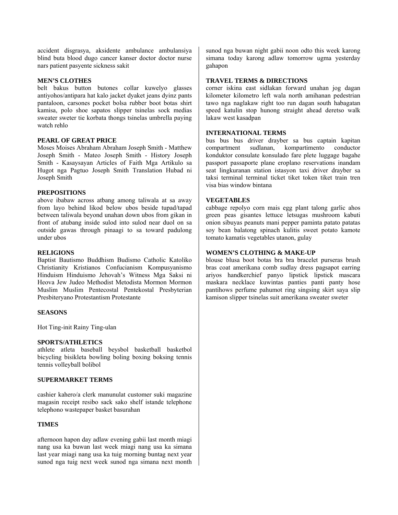accident disgrasya, aksidente ambulance ambulansiya blind buta blood dugo cancer kanser doctor doctor nurse nars patient pasyente sickness sakit

#### **MEN'S CLOTHES**

belt bakus button butones collar kuwelyo glasses antiyohos/antipara hat kalo jacket dyaket jeans dyinz pants pantaloon, carsones pocket bolsa rubber boot botas shirt kamisa, polo shoe sapatos slipper tsinelas sock medias sweater sweter tie korbata thongs tsinelas umbrella paying watch rehlo

#### **PEARL OF GREAT PRICE**

Moses Moises Abraham Abraham Joseph Smith - Matthew Joseph Smith - Mateo Joseph Smith - History Joseph Smith - Kasaysayan Articles of Faith Mga Artikulo sa Hugot nga Pagtuo Joseph Smith Translation Hubad ni Joseph Smith

#### **PREPOSITIONS**

above ibabaw across atbang among taliwala at sa away from layo behind likod below ubos beside tupad/tapad between taliwala beyond unahan down ubos from gikan in front of atubang inside sulod into sulod near duol on sa outside gawas through pinaagi to sa toward padulong under ubos

#### **RELIGIONS**

Baptist Bautismo Buddhism Budismo Catholic Katoliko Christianity Kristianos Confucianism Kompusyanismo Hinduism Hinduismo Jehovah's Witness Mga Saksi ni Heova Jew Judeo Methodist Metodista Mormon Mormon Muslim Muslim Pentecostal Pentekostal Presbyterian Presbiteryano Protestantism Protestante

#### **SEASONS**

Hot Ting-init Rainy Ting-ulan

#### **SPORTS/ATHLETICS**

athlete atleta baseball beysbol basketball basketbol bicycling bisikleta bowling boling boxing boksing tennis tennis volleyball bolibol

#### **SUPERMARKET TERMS**

cashier kahero/a clerk manunulat customer suki magazine magasin receipt resibo sack sako shelf istande telephone telephono wastepaper basket basurahan

#### **TIMES**

afternoon hapon day adlaw evening gabii last month miagi nang usa ka buwan last week miagi nang usa ka simana last year miagi nang usa ka tuig morning buntag next year sunod nga tuig next week sunod nga simana next month sunod nga buwan night gabii noon odto this week karong simana today karong adlaw tomorrow ugma yesterday gahapon

#### **TRAVEL TERMS & DIRECTIONS**

corner iskina east sidlakan forward unahan jog dagan kilometer kilometro left wala north amihanan pedestrian tawo nga naglakaw right too run dagan south habagatan speed katulin stop hunong straight ahead deretso walk lakaw west kasadpan

#### **INTERNATIONAL TERMS**

bus bus bus driver drayber sa bus captain kapitan compartment sudlanan, kompartimento conductor konduktor consulate konsulado fare plete luggage bagahe passport passaporte plane eroplano reservations inandam seat lingkuranan station istasyon taxi driver drayber sa taksi terminal terminal ticket tiket token tiket train tren visa bias window bintana

#### **VEGETABLES**

cabbage repolyo corn mais egg plant talong garlic ahos green peas gisantes lettuce letsugas mushroom kabuti onion sibuyas peanuts mani pepper paminta patato patatas soy bean balatong spinach kulitis sweet potato kamote tomato kamatis vegetables utanon, gulay

#### **WOMEN'S CLOTHING & MAKE-UP**

blouse blusa boot botas bra bra bracelet purseras brush bras coat amerikana comb sudlay dress pagsapot earring ariyos handkerchief panyo lipstick lipstick mascara maskara necklace kuwintas panties panti panty hose pantihows perfume pahumot ring singsing skirt saya slip kamison slipper tsinelas suit amerikana sweater sweter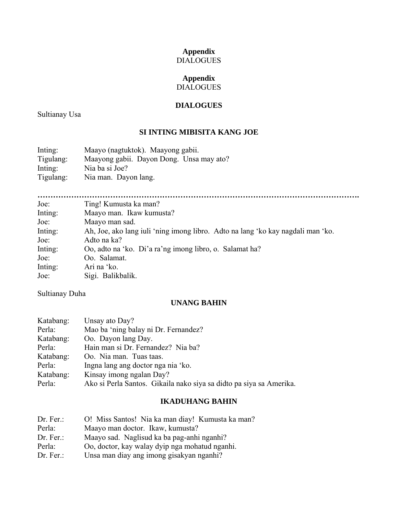## **Appendix**  DIALOGUES

## **Appendix**  DIALOGUES

## **DIALOGUES**

Sultianay Usa

## **SI INTING MIBISITA KANG JOE**

| Inting:<br>Tigulang: | Maayo (nagtuktok). Maayong gabii.<br>Maayong gabii. Dayon Dong. Unsa may ato? |
|----------------------|-------------------------------------------------------------------------------|
| Inting:              | Nia ba si Joe?                                                                |
| Tigulang:            | Nia man. Dayon lang.                                                          |

**…………………………………………………………………………………………………………….** 

| Joe:    | Ting! Kumusta ka man?                                                           |
|---------|---------------------------------------------------------------------------------|
| Inting: | Maayo man. Ikaw kumusta?                                                        |
| Joe:    | Maayo man sad.                                                                  |
| Inting: | Ah, Joe, ako lang juli 'ning imong libro. Adto na lang 'ko kay nagdali man 'ko. |
| Joe:    | Adto na ka?                                                                     |
| Inting: | Oo, adto na 'ko. Di'a ra'ng imong libro, o. Salamat ha?                         |
| Joe:    | Oo. Salamat.                                                                    |
| Inting: | Ari na 'ko.                                                                     |
| Joe:    | Sigi. Balikbalik.                                                               |

Sultianay Duha

## **UNANG BAHIN**

| Katabang: | Unsay ato Day?                                                      |
|-----------|---------------------------------------------------------------------|
| Perla:    | Mao ba 'ning balay ni Dr. Fernandez?                                |
| Katabang: | Oo. Dayon lang Day.                                                 |
| Perla:    | Hain man si Dr. Fernandez? Nia ba?                                  |
| Katabang: | Oo. Nia man. Tuas taas.                                             |
| Perla:    | Ingna lang ang doctor nga nia 'ko.                                  |
| Katabang: | Kinsay imong ngalan Day?                                            |
| Perla:    | Ako si Perla Santos. Gikaila nako siya sa didto pa siya sa Amerika. |

## **IKADUHANG BAHIN**

| Dr. Fer. | O! Miss Santos! Nia ka man diay! Kumusta ka man? |
|----------|--------------------------------------------------|
| Perla:   | Maayo man doctor. Ikaw, kumusta?                 |
| Dr. Fer. | Maayo sad. Naglisud ka ba pag-anhi nganhi?       |
| Perla:   | Oo, doctor, kay walay dyip nga mohatud nganhi.   |
| Dr. Fer. | Unsa man diay ang imong gisakyan nganhi?         |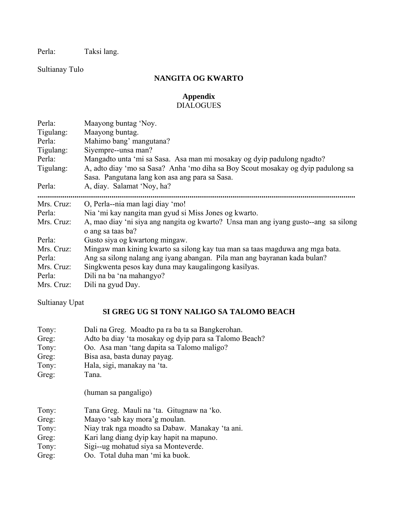Perla: Taksi lang.

Sultianay Tulo

## **NANGITA OG KWARTO**

## **Appendix**  DIALOGUES

| Perla:<br>Tigulang:<br>Perla:<br>Tigulang:<br>Perla:<br>Tigulang: | Maayong buntag 'Noy.<br>Maayong buntag.<br>Mahimo bang' mangutana?<br>Siyempre--unsa man?<br>Mangadto unta 'mi sa Sasa. Asa man mi mosakay og dyip padulong ngadto?<br>A, adto diay 'mo sa Sasa? Anha 'mo diha sa Boy Scout mosakay og dyip padulong sa<br>Sasa. Pangutana lang kon asa ang para sa Sasa. |
|-------------------------------------------------------------------|-----------------------------------------------------------------------------------------------------------------------------------------------------------------------------------------------------------------------------------------------------------------------------------------------------------|
| Perla:                                                            | A, diay. Salamat 'Noy, ha?                                                                                                                                                                                                                                                                                |
| Mrs. Cruz:                                                        | O, Perla--nia man lagi diay 'mo!                                                                                                                                                                                                                                                                          |
| Perla:                                                            | Nia 'mi kay nangita man gyud si Miss Jones og kwarto.                                                                                                                                                                                                                                                     |
| Mrs. Cruz:                                                        | A, mao diay 'ni siya ang nangita og kwarto? Unsa man ang iyang gusto--ang sa silong<br>o ang sa taas ba?                                                                                                                                                                                                  |
| Perla:                                                            | Gusto siya og kwartong mingaw.                                                                                                                                                                                                                                                                            |
| Mrs. Cruz:<br>Perla:<br>Mrs. Cruz:<br>Perla:<br>Mrs. Cruz:        | Mingaw man kining kwarto sa silong kay tua man sa taas magduwa ang mga bata.<br>Ang sa silong nalang ang iyang abangan. Pila man ang bayranan kada bulan?<br>Singkwenta pesos kay duna may kaugalingong kasilyas.<br>Dili na ba 'na mahangyo?<br>Dili na gyud Day.                                        |

Sultianay Upat

## **SI GREG UG SI TONY NALIGO SA TALOMO BEACH**

| Tony:<br>Greg:<br>Tony:<br>Greg:<br>Tony:<br>Greg: | Dali na Greg. Moadto pa ra ba ta sa Bangkerohan.<br>Adto ba diay 'ta mosakay og dyip para sa Talomo Beach?<br>Oo. Asa man 'tang dapita sa Talomo maligo?<br>Bisa asa, basta dunay payag.<br>Hala, sigi, manakay na 'ta.<br>Tana.<br>(human sa pangaligo) |
|----------------------------------------------------|----------------------------------------------------------------------------------------------------------------------------------------------------------------------------------------------------------------------------------------------------------|
| Tony:                                              | Tana Greg. Mauli na 'ta. Gitugnaw na 'ko.                                                                                                                                                                                                                |
| Greg:                                              | Maayo 'sab kay mora'g moulan.                                                                                                                                                                                                                            |
| Tony:                                              | Niay trak nga moadto sa Dabaw. Manakay 'ta ani.                                                                                                                                                                                                          |
| Greg:                                              | Kari lang diang dyip kay hapit na mapuno.                                                                                                                                                                                                                |
| Tony:                                              | Sigi--ug mohatud siya sa Monteverde.                                                                                                                                                                                                                     |
| Greg:                                              | Oo. Total duha man 'mi ka buok.                                                                                                                                                                                                                          |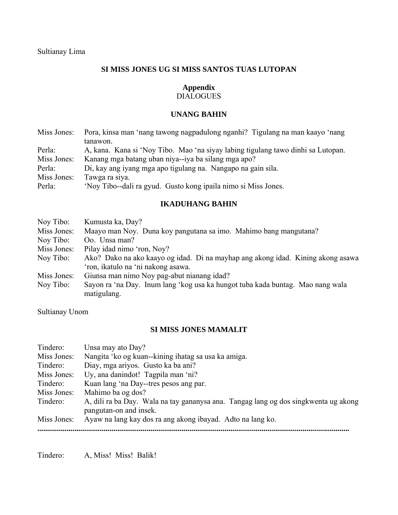## **SI MISS JONES UG SI MISS SANTOS TUAS LUTOPAN**

## **Appendix**

## DIALOGUES

## **UNANG BAHIN**

| Miss Jones: | Pora, kinsa man 'nang tawong nagpadulong nganhi? Tigulang na man kaayo 'nang     |
|-------------|----------------------------------------------------------------------------------|
|             | tanawon.                                                                         |
| Perla:      | A, kana. Kana si 'Noy Tibo. Mao 'na siyay labing tigulang tawo dinhi sa Lutopan. |
| Miss Jones: | Kanang mga batang uban niya--iya ba silang mga apo?                              |
| Perla:      | Di, kay ang iyang mga apo tigulang na. Nangapo na gain sila.                     |
| Miss Jones: | Tawga ra siya.                                                                   |
| Perla:      | 'Nov Tibo--dali ra gyud. Gusto kong ipaila nimo si Miss Jones.                   |

## **IKADUHANG BAHIN**

| Noy Tibo:   | Kumusta ka, Day?                                                                |
|-------------|---------------------------------------------------------------------------------|
| Miss Jones: | Maayo man Noy. Duna koy pangutana sa imo. Mahimo bang mangutana?                |
| Noy Tibo:   | Oo. Unsa man?                                                                   |
| Miss Jones: | Pilay idad nimo 'ron, Noy?                                                      |
| Noy Tibo:   | Ako? Dako na ako kaayo og idad. Di na mayhap ang akong idad. Kining akong asawa |
|             | 'ron, ikatulo na 'ni nakong asawa.                                              |
| Miss Jones: | Giunsa man nimo Noy pag-abut nianang idad?                                      |
| Noy Tibo:   | Sayon ra 'na Day. Inum lang 'kog usa ka hungot tuba kada buntag. Mao nang wala  |
|             | matigulang.                                                                     |

Sultianay Unom

## **SI MISS JONES MAMALIT**

| Tindero:    | Unsa may ato Day?                                                                                             |
|-------------|---------------------------------------------------------------------------------------------------------------|
| Miss Jones: | Nangita 'ko og kuan--kining ihatag sa usa ka amiga.                                                           |
| Tindero:    | Diay, mga ariyos. Gusto ka ba ani?                                                                            |
| Miss Jones: | Uy, ana danindot! Tagpila man 'ni?                                                                            |
| Tindero:    | Kuan lang 'na Day--tres pesos ang par.                                                                        |
| Miss Jones: | Mahimo ba og dos?                                                                                             |
| Tindero:    | A, dili ra ba Day. Wala na tay gananysa ana. Tangag lang og dos singkwenta ug akong<br>pangutan-on and insek. |
| Miss Jones: | Ayaw na lang kay dos ra ang akong ibayad. Adto na lang ko.                                                    |
|             |                                                                                                               |

Tindero: A, Miss! Miss! Balik!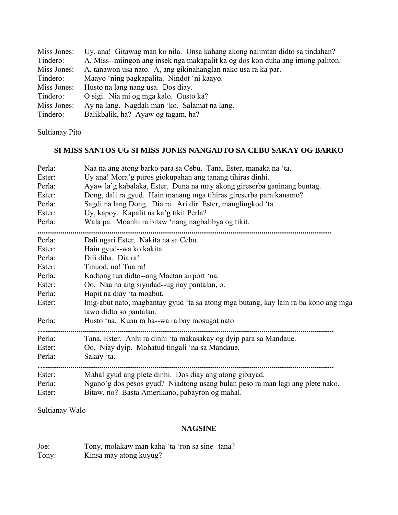| Miss Jones: | Uy, ana! Gitawag man ko nila. Unsa kahang akong nalimtan didto sa tindahan?    |
|-------------|--------------------------------------------------------------------------------|
| Tindero:    | A, Miss--miingon ang insek nga makapalit ka og dos kon duha ang imong paliton. |
| Miss Jones: | A, tanawon usa nato. A, ang gikinahanglan nako usa ra ka par.                  |
| Tindero:    | Maayo 'ning pagkapalita. Nindot 'ni kaayo.                                     |
| Miss Jones: | Husto na lang nang usa. Dos diay.                                              |
| Tindero:    | O sigi. Nia mi og mga kalo. Gusto ka?                                          |
| Miss Jones: | Ay na lang. Nagdali man 'ko. Salamat na lang.                                  |
| Tindero:    | Balikbalik, ha? Ayaw og tagam, ha?                                             |

## Sultianay Pito

## **SI MISS SANTOS UG SI MISS JONES NANGADTO SA CEBU SAKAY OG BARKO**

| Perla:           | Naa na ang atong barko para sa Cebu. Tana, Ester, manaka na 'ta.                                                                |
|------------------|---------------------------------------------------------------------------------------------------------------------------------|
| Ester:           | Uy ana! Mora'g puros giokupahan ang tanang tihiras dinhi.                                                                       |
| Perla:           | Ayaw la'g kabalaka, Ester. Duna na may akong gireserba ganinang buntag.                                                         |
| Ester:           | Dong, dali ra gyud. Hain manang mga tihiras gireserba para kanamo?                                                              |
| Perla:           | Sagdi na lang Dong. Dia ra. Ari diri Ester, manglingkod 'ta.                                                                    |
| Ester:           | Uy, kapoy. Kapalit na ka'g tikit Perla?                                                                                         |
| Perla:           | Wala pa. Moanhi ra bitaw 'nang nagbalibya og tikit.                                                                             |
| Perla:           | Dali ngari Ester. Nakita na sa Cebu.                                                                                            |
| Ester:           | Hain gyud--wa ko kakita.                                                                                                        |
| Perla:           | Dili diha. Dia ra!                                                                                                              |
| Ester:           | Tinuod, no! Tua ra!                                                                                                             |
| Perla:           | Kadtong tua didto--ang Mactan airport 'na.                                                                                      |
| Ester:           | Oo. Naa na ang siyudad--ug nay pantalan, o.                                                                                     |
| Perla:           | Hapit na diay 'ta moabut.                                                                                                       |
| Ester:           | Inig-abut nato, magbantay gyud 'ta sa atong mga butang, kay lain ra ba kono ang mga<br>tawo didto so pantalan.                  |
| Perla:           | Husto 'na. Kuan ra ba--wa ra bay mosugat nato.                                                                                  |
| Perla:           | Tana, Ester. Anhi ra dinhi 'ta makasakay og dyip para sa Mandaue.                                                               |
| Ester:           | Oo. Niay dyip. Mohatud tingali 'na sa Mandaue.                                                                                  |
| Perla:           | Sakay 'ta.                                                                                                                      |
| Ester:           | Mahal gyud ang plete dinhi. Dos diay ang atong gibayad.                                                                         |
| Perla:<br>Ester: | Ngano'g dos pesos gyud? Niadtong usang bulan peso ra man lagi ang plete nako.<br>Bitaw, no? Basta Amerikano, pabayron og mahal. |

## Sultianay Walo

## **NAGSINE**

| Joe:  | Tony, molakaw man kaha 'ta 'ron sa sine--tana? |
|-------|------------------------------------------------|
| Tony: | Kinsa may atong kuyug?                         |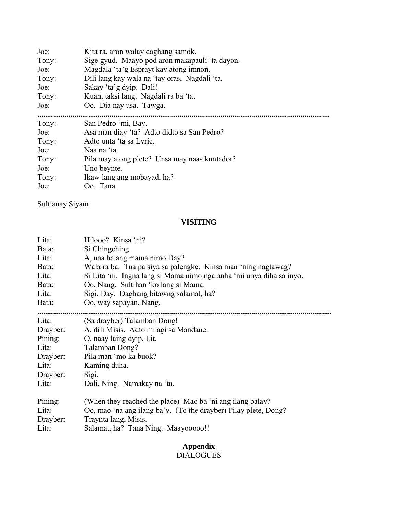| Joe:  | Kita ra, aron walay daghang samok.             |  |  |
|-------|------------------------------------------------|--|--|
| Tony: | Sige gyud. Maayo pod aron makapauli 'ta dayon. |  |  |
| Joe:  | Magdala 'ta'g Esprayt kay atong imnon.         |  |  |
| Tony: | Dili lang kay wala na 'tay oras. Nagdali 'ta.  |  |  |
| Joe:  | Sakay 'ta'g dyip. Dali!                        |  |  |
| Tony: | Kuan, taksi lang. Nagdali ra ba 'ta.           |  |  |
| Joe:  | Oo. Dia nay usa. Tawga.                        |  |  |
|       |                                                |  |  |
| Tony: | San Pedro 'mi, Bay.                            |  |  |
| Joe:  | Asa man diay 'ta? Adto didto sa San Pedro?     |  |  |
| Tony: | Adto unta 'ta sa Lyric.                        |  |  |
| Joe:  | Naa na 'ta.                                    |  |  |
| Tony: | Pila may atong plete? Unsa may naas kuntador?  |  |  |
| Joe:  | Uno beynte.                                    |  |  |
| Tony: | Ikaw lang ang mobayad, ha?                     |  |  |
| Joe:  | Oo. Tana.                                      |  |  |

Sultianay Siyam

## **VISITING**

| Lita:    | Hilooo? Kinsa 'ni?                                                   |  |  |
|----------|----------------------------------------------------------------------|--|--|
| Bata:    | Si Chingching.                                                       |  |  |
| Lita:    | A, naa ba ang mama nimo Day?                                         |  |  |
| Bata:    | Wala ra ba. Tua pa siya sa palengke. Kinsa man 'ning nagtawag?       |  |  |
| Lita:    | Si Lita 'ni. Ingna lang si Mama nimo nga anha 'mi unya diha sa inyo. |  |  |
| Bata:    | Oo, Nang. Sultihan 'ko lang si Mama.                                 |  |  |
| Lita:    | Sigi, Day. Daghang bitawng salamat, ha?                              |  |  |
| Bata:    | Oo, way sapayan, Nang.                                               |  |  |
|          |                                                                      |  |  |
| Lita:    | (Sa drayber) Talamban Dong!                                          |  |  |
| Drayber: | A, dili Misis. Adto mi agi sa Mandaue.                               |  |  |
| Pining:  | O, naay laing dyip, Lit.                                             |  |  |
| Lita:    | Talamban Dong?                                                       |  |  |
| Drayber: | Pila man 'mo ka buok?                                                |  |  |
| Lita:    | Kaming duha.                                                         |  |  |
| Drayber: | Sigi.                                                                |  |  |
| Lita:    | Dali, Ning. Namakay na 'ta.                                          |  |  |
| Pining:  | (When they reached the place) Mao ba 'ni ang ilang balay?            |  |  |
| Lita:    | Oo, mao 'na ang ilang ba'y. (To the drayber) Pilay plete, Dong?      |  |  |
| Drayber: | Traynta lang, Misis.                                                 |  |  |
| Lita:    | Salamat, ha? Tana Ning. Maayooooo!!                                  |  |  |

## **Appendix**

DIALOGUES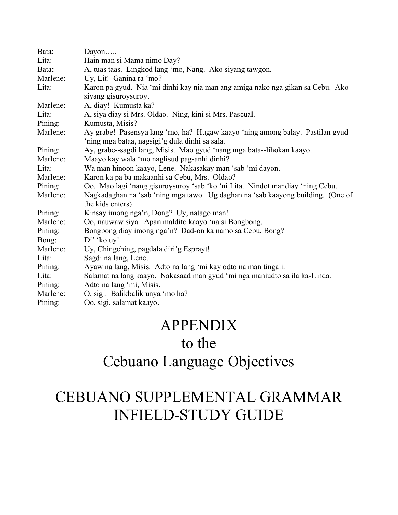| Bata:    | Dayon                                                                                                                           |  |  |
|----------|---------------------------------------------------------------------------------------------------------------------------------|--|--|
| Lita:    | Hain man si Mama nimo Day?                                                                                                      |  |  |
| Bata:    | A, tuas taas. Lingkod lang 'mo, Nang. Ako siyang tawgon.                                                                        |  |  |
| Marlene: | Uy, Lit! Ganina ra 'mo?                                                                                                         |  |  |
| Lita:    | Karon pa gyud. Nia 'mi dinhi kay nia man ang amiga nako nga gikan sa Cebu. Ako<br>siyang gisuroysuroy.                          |  |  |
| Marlene: | A, diay! Kumusta ka?                                                                                                            |  |  |
| Lita:    | A, siya diay si Mrs. Oldao. Ning, kini si Mrs. Pascual.                                                                         |  |  |
| Pining:  | Kumusta, Misis?                                                                                                                 |  |  |
| Marlene: | Ay grabe! Pasensya lang 'mo, ha? Hugaw kaayo 'ning among balay. Pastilan gyud<br>'ning mga bataa, nagsigi'g dula dinhi sa sala. |  |  |
| Pining:  | Ay, grabe--sagdi lang, Misis. Mao gyud 'nang mga bata--lihokan kaayo.                                                           |  |  |
| Marlene: | Maayo kay wala 'mo naglisud pag-anhi dinhi?                                                                                     |  |  |
| Lita:    | Wa man hinoon kaayo, Lene. Nakasakay man 'sab 'mi dayon.                                                                        |  |  |
| Marlene: | Karon ka pa ba makaanhi sa Cebu, Mrs. Oldao?                                                                                    |  |  |
| Pining:  | Oo. Mao lagi 'nang gisuroysuroy 'sab 'ko 'ni Lita. Nindot mandiay 'ning Cebu.                                                   |  |  |
| Marlene: | Nagkadaghan na 'sab 'ning mga tawo. Ug daghan na 'sab kaayong building. (One of<br>the kids enters)                             |  |  |
| Pining:  | Kinsay imong nga'n, Dong? Uy, natago man!                                                                                       |  |  |
| Marlene: | Oo, nauwaw siya. Apan maldito kaayo 'na si Bongbong.                                                                            |  |  |
| Pining:  | Bongbong diay imong nga'n? Dad-on ka namo sa Cebu, Bong?                                                                        |  |  |
| Bong:    | Di' 'ko uy!                                                                                                                     |  |  |
| Marlene: | Uy, Chingching, pagdala diri'g Esprayt!                                                                                         |  |  |
| Lita:    | Sagdi na lang, Lene.                                                                                                            |  |  |
| Pining:  | Ayaw na lang, Misis. Adto na lang 'mi kay odto na man tingali.                                                                  |  |  |
| Lita:    | Salamat na lang kaayo. Nakasaad man gyud 'mi nga maniudto sa ila ka-Linda.                                                      |  |  |
| Pining:  | Adto na lang 'mi, Misis.                                                                                                        |  |  |
| Marlene: | O, sigi. Balikbalik unya 'mo ha?                                                                                                |  |  |
| Pining:  | Oo, sigi, salamat kaayo.                                                                                                        |  |  |

## APPENDIX

## to the

# Cebuano Language Objectives

# CEBUANO SUPPLEMENTAL GRAMMAR INFIELD-STUDY GUIDE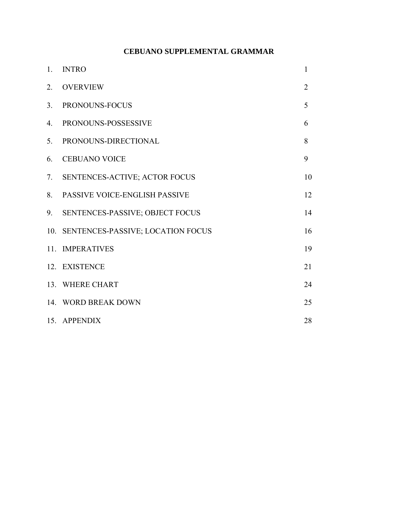## **CEBUANO SUPPLEMENTAL GRAMMAR**

| $1_{-}$          | <b>INTRO</b>                          | $\mathbf{1}$   |
|------------------|---------------------------------------|----------------|
| 2.               | <b>OVERVIEW</b>                       | $\overline{2}$ |
| 3 <sub>1</sub>   | PRONOUNS-FOCUS                        | 5              |
| $\overline{4}$ . | PRONOUNS-POSSESSIVE                   | 6              |
| 5.               | PRONOUNS-DIRECTIONAL                  | 8              |
| 6.               | <b>CEBUANO VOICE</b>                  | 9              |
| 7.               | SENTENCES-ACTIVE; ACTOR FOCUS         | 10             |
| 8.               | PASSIVE VOICE-ENGLISH PASSIVE         | 12             |
| 9.               | SENTENCES-PASSIVE; OBJECT FOCUS       | 14             |
|                  | 10. SENTENCES-PASSIVE; LOCATION FOCUS | 16             |
|                  | 11. IMPERATIVES                       | 19             |
|                  | 12. EXISTENCE                         | 21             |
|                  | 13. WHERE CHART                       | 24             |
|                  | 14. WORD BREAK DOWN                   | 25             |
|                  | 15. APPENDIX                          | 28             |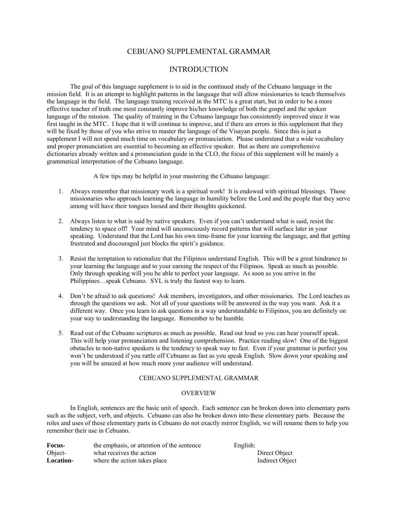## CEBUANO SUPPLEMENTAL GRAMMAR

## INTRODUCTION

The goal of this language supplement is to aid in the continued study of the Cebuano language in the mission field. It is an attempt to highlight patterns in the language that will allow missionaries to teach themselves the language in the field. The language training received in the MTC is a great start, but in order to be a more effective teacher of truth one most constantly improve his/her knowledge of both the gospel and the spoken language of the mission. The quality of training in the Cebuano language has consistently improved since it was first taught in the MTC. I hope that it will continue to improve, and if there are errors in this supplement that they will be fixed by those of you who strive to master the language of the Visayan people. Since this is just a supplement I will not spend much time on vocabulary or pronunciation. Please understand that a wide vocabulary and proper pronunciation are essential to becoming an effective speaker. But as there are comprehensive dictionaries already written and a pronunciation guide in the CLO, the focus of this supplement will be mainly a grammatical interpretation of the Cebuano language.

A few tips may be helpful in your mastering the Cebuano language:

- 1. Always remember that missionary work is a spiritual work! It is endowed with spiritual blessings. Those missionaries who approach learning the language in humility before the Lord and the people that they serve among will have their tongues loosed and their thoughts quickened.
- 2. Always listen to what is said by native speakers. Even if you can't understand what is said, resist the tendency to space off! Your mind will unconsciously record patterns that will surface later in your speaking. Understand that the Lord has his own time-frame for your learning the language, and that getting frustrated and discouraged just blocks the spirit's guidance.
- 3. Resist the temptation to rationalize that the Filipinos understand English. This will be a great hindrance to your learning the language and to your earning the respect of the Filipinos. Speak as much as possible. Only through speaking will you be able to perfect your language. As soon as you arrive in the Philippines…speak Cebuano. SYL is truly the fastest way to learn.
- 4. Don't be afraid to ask questions! Ask members, investigators, and other missionaries. The Lord teaches us through the questions we ask. Not all of your questions will be answered in the way you want. Ask it a different way. Once you learn to ask questions in a way understandable to Filipinos, you are definitely on your way to understanding the language. Remember to be humble.
- 5. Read out of the Cebuano scriptures as much as possible. Read out loud so you can hear yourself speak. This will help your pronunciation and listening comprehension. Practice reading slow! One of the biggest obstacles to non-native speakers is the tendency to speak way to fast. Even if your grammar is perfect you won't be understood if you rattle off Cebuano as fast as you speak English. Slow down your speaking and you will be amazed at how much more your audience will understand.

#### CEBUANO SUPPLEMENTAL GRAMMAR

#### **OVERVIEW**

 In English, sentences are the basic unit of speech. Each sentence can be broken down into elementary parts such as the subject, verb, and objects. Cebuano can also be broken down into these elementary parts. Because the roles and uses of these elementary parts in Cebuano do not exactly mirror English, we will rename them to help you remember their use in Cebuano.

| <b>Focus-</b> | the emphasis, or attention of the sentence | English:        |
|---------------|--------------------------------------------|-----------------|
| Object-       | what receives the action                   | Direct Object   |
| Location-     | where the action takes place               | Indirect Object |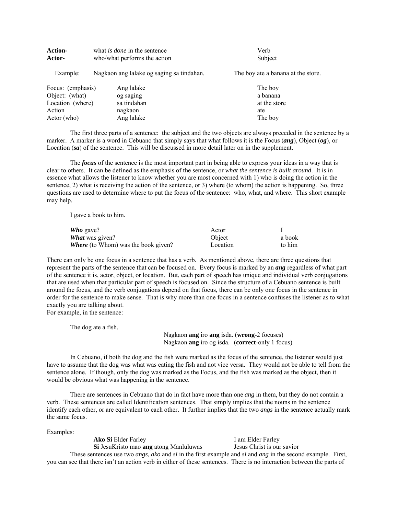| <b>Action-</b>    | what <i>is done</i> in the sentence       | Verb                               |
|-------------------|-------------------------------------------|------------------------------------|
| Actor-            | who/what performs the action              | Subject                            |
| Example:          | Nagkaon ang lalake og saging sa tindahan. | The boy ate a banana at the store. |
| Focus: (emphasis) | Ang lalake                                | The boy                            |
| Object: (what)    | og saging                                 | a banana                           |
| Location (where)  | sa tindahan                               | at the store                       |
| Action            | nagkaon                                   | ate                                |
| Actor (who)       | Ang lalake                                | The boy                            |

 The first three parts of a sentence: the subject and the two objects are always preceded in the sentence by a marker. A marker is a word in Cebuano that simply says that what follows it is the Focus (*ang*), Object (*og*), or Location (*sa*) of the sentence. This will be discussed in more detail later on in the supplement.

 The *focus* of the sentence is the most important part in being able to express your ideas in a way that is clear to others. It can be defined as the emphasis of the sentence, or *what the sentence is built around*. It is in essence what allows the listener to know whether you are most concerned with 1) who is doing the action in the sentence, 2) what is receiving the action of the sentence, or 3) where (to whom) the action is happening. So, three questions are used to determine where to put the focus of the sentence: who, what, and where. This short example may help.

I gave a book to him.

| Who gave?                                  | Actor    |        |
|--------------------------------------------|----------|--------|
| <b>What</b> was given?                     | Object   | a book |
| <b>Where</b> (to Whom) was the book given? | Location | to him |

There can only be one focus in a sentence that has a verb. As mentioned above, there are three questions that represent the parts of the sentence that can be focused on. Every focus is marked by an *ang* regardless of what part of the sentence it is, actor, object, or location. But, each part of speech has unique and individual verb conjugations that are used when that particular part of speech is focused on. Since the structure of a Cebuano sentence is built around the focus, and the verb conjugations depend on that focus, there can be only one focus in the sentence in order for the sentence to make sense. That is why more than one focus in a sentence confuses the listener as to what exactly you are talking about. For example, in the sentence:

The dog ate a fish.

 Nagkaon **ang** iro **ang** isda. (**wrong**-2 focuses) Nagkaon **ang** iro og isda. (**correct**-only 1 focus)

 In Cebuano, if both the dog and the fish were marked as the focus of the sentence, the listener would just have to assume that the dog was what was eating the fish and not vice versa. They would not be able to tell from the sentence alone. If though, only the dog was marked as the Focus, and the fish was marked as the object, then it would be obvious what was happening in the sentence.

 There are sentences in Cebuano that do in fact have more than one *ang* in them, but they do not contain a verb. These sentences are called Identification sentences. That simply implies that the nouns in the sentence identify each other, or are equivalent to each other. It further implies that the two *angs* in the sentence actually mark the same focus.

Examples:

**Ako Si** Elder Farley **I** am Elder Farley **Si** JesuKristo mao **ang** atong Manluluwas Jesus Christ is our savior

 These sentences use two *angs, ako* and *si* in the first example and *si* and *ang* in the second example. First, you can see that there isn't an action verb in either of these sentences. There is no interaction between the parts of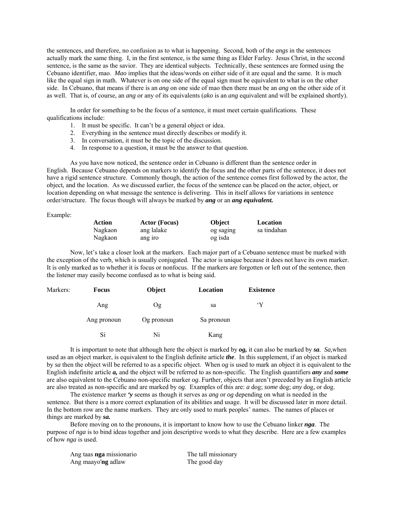the sentences, and therefore, no confusion as to what is happening. Second, both of the *angs* in the sentences actually mark the same thing. I, in the first sentence, is the same thing as Elder Farley. Jesus Christ, in the second sentence, is the same as the savior. They are identical subjects. Technically, these sentences are formed using the Cebuano identifier, mao. *Mao* implies that the ideas/words on either side of it are equal and the same. It is much like the equal sign in math. Whatever is on one side of the equal sign must be equivalent to what is on the other side. In Cebuano, that means if there is an *ang* on one side of mao then there must be an *ang* on the other side of it as well. That is, of course, an *ang* or any of its equivalents (*ako* is an *ang* equivalent and will be explained shortly).

 In order for something to be the focus of a sentence, it must meet certain qualifications. These qualifications include:

- 1. It must be specific. It can't be a general object or idea.
- 2. Everything in the sentence must directly describes or modify it.
- 3. In conversation, it must be the topic of the discussion.
- 4. In response to a question, it must be the answer to that question.

As you have now noticed, the sentence order in Cebuano is different than the sentence order in English. Because Cebuano depends on markers to identify the focus and the other parts of the sentence, it does not have a rigid sentence structure. Commonly though, the action of the sentence comes first followed by the actor, the object, and the location. As we discussed earlier, the focus of the sentence can be placed on the actor, object, or location depending on what message the sentence is delivering. This in itself allows for variations in sentence order/structure. The focus though will always be marked by *ang* or an *ang equivalent.*

Example:

| Action  | <b>Actor</b> (Focus) | <b>Object</b> | Location    |
|---------|----------------------|---------------|-------------|
| Nagkaon | ang lalake           | og saging     | sa tindahan |
| Nagkaon | ang iro              | og isda       |             |

 Now, let's take a closer look at the markers. Each major part of a Cebuano sentence must be marked with the exception of the verb, which is usually conjugated. The actor is unique because it does not have its own marker. It is only marked as to whether it is focus or nonfocus. If the markers are forgotten or left out of the sentence, then the listener may easily become confused as to what is being said.

| Markers: | <b>Focus</b> | Object     | Location   | <b>Existence</b>  |
|----------|--------------|------------|------------|-------------------|
|          | Ang          | Og         | sa         | $\mathbf{\Omega}$ |
|          | Ang pronoun  | Og pronoun | Sa pronoun |                   |
|          | Si           | Ni         | Kang       |                   |

 It is important to note that although here the object is marked by *og,* it can also be marked by *sa. Sa,*when used as an object marker, is equivalent to the English definite article *the*. In this supplement, if an object is marked by *sa* then the object will be referred to as a specific object. When *og* is used to mark an object it is equivalent to the English indefinite article *a,* and the object will be referred to as non-specific. The English quantifiers *any* and *some* are also equivalent to the Cebuano non-specific marker *og*. Further, objects that aren't preceded by an English article are also treated as non-specific and are marked by *og*. Examples of this are: *a* dog; *some* dog; *any* dog, or dog.

 The existence marker *'y* seems as though it serves as *ang* or *og* depending on what is needed in the sentence. But there is a more correct explanation of its abilities and usage. It will be discussed later in more detail. In the bottom row are the name markers. They are only used to mark peoples' names. The names of places or things are marked by *sa.*

 Before moving on to the pronouns, it is important to know how to use the Cebuano linker *nga*. The purpose of *nga* is to bind ideas together and join descriptive words to what they describe. Here are a few examples of how *nga* is used.

| Ang taas <b>nga</b> missionario | The tall missionary |
|---------------------------------|---------------------|
| Ang maayo'ng adlaw              | The good day        |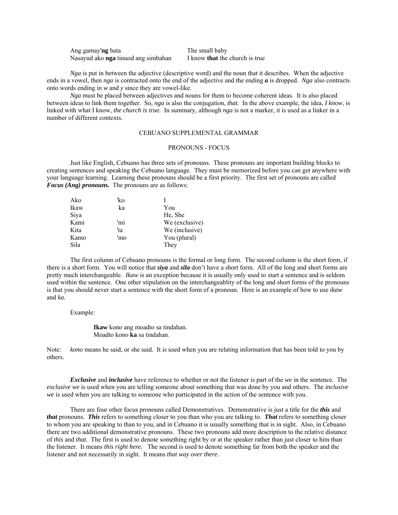| Ang gamay'ng bata                          | The small baby                        |
|--------------------------------------------|---------------------------------------|
| Nasayud ako <b>nga</b> tinuod ang simbahan | I know <b>that</b> the church is true |

*Nga* is put in between the adjective (descriptive word) and the noun that it describes. When the adjective ends in a vowel, then *nga* is contracted onto the end of the adjective and the ending *a* is dropped. *Nga* also contracts onto words ending in *w* and *y* since they are vowel-like.

*Nga* must be placed between adjectives and nouns for them to become coherent ideas. It is also placed between ideas to link them together. So, *nga* is also the conjugation, *that.* In the above example, the idea, *I know,* is linked with what I know, *the church is true.* In summary, although *nga* is not a marker, it is used as a linker in a number of different contexts.

## CEBUANO SUPPLEMENTAL GRAMMAR

## PRONOUNS - FOCUS

 Just like English, Cebuano has three sets of pronouns. These pronouns are important building blocks to creating sentences and speaking the Cebuano language. They must be memorized before you can get anywhere with your language learning. Learning these pronouns should be a first priority. The first set of pronouns are called *Focus (Ang) pronouns.* The pronouns are as follows:

| Ako  | 'ko |                |
|------|-----|----------------|
| Ikaw | ka  | You            |
| Siya |     | He, She        |
| Kami | 'mi | We (exclusive) |
| Kita | 'ta | We (inclusive) |
| Kamo | 'mo | You (plural)   |
| Sila |     | They           |
|      |     |                |

 The first column of Cebuano pronouns is the formal or long form. The second column is the short form, if there is a short form. You will notice that *siya* and *sila* don't have a short form. All of the long and short forms are pretty much interchangeable. *Ikaw* is an exception because it is usually only used to start a sentence and is seldom used within the sentence. One other stipulation on the interchangeablity of the long and short forms of the pronouns is that you should never start a sentence with the short form of a pronoun. Here is an example of how to use *ikaw* and *ka.*

#### Example:

 **Ikaw** kono ang moadto sa tindahan. Moadto kono **ka** sa tindahan.

Note: *kono* means he said, or she said. It is used when you are relating information that has been told to you by others.

*Exclusive* and *inclusive* have reference to whether or not the listener is part of the *we* in the sentence. The *exclusive we* is used when you are telling someone about something that was done by you and others. The *inclusive we* is used when you are talking to someone who participated in the action of the sentence with you.

 There are four other focus pronouns called Demonstratives. Demonstrative is just a title for the *this* and *that* pronouns. *This* refers to something closer to you than who you are talking to. *That* refers to something closer to whom you are speaking to than to you, and in Cebuano it is usually something that is in sight. Also, in Cebuano there are two additional demonstrative pronouns. These two pronouns add more description to the relative distance of *this* and *that.* The first is used to denote something right by or at the speaker rather than just closer to him than the listener. It means *this right here.* The second is used to denote something far from both the speaker and the listener and not necessarily in sight. It means *that way over there.*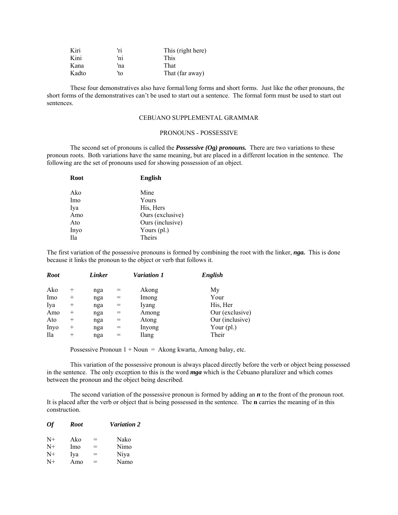| Kiri  | 'ri | This (right here) |
|-------|-----|-------------------|
| Kini  | 'ni | <b>This</b>       |
| Kana  | 'na | That              |
| Kadto | 'to | That (far away)   |

 These four demonstratives also have formal/long forms and short forms. Just like the other pronouns, the short forms of the demonstratives can't be used to start out a sentence. The formal form must be used to start out sentences.

## CEBUANO SUPPLEMENTAL GRAMMAR

## PRONOUNS - POSSESSIVE

 The second set of pronouns is called the *Possessive (Og) pronouns.* There are two variations to these pronoun roots. Both variations have the same meaning, but are placed in a different location in the sentence. The following are the set of pronouns used for showing possession of an object.

| Root | <b>English</b>   |
|------|------------------|
| Ako  | Mine             |
| Imo  | Yours            |
| Iya  | His, Hers        |
| Amo  | Ours (exclusive) |
| Ato  | Ours (inclusive) |
| Inyo | Yours $(pl.)$    |
| Ila  | <b>Theirs</b>    |
|      |                  |

The first variation of the possessive pronouns is formed by combining the root with the linker, *nga.* This is done because it links the pronoun to the object or verb that follows it.

| <b>Root</b> |                    | Linker |     | <b>Variation 1</b> | English         |
|-------------|--------------------|--------|-----|--------------------|-----------------|
| Ako         | $\pm$              | nga    | =   | Akong              | My              |
| Imo         | $\hspace{0.1mm} +$ | nga    | $=$ | Imong              | Your            |
| Iya         | $^{+}$             | nga    | $=$ | Iyang              | His, Her        |
| Amo         | $\hspace{0.1mm} +$ | nga    |     | Among              | Our (exclusive) |
| Ato         | $\hspace{0.1mm} +$ | nga    |     | Atong              | Our (inclusive) |
| Inyo        | $\hspace{0.1mm} +$ | nga    | $=$ | Inyong             | Your $(pl.)$    |
| <b>Ila</b>  | $^{+}$             | nga    | $=$ | Ilang              | Their           |

Possessive Pronoun  $1 + Noun = Akong kwarta$ , Among balay, etc.

 This variation of the possessive pronoun is always placed directly before the verb or object being possessed in the sentence. The only exception to this is the word *mga* which is the Cebuano pluralizer and which comes between the pronoun and the object being described.

The second variation of the possessive pronoun is formed by adding an *n* to the front of the pronoun root. It is placed after the verb or object that is being possessed in the sentence. The **n** carries the meaning of in this construction.

| $\overline{Of}$ | Root |     | <b>Variation 2</b> |
|-----------------|------|-----|--------------------|
| $N+$            | Ako  | $=$ | Nako               |
| $N+$            | Imo  | $=$ | Nimo               |
| $N+$            | Iya  | $=$ | Niya               |
| $N+$            | Amo  | $=$ | Namo               |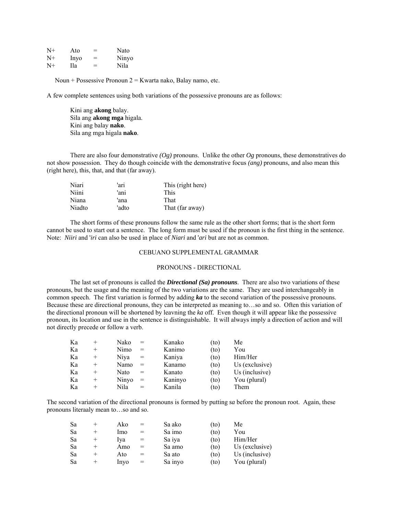| $N+$ | Ato  | = | Nato  |
|------|------|---|-------|
| $N+$ | Inyo | = | Ninyo |
| $N+$ | Ila  | = | Nila  |

Noun + Possessive Pronoun  $2 =$  Kwarta nako, Balay namo, etc.

A few complete sentences using both variations of the possessive pronouns are as follows:

 Kini ang **akong** balay. Sila ang **akong mga** higala. Kini ang balay **nako**. Sila ang mga higala **nako**.

There are also four demonstrative  $(Og)$  pronouns. Unlike the other  $Og$  pronouns, these demonstratives do not show possession. They do though coincide with the demonstrative focus *(ang)* pronouns, and also mean this (right here), this, that, and that (far away).

| Niari  | 'ari  | This (right here) |
|--------|-------|-------------------|
| Niini  | 'ani  | <b>This</b>       |
| Niana  | 'ana  | That              |
| Niadto | 'adto | That (far away)   |

 The short forms of these pronouns follow the same rule as the other short forms; that is the short form cannot be used to start out a sentence. The long form must be used if the pronoun is the first thing in the sentence. Note: *Niiri* and '*iri* can also be used in place of *Niari* and '*ari* but are not as common.

#### CEBUANO SUPPLEMENTAL GRAMMAR

#### PRONOUNS - DIRECTIONAL

 The last set of pronouns is called the *Directional (Sa) pronouns*. There are also two variations of these pronouns, but the usage and the meaning of the two variations are the same. They are used interchangeably in common speech. The first variation is formed by adding *ka* to the second variation of the possessive pronouns. Because these are directional pronouns, they can be interpreted as meaning to…so and so. Often this variation of the directional pronoun will be shortened by leavning the *ka* off. Even though it will appear like the possessive pronoun, its location and use in the sentence is distinguishable. It will always imply a direction of action and will not directly precede or follow a verb.

| Ka | $^{+}$ | Nako  | $=$ | Kanako  | (to) | Me             |
|----|--------|-------|-----|---------|------|----------------|
| Ka | $^{+}$ | Nimo  | $=$ | Kanimo  | (to) | You            |
| Ka | $^{+}$ | Niva  | $=$ | Kaniya  | (to) | Him/Her        |
| Ka | $^{+}$ | Namo  | $=$ | Kanamo  | (to) | Us (exclusive) |
| Ka | $^{+}$ | Nato  | $=$ | Kanato  | (to) | Us (inclusive) |
| Ka | $^{+}$ | Ninyo | $=$ | Kaninyo | (to) | You (plural)   |
| Ka | $^{+}$ | Nila  | $=$ | Kanila  | (to) | Them           |

The second variation of the directional pronouns is formed by putting *sa* before the pronoun root. Again, these pronouns literaaly mean to…so and so.

| Sa | $^+$ | Ako  | $=$ | Sa ako  | (to) | Me             |
|----|------|------|-----|---------|------|----------------|
| Sa | $+$  | Imo  | $=$ | Sa imo  | (to) | You            |
| Sa |      | lya  | $=$ | Sa iya  | (to) | Him/Her        |
| Sa |      | Amo  | $=$ | Sa amo  | (to) | Us (exclusive) |
| Sa |      | Ato  | $=$ | Sa ato  | (to) | Us (inclusive) |
| Sa |      | Inyo | $=$ | Sa inyo | (to) | You (plural)   |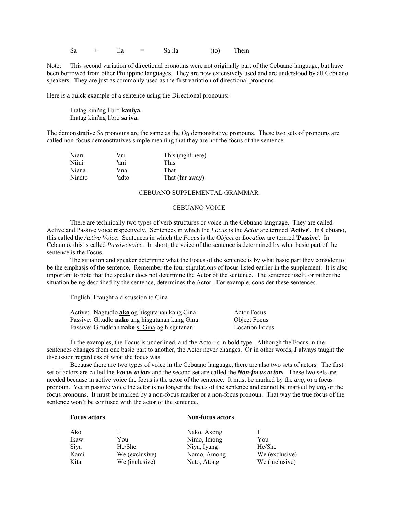$Sa + Ila = Sa$  ila (to) Them

Note: This second variation of directional pronouns were not originally part of the Cebuano language, but have been borrowed from other Philippine languages. They are now extensively used and are understood by all Cebuano speakers. They are just as commonly used as the first variation of directional pronouns.

Here is a quick example of a sentence using the Directional pronouns:

 Ihatag kini'ng libro **kaniya.** Ihatag kini'ng libro **sa iya.**

The demonstrative *Sa* pronouns are the same as the *Og* demonstrative pronouns. These two sets of pronouns are called non-focus demonstratives simple meaning that they are not the focus of the sentence.

| Niari  | 'ari  | This (right here) |
|--------|-------|-------------------|
| Niini  | 'ani  | <b>This</b>       |
| Niana  | 'ana  | That              |
| Niadto | 'adto | That (far away)   |

## CEBUANO SUPPLEMENTAL GRAMMAR

#### CEBUANO VOICE

 There are technically two types of verb structures or voice in the Cebuano language. They are called Active and Passive voice respectively. Sentences in which the *Focus* is the *Actor* are termed '**Active**'. In Cebuano, this called the *Active Voice.* Sentences in which the *Focus* is the *Object* or *Location* are termed '**Passive**'. In Cebuano, this is called *Passive voice.* In short, the voice of the sentence is determined by what basic part of the sentence is the Focus.

 The situation and speaker determine what the Focus of the sentence is by what basic part they consider to be the emphasis of the sentence. Remember the four stipulations of focus listed earlier in the supplement. It is also important to note that the speaker does not determine the Actor of the sentence. The sentence itself, or rather the situation being described by the sentence, determines the Actor. For example, consider these sentences.

English: I taught a discussion to Gina

| Active: Nagtudlo <b>ako</b> og hisgutanan kang Gina | Actor Focus           |
|-----------------------------------------------------|-----------------------|
| Passive: Gitudlo nako ang hisgutanan kang Gina      | Object Focus          |
| Passive: Gitudloan nako si Gina og hisgutanan       | <b>Location Focus</b> |

 In the examples, the Focus is underlined, and the Actor is in bold type. Although the Focus in the sentences changes from one basic part to another, the Actor never changes. Or in other words, *I* always taught the discussion regardless of what the focus was.

 Because there are two types of voice in the Cebuano language, there are also two sets of actors. The first set of actors are called the *Focus actors* and the second set are called the *Non-focus actors.* These two sets are needed because in active voice the focus is the actor of the sentence. It must be marked by the *ang,* or a focus pronoun. Yet in passive voice the actor is no longer the focus of the sentence and cannot be marked by *ang* or the focus pronouns. It must be marked by a non-focus marker or a non-focus pronoun. That way the true focus of the sentence won't be confused with the actor of the sentence.

#### **Focus actors** Non-focus actors

| Ako<br>Ikaw<br>Siva<br>Kami | You<br>He/She<br>We (exclusive) | Nako, Akong<br>Nimo, Imong<br>Niya, Iyang<br>Namo, Among | You<br>He/She<br>We (exclusive) |
|-----------------------------|---------------------------------|----------------------------------------------------------|---------------------------------|
| Kita                        | We (inclusive)                  | Nato, Atong                                              | We (inclusive)                  |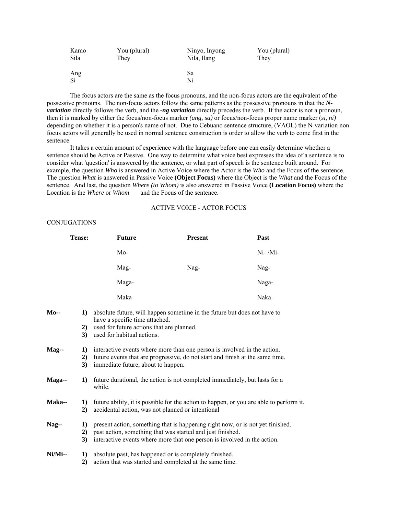| Kamo      | You (plural) | Ninyo, Inyong | You (plural) |
|-----------|--------------|---------------|--------------|
| Sila      | They         | Nila, Ilang   | They         |
| Ang<br>Si |              | Sa<br>Ni      |              |

 The focus actors are the same as the focus pronouns, and the non-focus actors are the equivalent of the possessive pronouns. The non-focus actors follow the same patterns as the possessive pronouns in that the *Nvariation* directly follows the verb, and the *-ng variation* directly precedes the verb. If the actor is not a pronoun, then it is marked by either the focus/non-focus marker *(ang, sa)* or focus/non-focus proper name marker (*si, ni)* depending on whether it is a person's name of not. Due to Cebuano sentence structure, (VAOL) the N-variation non focus actors will generally be used in normal sentence construction is order to allow the verb to come first in the sentence.

 It takes a certain amount of experience with the language before one can easily determine whether a sentence should be Active or Passive. One way to determine what voice best expresses the idea of a sentence is to consider what 'question' is answered by the sentence, or what part of speech is the sentence built around. For example, the question *Who* is answered in Active Voice where the Actor is the *Who* and the Focus of the sentence. The question *What* is answered in Passive Voice **(Object Focus)** where the Object is the *What* and the Focus of the sentence. And last, the question *Where (to Whom)* is also answered in Passive Voice **(Location Focus)** where the Location is the *Where* or *Whom* and the Focus of the sentence.

## ACTIVE VOICE - ACTOR FOCUS

## CONJUGATIONS

|            | Tense:   | <b>Future</b>                                                                                                                                | <b>Present</b>                                                                | Past      |
|------------|----------|----------------------------------------------------------------------------------------------------------------------------------------------|-------------------------------------------------------------------------------|-----------|
|            |          | $Mo-$                                                                                                                                        |                                                                               | $Ni-/Mi-$ |
|            |          | Mag-                                                                                                                                         | Nag-                                                                          | Nag-      |
|            |          | Maga-                                                                                                                                        |                                                                               | Naga-     |
|            |          | Maka-                                                                                                                                        |                                                                               | Naka-     |
| $Mo-$      | 1)       | absolute future, will happen sometime in the future but does not have to<br>have a specific time attached.                                   |                                                                               |           |
|            | 2)       | used for future actions that are planned.                                                                                                    |                                                                               |           |
|            | 3)       | used for habitual actions.                                                                                                                   |                                                                               |           |
| Mag--      | 1)       | interactive events where more than one person is involved in the action.                                                                     |                                                                               |           |
|            | 2)       |                                                                                                                                              | future events that are progressive, do not start and finish at the same time. |           |
|            | 3)       | immediate future, about to happen.                                                                                                           |                                                                               |           |
| Maga--     | 1)       | future durational, the action is not completed immediately, but lasts for a<br>while.                                                        |                                                                               |           |
| Maka--     | 1)<br>2) | future ability, it is possible for the action to happen, or you are able to perform it.<br>accidental action, was not planned or intentional |                                                                               |           |
| Nag--      | 1)       | present action, something that is happening right now, or is not yet finished.                                                               |                                                                               |           |
|            | 2)       | past action, something that was started and just finished.                                                                                   |                                                                               |           |
|            | 3)       | interactive events where more that one person is involved in the action.                                                                     |                                                                               |           |
| $Ni/Mi$ -- | 1)       |                                                                                                                                              | absolute past, has happened or is completely finished.                        |           |
|            | 2)       |                                                                                                                                              | action that was started and completed at the same time.                       |           |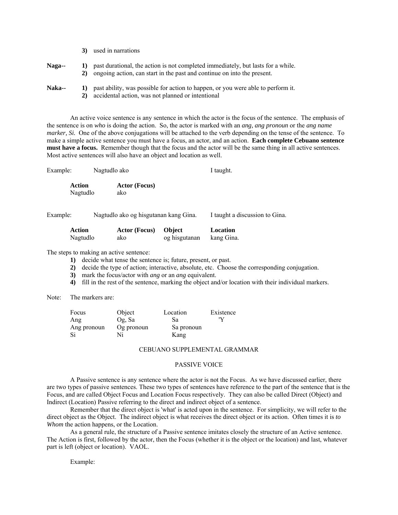|               | 3) | used in narrations                                                                                                                                          |
|---------------|----|-------------------------------------------------------------------------------------------------------------------------------------------------------------|
| Naga--        | 2) | past durational, the action is not completed immediately, but lasts for a while.<br>ongoing action, can start in the past and continue on into the present. |
| <b>Naka--</b> | 2) | past ability, was possible for action to happen, or you were able to perform it.<br>accidental action, was not planned or intentional                       |

 An active voice sentence is any sentence in which the actor is the focus of the sentence. The emphasis of the sentence is on *who* is doing the action. So, the actor is marked with an *ang, ang pronoun* or the *ang name marker, Si.* One of the above conjugations will be attached to the verb depending on the tense of the sentence. To make a simple active sentence you must have a focus, an actor, and an action. **Each complete Cebuano sentence must have a focus.** Remember though that the focus and the actor will be the same thing in all active sentences. Most active sentences will also have an object and location as well.

| Example:           | Nagtudlo ako                | I taught. |
|--------------------|-----------------------------|-----------|
| Action<br>Nagtudlo | <b>Actor</b> (Focus)<br>ako |           |

Example: Nagtudlo ako og hisgutanan kang Gina. I taught a discussion to Gina.

| Action   | <b>Actor (Focus)</b> | <b>Object</b> | Location   |
|----------|----------------------|---------------|------------|
| Nagtudlo | ako                  | og hisgutanan | kang Gina. |

The steps to making an active sentence:

**1)** decide what tense the sentence is; future, present, or past.

**2)** decide the type of action; interactive, absolute, etc. Choose the corresponding conjugation.

- **3)** mark the focus/actor with *ang* or an *ang* equivalent.
- **4)** fill in the rest of the sentence, marking the object and/or location with their individual markers.

Note: The markers are:

| Focus       | Object     | Location   | Existence |
|-------------|------------|------------|-----------|
| Ang         | Og, Sa     | Sa         |           |
| Ang pronoun | Og pronoun | Sa pronoun |           |
|             |            | Kang       |           |

#### CEBUANO SUPPLEMENTAL GRAMMAR

### PASSIVE VOICE

 A Passive sentence is any sentence where the actor is not the Focus. As we have discussed earlier, there are two types of passive sentences. These two types of sentences have reference to the part of the sentence that is the Focus, and are called Object Focus and Location Focus respectively. They can also be called Direct (Object) and Indirect (Location) Passive referring to the direct and indirect object of a sentence.

 Remember that the direct object is 'what' is acted upon in the sentence. For simplicity, we will refer to the direct object as the Object. The indirect object is what receives the direct object or its action. Often times it is *to Whom* the action happens, or the Location.

 As a general rule, the structure of a Passive sentence imitates closely the structure of an Active sentence. The Action is first, followed by the actor, then the Focus (whether it is the object or the location) and last, whatever part is left (object or location). VAOL.

Example: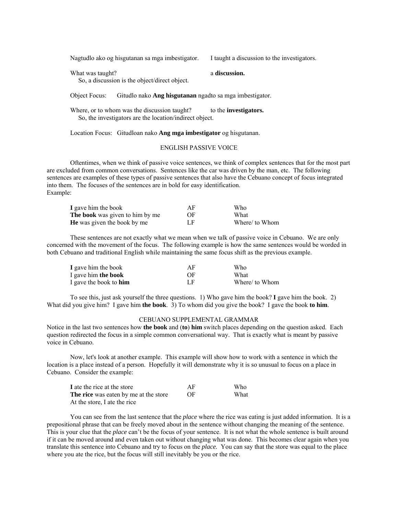Nagtudlo ako og hisgutanan sa mga imbestigator. I taught a discussion to the investigators.

What was taught? **a discussion.** 

So, a discussion is the object/direct object.

Object Focus: Gitudlo nako **Ang hisgutanan** ngadto sa mga imbestigator.

Where, or to whom was the discussion taught? to the **investigators.** So, the investigators are the location/indirect object.

Location Focus: Gitudloan nako **Ang mga imbestigator** og hisgutanan.

## ENGLISH PASSIVE VOICE

 Oftentimes, when we think of passive voice sentences, we think of complex sentences that for the most part are excluded from common conversations. Sentences like the car was driven by the man, etc. The following sentences are examples of these types of passive sentences that also have the Cebuano concept of focus integrated into them. The focuses of the sentences are in bold for easy identification. Example:

| I gave him the book                    | ΑF | Who            |
|----------------------------------------|----|----------------|
| <b>The book</b> was given to him by me | OF | What           |
| <b>He</b> was given the book by me     | LF | Where/ to Whom |

 These sentences are not exactly what we mean when we talk of passive voice in Cebuano. We are only concerned with the movement of the focus. The following example is how the same sentences would be worded in both Cebuano and traditional English while maintaining the same focus shift as the previous example.

| I gave him the book           | AF | Who            |
|-------------------------------|----|----------------|
| I gave him the book           | OF | What           |
| I gave the book to <b>him</b> | LF | Where/ to Whom |

 To see this, just ask yourself the three questions. 1) Who gave him the book? **I** gave him the book. 2) What did you give him? I gave him **the book**. 3) To whom did you give the book? I gave the book **to him**.

#### CEBUANO SUPPLEMENTAL GRAMMAR

Notice in the last two sentences how **the book** and (**to**) **him** switch places depending on the question asked. Each question redirected the focus in a simple common conversational way. That is exactly what is meant by passive voice in Cebuano.

 Now, let's look at another example. This example will show how to work with a sentence in which the location is a place instead of a person. Hopefully it will demonstrate why it is so unusual to focus on a place in Cebuano. Consider the example:

| I ate the rice at the store                  | АF | <b>Who</b> |
|----------------------------------------------|----|------------|
| <b>The rice</b> was eaten by me at the store | OF | What       |
| At the store, I ate the rice                 |    |            |

You can see from the last sentence that the *place* where the rice was eating is just added information. It is a prepositional phrase that can be freely moved about in the sentence without changing the meaning of the sentence. This is your clue that the *place* can't be the focus of your sentence. It is not what the whole sentence is built around if it can be moved around and even taken out without changing what was done. This becomes clear again when you translate this sentence into Cebuano and try to focus on the *place.* You can say that the store was equal to the place where you ate the rice, but the focus will still inevitably be you or the rice.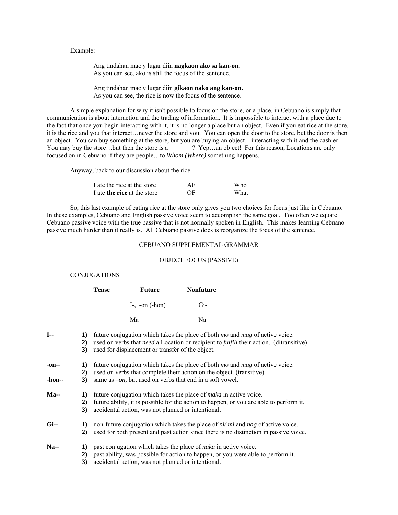## Example:

 Ang tindahan mao'y lugar diin **nagkaon ako sa kan-on.** As you can see, ako is still the focus of the sentence.

 Ang tindahan mao'y lugar diin **gikaon nako ang kan-on.** As you can see, the rice is now the focus of the sentence.

 A simple explanation for why it isn't possible to focus on the store, or a place, in Cebuano is simply that communication is about interaction and the trading of information. It is impossible to interact with a place due to the fact that once you begin interacting with it, it is no longer a place but an object. Even if you eat rice at the store, it is the rice and you that interact…never the store and you. You can open the door to the store, but the door is then an object. You can buy something at the store, but you are buying an object…interacting with it and the cashier. You may buy the store…but then the store is a \_\_\_\_\_\_? Yep…an object! For this reason, Locations are only focused on in Cebuano if they are people…to *Whom (Where)* something happens.

Anyway, back to our discussion about the rice.

| I ate the rice at the store        | AF | Who  |
|------------------------------------|----|------|
| I ate <b>the rice</b> at the store | OF | What |

 So, this last example of eating rice at the store only gives you two choices for focus just like in Cebuano. In these examples, Cebuano and English passive voice seem to accomplish the same goal. Too often we equate Cebuano passive voice with the true passive that is not normally spoken in English. This makes learning Cebuano passive much harder than it really is. All Cebuano passive does is reorganize the focus of the sentence.

## CEBUANO SUPPLEMENTAL GRAMMAR

#### OBJECT FOCUS (PASSIVE)

#### **CONJUGATIONS**

|                 |                | <b>Tense</b> | <b>Future</b>                                                                                                                                                                                                                                                                            |  | <b>Nonfuture</b>                                                                                                                                                                                    |
|-----------------|----------------|--------------|------------------------------------------------------------------------------------------------------------------------------------------------------------------------------------------------------------------------------------------------------------------------------------------|--|-----------------------------------------------------------------------------------------------------------------------------------------------------------------------------------------------------|
|                 |                |              | $I_7$ -on $(-hon)$                                                                                                                                                                                                                                                                       |  | $Gi-$                                                                                                                                                                                               |
|                 |                |              | Ma                                                                                                                                                                                                                                                                                       |  | Na                                                                                                                                                                                                  |
| $I-$            | 1)<br>2)<br>3) |              | used for displacement or transfer of the object.                                                                                                                                                                                                                                         |  | future conjugation which takes the place of both <i>mo</i> and <i>mag</i> of active voice.<br>used on verbs that <i>need</i> a Location or recipient to <i>fulfill</i> their action. (ditransitive) |
| -on--<br>-hon-- | 1)<br>2)<br>3) |              | future conjugation which takes the place of both <i>mo</i> and <i>mag</i> of active voice.<br>used on verbs that complete their action on the object. (transitive)                                                                                                                       |  |                                                                                                                                                                                                     |
| $Ma-$           | 1)<br>2)<br>3) |              | same as $-on$ , but used on verbs that end in a soft vowel.<br>future conjugation which takes the place of <i>maka</i> in active voice.<br>future ability, it is possible for the action to happen, or you are able to perform it.<br>accidental action, was not planned or intentional. |  |                                                                                                                                                                                                     |
| $Gi-$           | 1)<br>2)       |              |                                                                                                                                                                                                                                                                                          |  | non-future conjugation which takes the place of $ni/mi$ and nag of active voice.<br>used for both present and past action since there is no distinction in passive voice.                           |
| $Na-$           | 1)<br>2)<br>3) |              | accidental action, was not planned or intentional.                                                                                                                                                                                                                                       |  | past conjugation which takes the place of <i>naka</i> in active voice.<br>past ability, was possible for action to happen, or you were able to perform it.                                          |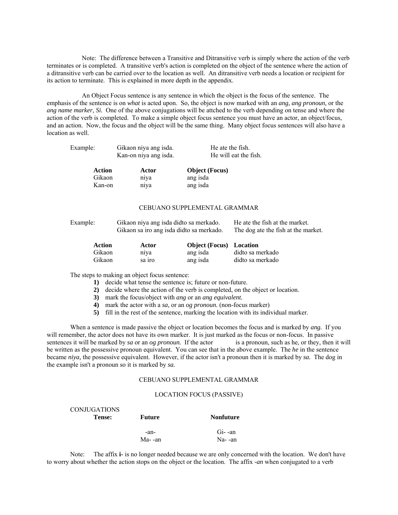Note: The difference between a Transitive and Ditransitive verb is simply where the action of the verb terminates or is completed. A transitive verb's action is completed on the object of the sentence where the action of a ditransitive verb can be carried over to the location as well. An ditransitive verb needs a location or recipient for its action to terminate. This is explained in more depth in the appendix.

 An Object Focus sentence is any sentence in which the object is the focus of the sentence. The emphasis of the sentence is on *what* is acted upon. So, the object is now marked with an *ang, ang pronoun,* or the *ang name marker, Si.* One of the above conjugations will be attched to the verb depending on tense and where the action of the verb is completed. To make a simple object focus sentence you must have an actor, an object/focus, and an action. Now, the focus and the object will be the same thing. Many object focus sentences will also have a location as well.

| Action   | Actor                 | <b>Object</b> (Focus) |
|----------|-----------------------|-----------------------|
|          | Kan-on niya ang isda. | He will eat the fish. |
| Example: | Gikaon niya ang isda. | He ate the fish.      |

Gikaon niya ang isda Kan-on niya ang isda

## CEBUANO SUPPLEMENTAL GRAMMAR

| Example: | Gikaon niya ang isda didto sa merkado.   | He ate the fish at the market.      |
|----------|------------------------------------------|-------------------------------------|
|          | Gikaon sa iro ang isda didto sa merkado. | The dog ate the fish at the market. |
|          |                                          |                                     |

| Action | Actor  | <b>Object (Focus)</b> Location |                  |
|--------|--------|--------------------------------|------------------|
| Gikaon | niva   | ang isda                       | didto sa merkado |
| Gikaon | sa iro | ang isda                       | didto sa merkado |

The steps to making an object focus sentence:

 $\overline{a}$   $\overline{b}$   $\overline{c}$   $\overline{c}$   $\overline{c}$   $\overline{c}$   $\overline{c}$   $\overline{c}$   $\overline{c}$   $\overline{c}$   $\overline{c}$   $\overline{c}$   $\overline{c}$   $\overline{c}$   $\overline{c}$   $\overline{c}$   $\overline{c}$   $\overline{c}$   $\overline{c}$   $\overline{c}$   $\overline{c}$   $\overline{c}$   $\overline{c}$   $\overline{c}$   $\overline{$ 

- **1)** decide what tense the sentence is; future or non-future.
- **2)** decide where the action of the verb is completed, on the object or location.
- **3)** mark the focus/object with *ang* or an *ang equivalent.*
- **4)** mark the actor with a *sa,* or an *og pronoun.* (non-focus marker)
- **5)** fill in the rest of the sentence, marking the location with its individual marker.

 When a sentence is made passive the object or location becomes the focus and is marked by *ang.* If you will remember, the actor does not have its own marker. It is just marked as the focus or non-focus. In passive sentences it will be marked by *sa* or an *og pronoun*. If the actor is a pronoun, such as he, or they, then it will be written as the possessive pronoun equivalent. You can see that in the above example. The *he* in the sentence became *niya,* the possessive equivalent. However, if the actor isn't a pronoun then it is marked by *sa.* The dog in the example isn't a pronoun so it is marked by *sa.* 

## CEBUANO SUPPLEMENTAL GRAMMAR

#### LOCATION FOCUS (PASSIVE)

| <b>CONJUGATIONS</b><br>Tense: | Future  | <b>Nonfuture</b> |
|-------------------------------|---------|------------------|
|                               | -an-    | $Gi$ -an         |
|                               | Ma- -an | Na- -an          |

 Note: The affix **i-** is no longer needed because we are only concerned with the location. We don't have to worry about whether the action stops on the object or the location. The affix *-an* when conjugated to a verb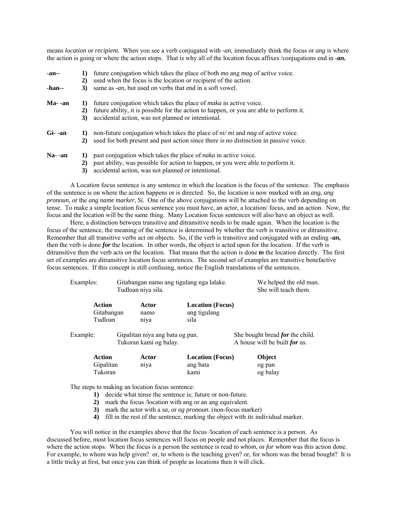means *location* or *recipient.* When you see a verb conjugated with *-an,* immediately think the focus or *ang* is where the action is going or where the action stops. That is why all of the location focus affixes /conjugations end in *-an.*

| $-an-$<br>-han-- | 1)<br>$\mathbf{2}$<br>3) | future conjugation which takes the place of both <i>mo</i> ang <i>mag</i> of active voice.<br>used when the focus is the location or recipient of the action.<br>same as <i>-an</i> , but used on verbs that end in a soft vowel. |
|------------------|--------------------------|-----------------------------------------------------------------------------------------------------------------------------------------------------------------------------------------------------------------------------------|
| Ma- -an          | 1)<br>$\mathbf{2}$<br>3) | future conjugation which takes the place of <i>maka</i> in active voice.<br>future ability, it is possible for the action to happen, or you are able to perform it.<br>accidental action, was not planned or intentional.         |
| $Gi-an$          | 1)<br>2)                 | non-future conjugation which takes the place of $ni/mi$ and nag of active voice.<br>used for both present and past action since there is no distinction in passive voice.                                                         |
| $Na-an$          | 1)<br>$\mathbf{2}$       | past conjugation which takes the place of <i>naka</i> in active voice.<br>past ability, was possible for action to happen, or you were able to perform it.                                                                        |

**3)** accidental action, was not planned or intentional.

 A Location focus sentence is any sentence in which the location is the focus of the sentence. The emphasis of the sentence is on where the action happens or is directed. So, the location is now marked with an *ang, ang pronoun,* or the *ang name marker, Si.* One of the above conjugations will be attached to the verb depending on tense. To make a simple location focus sentence you must have, an actor, a location/ focus, and an action. Now, the focus and the location will be the same thing. Many Location focus sentences will also have an object as well.

 Here, a distinction between transitive and ditransitive needs to be made again. When the location is the focus of the sentence, the meaning of the sentence is determined by whether the verb is transitive or ditransitive. Remember that all transitive verbs act on objects. So, if the verb is transitive and conjugated with an ending *-an,* then the verb is done *for* the location. In other words, the object is acted upon for the location. If the verb is ditransitive then the verb acts *on* the location. That means that the action is done *to* the location directly. The first set of examples are ditransitive location focus sentences. The second set of examples are transitive benefactive focus sentences. If this concept is still confusing, notice the English translations of the sentences.

| Examples: |                                 | Gitabangan namo ang tigulang nga lalake.<br>Tudloan niya sila. |                                                 | We helped the old man.<br>She will teach them.                          |
|-----------|---------------------------------|----------------------------------------------------------------|-------------------------------------------------|-------------------------------------------------------------------------|
|           | Action<br>Gitabangan<br>Tudloan | Actor<br>namo<br>niya                                          | <b>Location</b> (Focus)<br>ang tigulang<br>sila |                                                                         |
| Example:  |                                 | Gipalitan niya ang bata og pan.<br>Tukoran kami og balay.      |                                                 | She bought bread <i>for</i> the child.<br>A house will be built for us. |
|           | Action<br>Gipalitan<br>Tukoran  | Actor<br>niya                                                  | <b>Location</b> (Focus)<br>ang bata<br>kami     | Object<br>og pan<br>og balay                                            |

The steps to making an location focus sentence:

- **1)** decide what tense the sentence is; future or non-future.
- **2)** mark the focus /location with ang or an ang equivalent.
- **3)** mark the actor with a *sa,* or *og pronoun.* (non-focus marker)
- **4)** fill in the rest of the sentence, marking the object with its individual marker.

You will notice in the examples above that the focus /location of each sentence is a person. As discussed before, most location focus sentences will focus on people and not places. Remember that the focus is where the action stops. When the focus is a person the sentence is read *to whom*, or *for whom* was this action done. For example, to whom was help given? or, to whom is the teaching given? or, for whom was the bread bought? It is a little tricky at first, but once you can think of people as locations then it will click.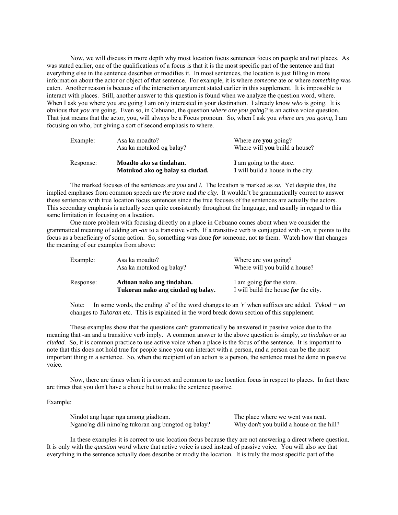Now, we will discuss in more depth why most location focus sentences focus on people and not places. As was stated earlier, one of the qualifications of a focus is that it is the most specific part of the sentence and that everything else in the sentence describes or modifies it. In most sentences, the location is just filling in more information about the actor or object of that sentence. For example, it is where *someone* ate or where *something* was eaten. Another reason is because of the interaction argument stated earlier in this supplement. It is impossible to interact with places. Still, another answer to this question is found when we analyze the question word, where. When I ask you where you are going I am only interested in your destination. I already know *who* is going. It is obvious that *you* are going. Even so, in Cebuano, the question *where are you going?* is an active voice question. That just means that the actor, you, will always be a Focus pronoun. So, when I ask you *where are you going,* I am focusing on who, but giving a sort of second emphasis to where.

| Example:  | Asa ka moadto?<br>Asa ka motukod og balay?                 | Where are you going?<br>Where will you build a house?         |
|-----------|------------------------------------------------------------|---------------------------------------------------------------|
| Response: | Moadto ako sa tindahan.<br>Motukod ako og balay sa ciudad. | I am going to the store.<br>I will build a house in the city. |

 The marked focuses of the sentences are *you* and *I.* The location is marked as *sa.* Yet despite this, the implied emphases from common speech are *the store* and *the city.* It wouldn't be grammatically correct to answer these sentences with true location focus sentences since the true focuses of the sentences are actually the actors. This secondary emphasis is actually seen quite consistently throughout the language, and usually in regard to this same limitation in focusing on a location.

 One more problem with focusing directly on a place in Cebuano comes about when we consider the grammatical meaning of adding an *-an* to a transitive verb. If a transitive verb is conjugated with *-an,* it points to the focus as a beneficiary of some action. So, something was done *for* someone, not *to* them. Watch how that changes the meaning of our examples from above:

| Example:  | Asa ka moadto?<br>Asa ka motukod og balay?                     | Where are you going?<br>Where will you build a house?                           |
|-----------|----------------------------------------------------------------|---------------------------------------------------------------------------------|
| Response: | Adtoan nako ang tindahan.<br>Tukoran nako ang ciudad og balay. | I am going <i>for</i> the store.<br>I will build the house <i>for</i> the city. |

Note: In some words, the ending *'d'* of the word changes to an *'r'* when suffixes are added. *Tukod + an* changes to *Tukoran* etc. This is explained in the word break down section of this supplement.

 These examples show that the questions can't grammatically be answered in passive voice due to the meaning that -an and a transitive verb imply. A common answer to the above question is simply, *sa tindahan* or *sa ciudad.* So, it is common practice to use active voice when a place is the focus of the sentence. It is important to note that this does not hold true for people since you can interact with a person, and a person can be the most important thing in a sentence. So, when the recipient of an action is a person, the sentence must be done in passive voice.

 Now, there are times when it is correct and common to use location focus in respect to places. In fact there are times that you don't have a choice but to make the sentence passive.

#### Example:

Nindot ang lugar nga among giadtoan. The place where we went was neat. Ngano'ng dili nimo'ng tukoran ang bungtod og balay? Why don't you build a house on the hill?

 In these examples it is correct to use location focus because they are not answering a direct where question. It is only with the *question word* where that active voice is used instead of passive voice. You will also see that everything in the sentence actually does describe or modiy the location. It is truly the most specific part of the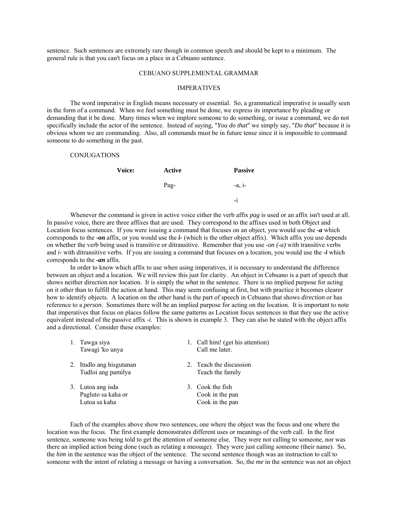sentence. Such sentences are extremely rare though in common speech and should be kept to a minimum. The general rule is that you can't focus on a place in a Cebuano sentence.

#### CEBUANO SUPPLEMENTAL GRAMMAR

#### IMPERATIVES

 The word imperative in English means necessary or essential. So, a grammatical imperative is usually seen in the form of a command. When we feel something must be done, we express its importance by pleading or demanding that it be done. Many times when we implore someone to do something, or issue a command, we do not specifically include the actor of the sentence. Instead of saying, "*You do that*" we simply say, "*Do that*" because it is obvious whom we are commanding. Also, all commands must be in future tense since it is impossible to command someone to do something in the past.

### **CONJUGATIONS**

| Voice: | Active | <b>Passive</b> |
|--------|--------|----------------|
|        | Pag-   | $-a, i$        |
|        |        | $-1$           |

 Whenever the command is given in active voice either the verb affix *pag* is used or an affix isn't used at all. In passive voice, there are three affixes that are used. They correspond to the affixes used in both Object and Location focus sentences. If you were issuing a command that focuses on an object, you would use the *-a* which corresponds to the *-on* affix, or you would use the *i-* (which is the other object affix). Which affix you use depends on whether the verb being used is transitive or ditransitive. Remember that you use *-on (-a)* with transitive verbs and *i-* with ditransitive verbs. If you are issuing a command that focuses on a location, you would use the *-i* which corresponds to the *-an* affix.

 In order to know which affix to use when using imperatives, it is necessary to understand the difference between an object and a location. We will review this just for clarity. An object in Cebuano is a part of speech that shows neither direction nor location. It is simply the *what* in the sentence. There is no implied purpose for acting on it other than to fulfill the action at hand. This may seem confusing at first, but with practice it becomes clearer how to identify objects. A location on the other hand is the part of speech in Cebuano that shows *direction* or has reference to a *person*. Sometimes there will be an implied purpose for acting on the location. It is important to note that imperatives that focus on places follow the same patterns as Location focus sentences in that they use the active equivalent instead of the passive affix *-i.* This is shown in example 3. They can also be stated with the object affix and a directional. Consider these examples:

| 1. Tawga siya<br>Tawagi 'ko unya                         | 1. Call him! (get his attention)<br>Call me later.     |
|----------------------------------------------------------|--------------------------------------------------------|
| 2. Itudlo ang hisgutanan<br>Tudloi ang pamilya           | 2. Teach the discussion<br>Teach the family            |
| 3. Lutoa ang isda<br>Pagluto sa kaha or<br>Lutoa sa kaha | 3. Cook the fish<br>Cook in the pan<br>Cook in the pan |

 Each of the examples above show two sentences, one where the object was the focus and one where the location was the focus. The first example demonstrates different uses or meanings of the verb call. In the first sentence, someone was being told to get the attention of someone else. They were not calling to someone, nor was there an implied action being done (such as relating a message). They were just calling someone (their name). So, the *him* in the sentence was the object of the sentence. The second sentence though was an instruction to call to someone with the intent of relating a message or having a conversation. So, the *me* in the sentence was not an object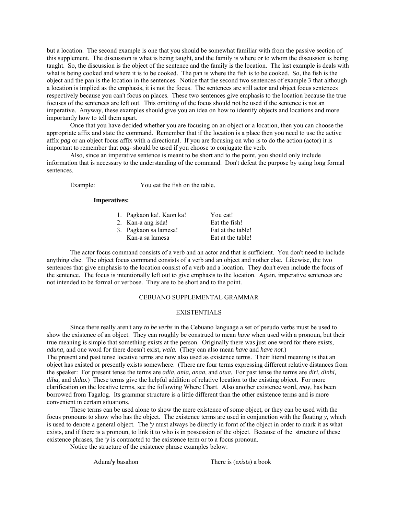but a location. The second example is one that you should be somewhat familiar with from the passive section of this supplement. The discussion is what is being taught, and the family is where or to whom the discussion is being taught. So, the discussion is the object of the sentence and the family is the location. The last example is deals with what is being cooked and where it is to be cooked. The pan is where the fish is to be cooked. So, the fish is the object and the pan is the location in the sentences. Notice that the second two sentences of example 3 that although a location is implied as the emphasis, it is not the focus. The sentences are still actor and object focus sentences respectively because you can't focus on places. These two sentences give emphasis to the location because the true focuses of the sentences are left out. This omitting of the focus should not be used if the sentence is not an imperative. Anyway, these examples should give you an idea on how to identify objects and locations and more importantly how to tell them apart.

 Once that you have decided whether you are focusing on an object or a location, then you can choose the appropriate affix and state the command. Remember that if the location is a place then you need to use the active affix *pag* or an object focus affix with a directional. If you are focusing on who is to do the action (actor) it is important to remember that *pag-* should be used if you choose to conjugate the verb.

 Also, since an imperative sentence is meant to be short and to the point, you should only include information that is necessary to the understanding of the command. Don't defeat the purpose by using long formal sentences.

Example: You eat the fish on the table.

#### **Imperatives:**

|                 | You eat!                                                                |
|-----------------|-------------------------------------------------------------------------|
|                 | Eat the fish!                                                           |
|                 | Eat at the table!                                                       |
| Kan-a sa lamesa | Eat at the table!                                                       |
|                 | 1. Pagkaon ka!, Kaon ka!<br>2. Kan-a ang isda!<br>3. Pagkaon sa lamesa! |

 The actor focus command consists of a verb and an actor and that is sufficient. You don't need to include anything else. The object focus command consists of a verb and an object and nother else. Likewise, the two sentences that give emphasis to the location consist of a verb and a location. They don't even include the focus of the sentence. The focus is intentionally left out to give emphasis to the location. Again, imperative sentences are not intended to be formal or verbose. They are to be short and to the point.

## CEBUANO SUPPLEMENTAL GRAMMAR

#### EXISTENTIALS

 Since there really aren't any *to be verbs* in the Cebuano language a set of pseudo verbs must be used to show the existence of an object. They can roughly be construed to mean *have* when used with a pronoun, but their true meaning is simple that something exists at the person. Originally there was just one word for there exists, *aduna,* and one word for there doesn't exist, *wala.* (They can also mean *have* and *have not.*) The present and past tense locative terms are now also used as existence terms. Their literal meaning is that an object has existed or presently exists somewhere. (There are four terms expressing different relative distances from the speaker: For present tense the terms are *adia, ania, anaa,* and *atua.* For past tense the terms are *diri, dinhi, diha,* and *didto.*) These terms give the helpful addition of relative location to the existing object. For more clarification on the locative terms, see the following Where Chart. Also another existence word, *may,* has been borrowed from Tagalog. Its grammar structure is a little different than the other existence terms and is more convenient in certain situations.

 These terms can be used alone to show the mere existence of some object, or they can be used with the focus pronouns to show who has the object. The existence terms are used in conjunction with the floating *y,* which is used to denote a general object. The *'y* must always be directly in fornt of the object in order to mark it as what exists, and if there is a pronoun, to link it to who is in possession of the object. Because of the structure of these existence phrases, the *'y* is contracted to the existence term or to a focus pronoun.

Notice the structure of the existence phrase examples below:

Aduna'**y** basahon There is (*exists*) a book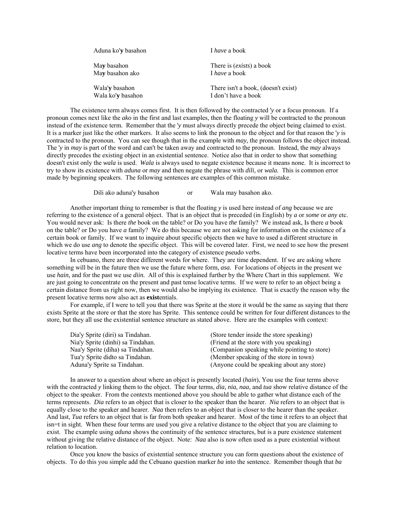| Aduna ko'y basahon | I have a book                       |
|--------------------|-------------------------------------|
| May basahon        | There is <i>(exists)</i> a book     |
| May basahon ako    | I have a book                       |
| Wala'y basahon     | There isn't a book, (doesn't exist) |
| Wala ko'y basahon  | I don't have a book                 |

 The existence term always comes first. It is then followed by the contracted '*y* or a focus pronoun. If a pronoun comes next like the *ako* in the first and last examples, then the floating *y* will be contracted to the pronoun instead of the existence term. Remember that the '*y* must always directly precede the object being claimed to exist. It is a marker just like the other markers. It also seems to link the pronoun to the object and for that reason the '*y* is contracted to the pronoun. You can see though that in the example with *may,* the pronoun follows the object instead. The '*y* in *may* is part of the word and can't be taken away and contracted to the pronoun. Instead, the *may* always directly precedes the existing object in an existential sentence. Notice also that in order to show that something doesn't exist only the *wala* is used. *Wala* is always used to negate existence because it means none. It is incorrect to try to show its existence with *aduna* or *may* and then negate the phrase with *dili,* or *wala.* This is common error made by beginning speakers. The following sentences are examples of this common mistake.

Dili ako aduna'y basahon or Wala may basahon ako.

 Another important thing to remember is that the floating *y* is used here instead of *ang* because we are referring to the existence of a general object. That is an object that is preceded (in English) by *a* or *some* or *any* etc. You would never ask: Is there *the* book on the table? or Do you have *the* family? We instead ask, Is there *a* book on the table? or Do you have *a* family? We do this because we are not asking for information on the existence of a certain book or family. If we want to inquire about specific objects then we have to used a different structure in which we do use *ang* to denote the specific object. This will be covered later. First, we need to see how the present locative terms have been incorporated into the category of existence pseudo verbs.

 In cebuano, there are three different words for where. They are time dependent. If we are asking where something will be in the future then we use the future where form, *asa.* For locations of objects in the present we use *hain,* and for the past we use *diin.* All of this is explained further by the Where Chart in this supplement. We are just going to concentrate on the present and past tense locative terms. If we were to refer to an object being a certain distance from us right now, then we would also be implying its existence. That is exactly the reason why the present locative terms now also act as **exist**entials.

 For example, if I were to tell you that there was Sprite at the store it would be the same as saying that there exists Sprite at the store or that the store has Sprite. This sentence could be written for four different distances to the store, but they all use the existential sentence structure as stated above. Here are the examples with context:

| Dia'y Sprite (diri) sa Tindahan.  | (Store tender inside the store speaking)     |
|-----------------------------------|----------------------------------------------|
| Nia'y Sprite (dinhi) sa Tindahan. | (Friend at the store with you speaking)      |
| Naa'y Sprite (diha) sa Tindahan.  | (Companion speaking while pointing to store) |
| Tua'y Sprite didto sa Tindahan.   | (Member speaking of the store in town)       |
| Aduna'y Sprite sa Tindahan.       | (Anyone could be speaking about any store)   |

 In answer to a question about where an object is presently located (*hain*), You use the four terms above with the contracted *y* linking them to the object. The four terms, *dia, nia, naa,* and *tua* show relative distance of the object to the speaker. From the contexts mentioned above you should be able to gather what distance each of the terms represents. *Dia* refers to an object that is closer to the speaker than the hearer. *Nia* refers to an object that is equally close to the speaker and hearer. *Naa* then refers to an object that is closer to the hearer than the speaker. And last, *Tua* refers to an object that is far from both speaker and hearer. Most of the time it refers to an object that isn=t in sight. When these four terms are used you give a relative distance to the object that you are claiming to exist. The example using *aduna* shows the continuity of the sentence structures, but is a pure existence statement without giving the relative distance of the object. Note: *Naa* also is now often used as a pure existential without relation to location.

 Once you know the basics of existential sentence structure you can form questions about the existence of objects. To do this you simple add the Cebuano question marker *ba* into the sentence. Remember though that *ba*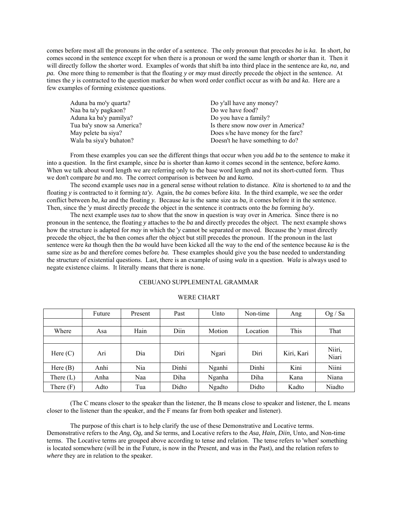comes before most all the pronouns in the order of a sentence. The only pronoun that precedes *ba* is *ka.* In short, *ba* comes second in the sentence except for when there is a pronoun or word the same length or shorter than it. Then it will directly follow the shorter word. Examples of words that shift ba into third place in the sentence are *ka, na,* and *pa.* One more thing to remember is that the floating *y* or *may* must directly precede the object in the sentence. At times the *y* is contracted to the question marker *ba* when word order conflict occur as with *ba* and *ka.* Here are a few examples of forming existence questions.

| Aduna ba mo'y quarta?     | Do y'all have any money?                  |
|---------------------------|-------------------------------------------|
| Naa ba ta'y pagkaon?      | Do we have food?                          |
| Aduna ka ba'y pamilya?    | Do you have a family?                     |
| Tua ba'y snow sa America? | Is there snow <i>now over</i> in America? |
| May pelete ba siya?       | Does s/he have money for the fare?        |
| Wala ba siya'y buhaton?   | Doesn't he have something to do?          |

 From these examples you can see the different things that occur when you add *ba* to the sentence to make it into a question. In the first example, since *ba* is shorter than *kamo* it comes second in the sentence, before *kamo.* When we talk about word length we are referring only to the base word length and not its short-cutted form. Thus we don't compare *ba* and *mo.* The correct comparison is between *ba* and *kamo.*

 The second example uses *naa* in a general sense without relation to distance. *Kita* is shortened to *ta* and the floating *y* is contracted to it forming *ta'y.* Again, the *ba* comes before *kita.* In the third example, we see the order conflict between *ba, ka* and the floating *y.* Because *ka* is the same size as *ba,* it comes before it in the sentence. Then, since the '*y* must directly precede the object in the sentence it contracts onto the *ba* forming *ba'y.*

 The next example uses *tua* to show that the snow in question is way over in America. Since there is no pronoun in the sentence, the floating *y* attaches to the *ba* and directly precedes the object. The next example shows how the structure is adapted for *may* in which the '*y* cannot be separated or moved. Because the '*y* must directly precede the object, the ba then comes after the object but still precedes the pronoun. If the pronoun in the last sentence were *ka* though then the *ba* would have been kicked all the way to the end of the sentence because *ka* is the same size as *ba* and therefore comes before *ba.* These examples should give you the base needed to understanding the structure of existential questions. Last, there is an example of using *wala* in a question. *Wala* is always used to negate existence claims. It literally means that there is none.

## CEBUANO SUPPLEMENTAL GRAMMAR

# WERE CHART

|             | Future | Present | Past  | Unto          | Non-time | Ang        | Og / Sa         |
|-------------|--------|---------|-------|---------------|----------|------------|-----------------|
|             |        |         |       |               |          |            |                 |
| Where       | Asa    | Hain    | Diin  | Motion        | Location | This       | That            |
|             |        |         |       |               |          |            |                 |
| Here $(C)$  | Ari    | Dia     | Diri  | Ngari         | Diri     | Kiri, Kari | Niiri,<br>Niari |
| Here $(B)$  | Anhi   | Nia     | Dinhi | Nganhi        | Dinhi    | Kini       | Niini           |
| There $(L)$ | Anha   | Naa     | Diha  | Nganha        | Diha     | Kana       | Niana           |
| There $(F)$ | Adto   | Tua     | Didto | <b>Ngadto</b> | Didto    | Kadto      | Niadto          |

 (The C means closer to the speaker than the listener, the B means close to speaker and listener, the L means closer to the listener than the speaker, and the F means far from both speaker and listener).

 The purpose of this chart is to help clarify the use of these Demonstrative and Locative terms. Demonstrative refers to the *Ang, Og,* and *Sa* terms, and Locative refers to the *Asa, Hain, Diin,* Unto, and Non-time terms. The Locative terms are grouped above according to tense and relation. The tense refers to 'when' something is located somewhere (will be in the Future, is now in the Present, and was in the Past), and the relation refers to *where* they are in relation to the speaker.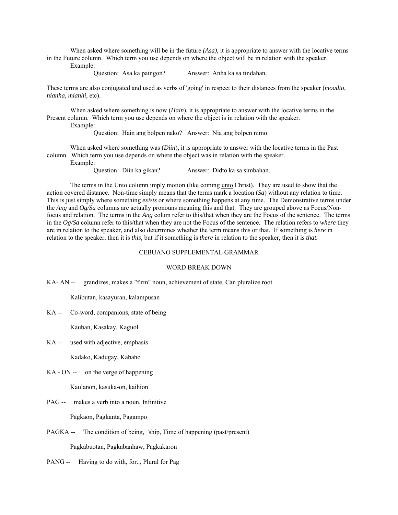When asked where something will be in the future *(Asa),* it is appropriate to answer with the locative terms in the Future column. Which term you use depends on where the object will be in relation with the speaker. Example:

Question: Asa ka paingon? Answer: Anha ka sa tindahan.

These terms are also conjugated and used as verbs of 'going' in respect to their distances from the speaker (*moadto, nianha, mianhi,* etc).

 When asked where something is now (*Hain*), it is appropriate to answer with the locative terms in the Present column. Which term you use depends on where the object is in relation with the speaker.

Example:

Question: Hain ang bolpen nako? Answer: Nia ang bolpen nimo.

 When asked where something was (*Diin*), it is appropriate to answer with the locative terms in the Past column. Which term you use depends on where the object was in relation with the speaker. Example:

Question: Diin ka gikan? Answer: Didto ka sa simbahan.

 The terms in the Unto column imply motion (like coming unto Christ). They are used to show that the action covered distance. Non-time simply means that the terms mark a location (*Sa*) without any relation to time. This is just simply where something *exists* or where something happens at any time. The Demonstrative terms under the *Ang* and *Og/Sa* columns are actually pronouns meaning this and that. They are grouped above as Focus/Nonfocus and relation. The terms in the *Ang* colum refer to this/that when they are the Focus of the sentence. The terms in the *Og/Sa* column refer to this/that when they are not the Focus of the sentence. The relation refers to *where* they are in relation to the speaker, and also determines whether the term means this or that. If something is *here* in relation to the speaker, then it is *this,* but if it something is *there* in relation to the speaker, then it is *that.*

#### CEBUANO SUPPLEMENTAL GRAMMAR

## WORD BREAK DOWN

KA- AN -- grandizes, makes a "firm" noun, achievement of state, Can pluralize root

Kalibutan, kasayuran, kalampusan

KA -- Co-word, companions, state of being

Kauban, Kasakay, Kaguol

KA -- used with adjective, emphasis

Kadako, Kadugay, Kabaho

KA - ON -- on the verge of happening

Kaulanon, kasuka-on, kaihion

PAG -- makes a verb into a noun, Infinitive

Pagkaon, Pagkanta, Pagampo

PAGKA -- The condition of being, 'ship, Time of happening (past/present) Pagkabuotan, Pagkabanhaw, Pagkakaron

PANG -- Having to do with, for.., Plural for Pag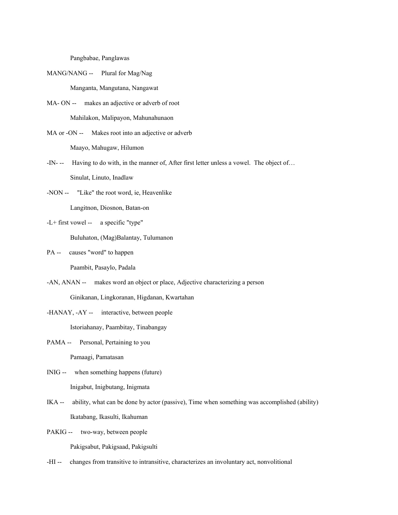Pangbabae, Panglawas

- MANG/NANG -- Plural for Mag/Nag Manganta, Mangutana, Nangawat
- MA- ON -- makes an adjective or adverb of root Mahilakon, Malipayon, Mahunahunaon
- MA or -ON -- Makes root into an adjective or adverb Maayo, Mahugaw, Hilumon
- -IN- -- Having to do with, in the manner of, After first letter unless a vowel. The object of… Sinulat, Linuto, Inadlaw
- -NON -- "Like" the root word, ie, Heavenlike Langitnon, Diosnon, Batan-on
- -L+ first vowel -- a specific "type"

Buluhaton, (Mag)Balantay, Tulumanon

- PA -- causes "word" to happen Paambit, Pasaylo, Padala
- -AN, ANAN -- makes word an object or place, Adjective characterizing a person Ginikanan, Lingkoranan, Higdanan, Kwartahan
- -HANAY, -AY -- interactive, between people

Istoriahanay, Paambitay, Tinabangay

PAMA -- Personal, Pertaining to you

Pamaagi, Pamatasan

- INIG -- when something happens (future) Inigabut, Inigbutang, Inigmata
- IKA -- ability, what can be done by actor (passive), Time when something was accomplished (ability) Ikatabang, Ikasulti, Ikahuman
- PAKIG -- two-way, between people

Pakigsabut, Pakigsaad, Pakigsulti

-HI -- changes from transitive to intransitive, characterizes an involuntary act, nonvolitional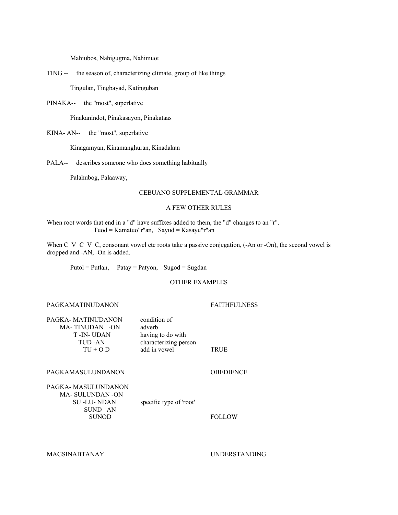Mahiubos, Nahigugma, Nahimuot

TING -- the season of, characterizing climate, group of like things

Tingulan, Tingbayad, Katinguban

PINAKA-- the "most", superlative

Pinakanindot, Pinakasayon, Pinakataas

KINA- AN-- the "most", superlative

Kinagamyan, Kinamanghuran, Kinadakan

PALA-- describes someone who does something habitually

Palahubog, Palaaway,

## CEBUANO SUPPLEMENTAL GRAMMAR

## A FEW OTHER RULES

When root words that end in a "d" have suffixes added to them, the "d" changes to an "r". Tuod = Kamatuo"r"an, Sayud = Kasayu"r"an

When C V C V C, consonant vowel etc roots take a passive conjegation, (-An or -On), the second vowel is dropped and -AN, -On is added.

Putol = Putlan, Patay = Patyon, Sugod = Sugdan

# OTHER EXAMPLES

# PAGKAMATINUDANON FAITHFULNESS

| PAGKA- MATINUDANON<br>MA-TINUDAN -ON<br>T -IN-UDAN<br>TUD-AN<br>$TU + O D$           | condition of<br>adverb<br>having to do with<br>characterizing person<br>add in vowel | TRUE             |
|--------------------------------------------------------------------------------------|--------------------------------------------------------------------------------------|------------------|
| PAGKAMASULUNDANON                                                                    |                                                                                      | <b>OBEDIENCE</b> |
| PAGKA- MASULUNDANON<br>MA- SULUNDAN -ON<br>SU -LU- NDAN<br>$SUND-AN$<br><b>SUNOD</b> | specific type of 'root'                                                              | <b>FOLLOW</b>    |

MAGSINABTANAY UNDERSTANDING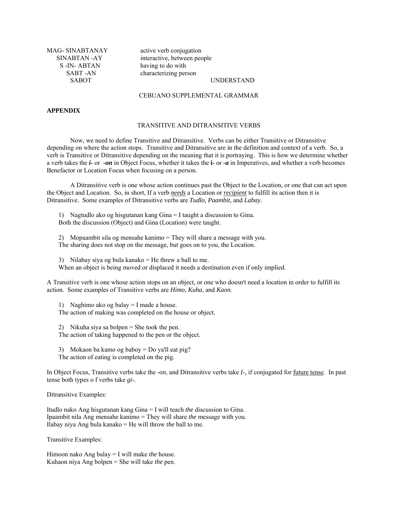S-IN- ABTAN having to do with

MAG- SINABTANAY active verb conjugation SINABTAN -AY interactive, between people SABT -AN characterizing person SABOT UNDERSTAND

#### CEBUANO SUPPLEMENTAL GRAMMAR

## **APPENDIX**

## TRANSITIVE AND DITRANSITIVE VERBS

 Now, we need to define Transitive and Ditransitive. Verbs can be either Transitive or Ditransitive depending on where the action stops. Transitive and Ditransitive are in the definition and context of a verb. So, a verb is Transitive or Ditransitive depending on the meaning that it is portraying. This is how we determine whether a verb takes the *i-* or *-on* in Object Focus, whether it takes the **i-** or *-a* in Imperatives, and whether a verb becomes Benefactor or Location Focus when focusing on a person.

 A Ditransitive verb is one whose action continues past the Object to the Location, or one that can act upon the Object and Location. So, in short, If a verb *needs* a Location or *recipient* to fulfill its action then it is Ditransitive. Some examples of Ditransitive verbs are *Tudlo, Paambit,* and *Labay.*

1) Nagtudlo ako og hisgutanan kang Gina = I taught a discussion to Gina. Both the discussion (Object) and Gina (Location) were taught.

2) Mopaambit sila og mensahe kanimo = They will share a message with you. The sharing does not stop on the message, but goes on to you, the Location.

3) Nilabay siya og bula kanako = He threw a ball to me.

When an object is being moved or displaced it needs a destination even if only implied.

A Transitive verb is one whose action stops on an object, or one who doesn't need a location in order to fulfill its action. Some examples of Transitive verbs are *Himo, Kuha,* and *Kaon.*

1) Naghimo ako og balay = I made a house. The action of making was completed on the house or object.

2) Nikuha siya sa bolpen = She took the pen.

The action of taking happened to the pen or the object.

3) Mokaon ba kamo og baboy = Do ya'll eat pig?

The action of eating is completed on the pig.

In Object Focus, Transitive verbs take the *-on*, and Ditransitive verbs take *I-,* if conjugated for future tense. In past tense both types o f verbs take *gi-.*

Ditransitive Examples:

Itudlo nako Ang hisgutanan kang Gina = I will teach *the* discussion to Gina. Ipaambit nila Ang mensahe kanimo = They will share *the* message with you. Ilabay niya Ang bula kanako = He will throw *the* ball to me.

Transitive Examples:

Himoon nako Ang balay = I will make *the* house. Kuhaon niya Ang bolpen = She will take *the* pen.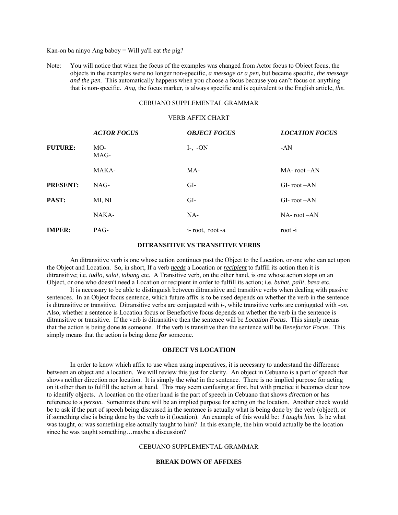Kan-on ba ninyo Ang baboy = Will ya'll eat *the* pig?

Note: You will notice that when the focus of the examples was changed from Actor focus to Object focus, the objects in the examples were no longer non-specific, *a message or a pen,* but became specific, *the message and the pen.* This automatically happens when you choose a focus because you can't focus on anything that is non-specific. *Ang,* the focus marker, is always specific and is equivalent to the English article, *the.*

## CEBUANO SUPPLEMENTAL GRAMMAR

# VERB AFFIX CHART

|                 | <b>ACTOR FOCUS</b> | <b>OBJECT FOCUS</b> | <b>LOCATION FOCUS</b> |
|-----------------|--------------------|---------------------|-----------------------|
| <b>FUTURE:</b>  | MO-<br>MAG-        | $I-, -ON$           | -AN                   |
|                 | MAKA-              | MA-                 | $MA$ - root $-AN$     |
| <b>PRESENT:</b> | NAG-               | GI-                 | $GI$ -root-AN         |
| PAST:           | MI, NI             | GI-                 | $GI$ -root-AN         |
|                 | NAKA-              | NA-                 | $NA$ - root $-AN$     |
| <b>IMPER:</b>   | PAG-               | i-root, root-a      | root-i                |

#### **DITRANSITIVE VS TRANSITIVE VERBS**

 An ditransitive verb is one whose action continues past the Object to the Location, or one who can act upon the Object and Location. So, in short, If a verb *needs* a Location or *recipient* to fulfill its action then it is ditransitive; i.e. *tudlo, sulat, tabang* etc. A Transitive verb, on the other hand, is one whose action stops on an Object, or one who doesn't need a Location or recipient in order to fulfill its action; i.e. *buhat, palit, basa* etc.

 It is necessary to be able to distinguish between ditransitive and transitive verbs when dealing with passive sentences. In an Object focus sentence, which future affix is to be used depends on whether the verb in the sentence is ditransitive or transitive. Ditransitive verbs are conjugated with *i-,* while transitive verbs are conjugated with *-on.* Also, whether a sentence is Location focus or Benefactive focus depends on whether the verb in the sentence is ditransitive or transitive. If the verb is ditransitive then the sentence will be *Location Focus.* This simply means that the action is being done *to* someone. If the verb is transitive then the sentence will be *Benefactor Focus.* This simply means that the action is being done *for* someone.

#### **OBJECT VS LOCATION**

 In order to know which affix to use when using imperatives, it is necessary to understand the difference between an object and a location. We will review this just for clarity. An object in Cebuano is a part of speech that shows neither direction nor location. It is simply the *what* in the sentence. There is no implied purpose for acting on it other than to fulfill the action at hand. This may seem confusing at first, but with practice it becomes clear how to identify objects. A location on the other hand is the part of speech in Cebuano that shows *direction* or has reference to a *person.* Sometimes there will be an implied purpose for acting on the location. Another check would be to ask if the part of speech being discussed in the sentence is actually what is being done by the verb (object), or if something else is being done by the verb to it (location). An example of this would be: *I taught him.* Is he what was taught, or was something else actually taught to him? In this example, the him would actually be the location since he was taught something...maybe a discussion?

## CEBUANO SUPPLEMENTAL GRAMMAR

## **BREAK DOWN OF AFFIXES**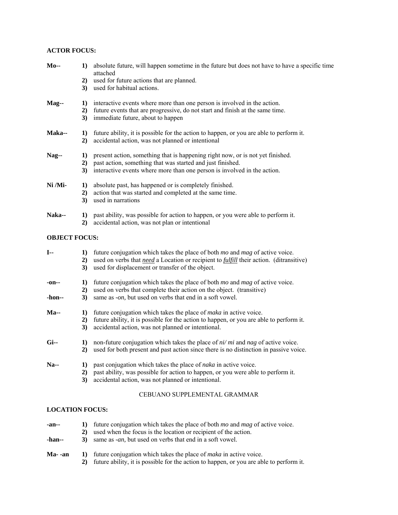# **ACTOR FOCUS:**

| $Mo-$               | $\bf{1)}$ | absolute future, will happen sometime in the future but does not have to have a specific time<br>attached                                    |
|---------------------|-----------|----------------------------------------------------------------------------------------------------------------------------------------------|
|                     | 2)        | used for future actions that are planned.                                                                                                    |
|                     | 3)        | used for habitual actions.                                                                                                                   |
| $\mathbf{Mag}\!-\!$ | 1)        | interactive events where more than one person is involved in the action.                                                                     |
|                     | 2)<br>3)  | future events that are progressive, do not start and finish at the same time.<br>immediate future, about to happen                           |
| <b>Maka--</b>       | 1)<br>2)  | future ability, it is possible for the action to happen, or you are able to perform it.<br>accidental action, was not planned or intentional |
| $Nag-$              | 1)        | present action, something that is happening right now, or is not yet finished.                                                               |
|                     | 2)        | past action, something that was started and just finished.                                                                                   |
|                     | 3)        | interactive events where more than one person is involved in the action.                                                                     |
| Ni /Mi-             | 1)        | absolute past, has happened or is completely finished.                                                                                       |
|                     | 2)        | action that was started and completed at the same time.                                                                                      |
|                     | 3)        | used in narrations                                                                                                                           |
| Naka--              | 1)        | past ability, was possible for action to happen, or you were able to perform it.                                                             |
|                     | 2)        | accidental action, was not plan or intentional                                                                                               |

# **OBJECT FOCUS:**

| $I -$           | $\bf{1}$<br>2)<br>3) | future conjugation which takes the place of both <i>mo</i> and <i>mag</i> of active voice.<br>used on verbs that <i>need</i> a Location or recipient to <i>fulfill</i> their action. (ditransitive)<br>used for displacement or transfer of the object. |
|-----------------|----------------------|---------------------------------------------------------------------------------------------------------------------------------------------------------------------------------------------------------------------------------------------------------|
| -on--<br>-hon-- | 1)<br>2)<br>3)       | future conjugation which takes the place of both <i>mo</i> and <i>mag</i> of active voice.<br>used on verbs that complete their action on the object. (transitive)<br>same as -on, but used on verbs that end in a soft vowel.                          |
| $Ma-$           | $\bf{1}$<br>2)<br>3) | future conjugation which takes the place of <i>maka</i> in active voice.<br>future ability, it is possible for the action to happen, or you are able to perform it.<br>accidental action, was not planned or intentional.                               |
| $Gi-$           | $\bf{1}$<br>2)       | non-future conjugation which takes the place of $ni/mi$ and nag of active voice.<br>used for both present and past action since there is no distinction in passive voice.                                                                               |
| $Na-$           | 1)<br>2)<br>3)       | past conjugation which takes the place of <i>naka</i> in active voice.<br>past ability, was possible for action to happen, or you were able to perform it.<br>accidental action, was not planned or intentional.                                        |

# CEBUANO SUPPLEMENTAL GRAMMAR

# **LOCATION FOCUS:**

| $-an-$<br>-han-- | 2) | future conjugation which takes the place of both <i>mo</i> and <i>mag</i> of active voice.<br>used when the focus is the location or recipient of the action.<br>same as <i>-an</i> , but used on verbs that end in a soft vowel. |
|------------------|----|-----------------------------------------------------------------------------------------------------------------------------------------------------------------------------------------------------------------------------------|
| Ma- -an          | 2) | future conjugation which takes the place of <i>maka</i> in active voice.<br>future ability, it is possible for the action to happen, or you are able to perform it.                                                               |